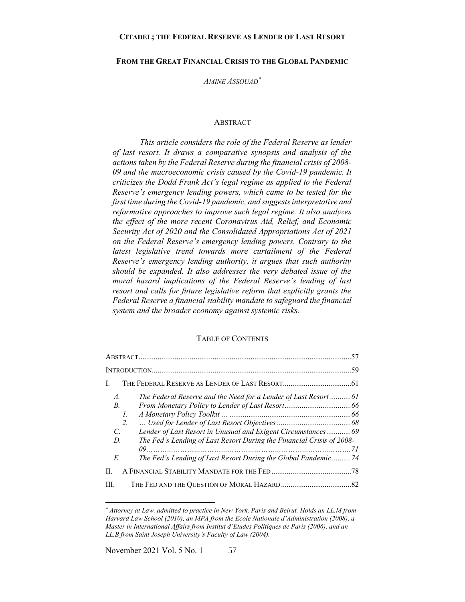### **FROM THE GREAT FINANCIAL CRISIS TO THE GLOBAL PANDEMIC**

*AMINE ASSOUAD\**

#### ABSTRACT

<span id="page-0-0"></span>*This article considers the role of the Federal Reserve as lender of last resort. It draws a comparative synopsis and analysis of the actions taken by the Federal Reserve during the financial crisis of 2008- 09 and the macroeconomic crisis caused by the Covid-19 pandemic. It criticizes the Dodd Frank Act's legal regime as applied to the Federal Reserve's emergency lending powers, which came to be tested for the first time during the Covid-19 pandemic, and suggests interpretative and reformative approaches to improve such legal regime. It also analyzes the effect of the more recent Coronavirus Aid, Relief, and Economic Security Act of 2020 and the Consolidated Appropriations Act of 2021 on the Federal Reserve's emergency lending powers. Contrary to the*  latest legislative trend towards more curtailment of the Federal *Reserve's emergency lending authority, it argues that such authority should be expanded. It also addresses the very debated issue of the moral hazard implications of the Federal Reserve's lending of last resort and calls for future legislative reform that explicitly grants the Federal Reserve a financial stability mandate to safeguard the financial system and the broader economy against systemic risks.* 

# TABLE OF CONTENTS

| L                                                |                                                                                                                                         |  |
|--------------------------------------------------|-----------------------------------------------------------------------------------------------------------------------------------------|--|
| $\mathcal{A}$ .<br>$B_{\cdot}$<br>Ι.<br>2.<br>C. | The Federal Reserve and the Need for a Lender of Last Resort 61<br>Lender of Last Resort in Unusual and Exigent Circumstances69         |  |
| D.<br>E.                                         | The Fed's Lending of Last Resort During the Financial Crisis of 2008-<br>The Fed's Lending of Last Resort During the Global Pandemic 74 |  |
| II.                                              |                                                                                                                                         |  |
| III.                                             |                                                                                                                                         |  |

*<sup>\*</sup> Attorney at Law, admitted to practice in New York, Paris and Beirut. Holds an LL.M from Harvard Law School (2010), an MPA from the Ecole Nationale d'Administration (2008), a Master in International Affairs from Institut d'Etudes Politiques de Paris (2006), and an LL.B from Saint Joseph University's Faculty of Law (2004).*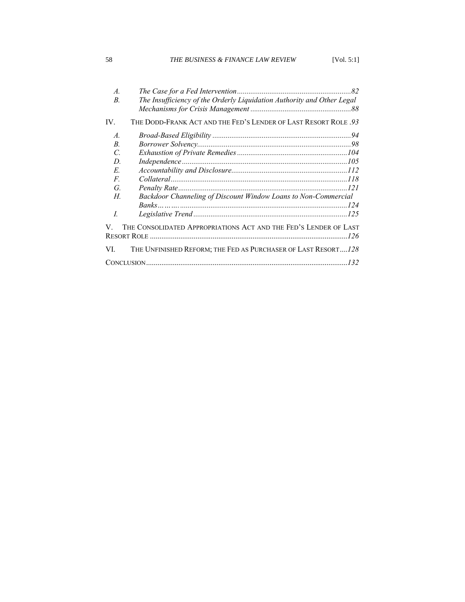# 58 *THE BUSINESS & FINANCE LAW REVIEW* [Vol. 5:1]

| THE DODD-FRANK ACT AND THE FED'S LENDER OF LAST RESORT ROLE .93<br>IV.<br>$\mathcal{A}$ .<br>$B$ .<br>$\mathcal{C}$<br>$\label{thm:main} Independence \hspace{0.0cm}  \hspace{0.0cm}  \hspace{0.0cm}  \hspace{0.0cm}  \hspace{0.0cm}  \hspace{0.0cm}  \hspace{0.0cm} 105$<br>D.<br>E.<br>F.<br>G.<br>-121<br>Backdoor Channeling of Discount Window Loans to Non-Commercial<br>Н.<br>$\overline{I}$<br>THE CONSOLIDATED APPROPRIATIONS ACT AND THE FED'S LENDER OF LAST<br>V.<br>VI.<br>THE UNFINISHED REFORM; THE FED AS PURCHASER OF LAST RESORT128 | $\mathcal{A}$ .<br>B. | The Insufficiency of the Orderly Liquidation Authority and Other Legal |
|-------------------------------------------------------------------------------------------------------------------------------------------------------------------------------------------------------------------------------------------------------------------------------------------------------------------------------------------------------------------------------------------------------------------------------------------------------------------------------------------------------------------------------------------------------|-----------------------|------------------------------------------------------------------------|
|                                                                                                                                                                                                                                                                                                                                                                                                                                                                                                                                                       |                       |                                                                        |
|                                                                                                                                                                                                                                                                                                                                                                                                                                                                                                                                                       |                       |                                                                        |
|                                                                                                                                                                                                                                                                                                                                                                                                                                                                                                                                                       |                       |                                                                        |
|                                                                                                                                                                                                                                                                                                                                                                                                                                                                                                                                                       |                       |                                                                        |
|                                                                                                                                                                                                                                                                                                                                                                                                                                                                                                                                                       |                       |                                                                        |
|                                                                                                                                                                                                                                                                                                                                                                                                                                                                                                                                                       |                       |                                                                        |
|                                                                                                                                                                                                                                                                                                                                                                                                                                                                                                                                                       |                       |                                                                        |
|                                                                                                                                                                                                                                                                                                                                                                                                                                                                                                                                                       |                       |                                                                        |
|                                                                                                                                                                                                                                                                                                                                                                                                                                                                                                                                                       |                       |                                                                        |
|                                                                                                                                                                                                                                                                                                                                                                                                                                                                                                                                                       |                       |                                                                        |
|                                                                                                                                                                                                                                                                                                                                                                                                                                                                                                                                                       |                       |                                                                        |
|                                                                                                                                                                                                                                                                                                                                                                                                                                                                                                                                                       |                       |                                                                        |
|                                                                                                                                                                                                                                                                                                                                                                                                                                                                                                                                                       |                       |                                                                        |
|                                                                                                                                                                                                                                                                                                                                                                                                                                                                                                                                                       |                       |                                                                        |
|                                                                                                                                                                                                                                                                                                                                                                                                                                                                                                                                                       |                       |                                                                        |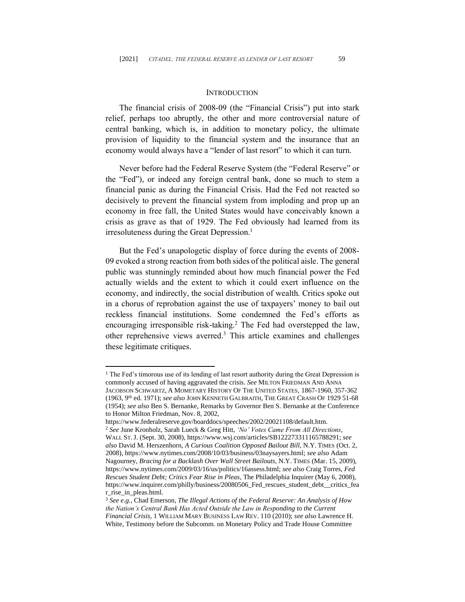#### **INTRODUCTION**

<span id="page-2-0"></span>The financial crisis of 2008-09 (the "Financial Crisis") put into stark relief, perhaps too abruptly, the other and more controversial nature of central banking, which is, in addition to monetary policy, the ultimate provision of liquidity to the financial system and the insurance that an economy would always have a "lender of last resort" to which it can turn.

Never before had the Federal Reserve System (the "Federal Reserve" or the "Fed"), or indeed any foreign central bank, done so much to stem a financial panic as during the Financial Crisis. Had the Fed not reacted so decisively to prevent the financial system from imploding and prop up an economy in free fall, the United States would have conceivably known a crisis as grave as that of 1929. The Fed obviously had learned from its irresoluteness during the Great Depression. 1

But the Fed's unapologetic display of force during the events of 2008- 09 evoked a strong reaction from both sides of the political aisle. The general public was stunningly reminded about how much financial power the Fed actually wields and the extent to which it could exert influence on the economy, and indirectly, the social distribution of wealth. Critics spoke out in a chorus of reprobation against the use of taxpayers' money to bail out reckless financial institutions. Some condemned the Fed's efforts as encouraging irresponsible risk-taking. <sup>2</sup> The Fed had overstepped the law, other reprehensive views averred. <sup>3</sup> This article examines and challenges these legitimate critiques.

<sup>&</sup>lt;sup>1</sup> The Fed's timorous use of its lending of last resort authority during the Great Depression is commonly accused of having aggravated the crisis. *See* MILTON FRIEDMAN AND ANNA

JACOBSON SCHWARTZ, A MOMETARY HISTORY OF THE UNITED STATES, 1867-1960, 357-362 (1963, 9th ed. 1971); *see also* JOHN KENNETH GALBRAITH, THE GREAT CRASH OF 1929 51-68 (1954); *see also* Ben S. Bernanke, Remarks by Governor Ben S. Bernanke at the Conference to Honor Milton Friedman, Nov. 8, 2002,

https://www.federalreserve.gov/boarddocs/speeches/2002/20021108/default.htm. <sup>2</sup> *See* June Kronholz, Sarah Lueck & Greg Hitt, *'No' Votes Came From All Directions*, WALL ST.J. (Sept. 30, 2008), https://www.wsj.com/articles/SB122273311165788291; *see also* David M. Herszenhorn, *A Curious Coalition Opposed Bailout Bill*, N.Y. TIMES (Oct. 2, 2008), https://www.nytimes.com/2008/10/03/business/03naysayers.html; *see also* Adam Nagourney, *Bracing for a Backlash Over Wall Street Bailouts*, N.Y. TIMES (Mar. 15, 2009), https://www.nytimes.com/2009/03/16/us/politics/16assess.html; *see also* Craig Torres, *Fed Rescues Student Debt; Critics Fear Rise in Pleas*, The Philadelphia Inquirer (May 6, 2008), https://www.inquirer.com/philly/business/20080506\_Fed\_rescues\_student\_debt\_\_critics\_fea r\_rise\_in\_pleas.html.

<sup>3</sup> *See e.g.*, Chad Emerson, *The Illegal Actions of the Federal Reserve: An Analysis of How the Nation's Central Bank Has Acted Outside the Law in Responding to the Current Financial Crisis*, 1 WILLIAM MARY BUSINESS LAW REV. 110 (2010); *see also* Lawrence H. White, Testimony before the Subcomm. on Monetary Policy and Trade House Committee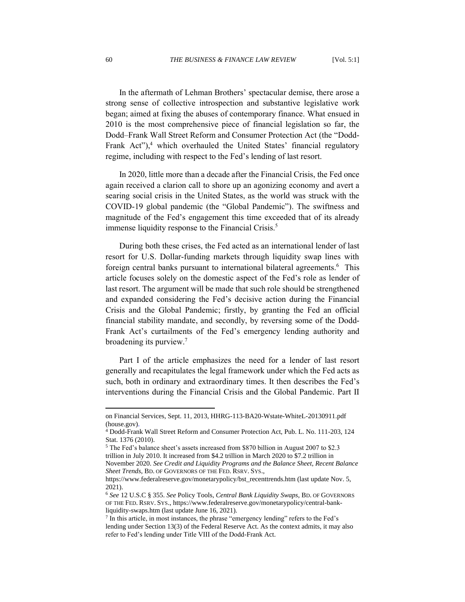In the aftermath of Lehman Brothers' spectacular demise, there arose a strong sense of collective introspection and substantive legislative work began; aimed at fixing the abuses of contemporary finance. What ensued in 2010 is the most comprehensive piece of financial legislation so far, the Dodd–Frank Wall Street Reform and Consumer Protection Act (the "Dodd-Frank Act"), $4$  which overhauled the United States' financial regulatory regime, including with respect to the Fed's lending of last resort.

In 2020, little more than a decade after the Financial Crisis, the Fed once again received a clarion call to shore up an agonizing economy and avert a searing social crisis in the United States, as the world was struck with the COVID-19 global pandemic (the "Global Pandemic"). The swiftness and magnitude of the Fed's engagement this time exceeded that of its already immense liquidity response to the Financial Crisis.<sup>5</sup>

During both these crises, the Fed acted as an international lender of last resort for U.S. Dollar-funding markets through liquidity swap lines with foreign central banks pursuant to international bilateral agreements.<sup>6</sup> This article focuses solely on the domestic aspect of the Fed's role as lender of last resort. The argument will be made that such role should be strengthened and expanded considering the Fed's decisive action during the Financial Crisis and the Global Pandemic; firstly, by granting the Fed an official financial stability mandate, and secondly, by reversing some of the Dodd-Frank Act's curtailments of the Fed's emergency lending authority and broadening its purview.<sup>7</sup>

Part I of the article emphasizes the need for a lender of last resort generally and recapitulates the legal framework under which the Fed acts as such, both in ordinary and extraordinary times. It then describes the Fed's interventions during the Financial Crisis and the Global Pandemic. Part II

on Financial Services, Sept. 11, 2013, HHRG-113-BA20-Wstate-WhiteL-20130911.pdf (house.gov).

<sup>4</sup> Dodd-Frank Wall Street Reform and Consumer Protection Act, Pub. L. No. 111-203, 124 Stat. 1376 (2010).

<sup>5</sup> The Fed's balance sheet's assets increased from \$870 billion in August 2007 to \$2.3

trillion in July 2010. It increased from \$4.2 trillion in March 2020 to \$7.2 trillion in November 2020. *See Credit and Liquidity Programs and the Balance Sheet, Recent Balance Sheet Trends*, BD. OF GOVERNORS OF THE FED. RSRV. SYS.,

https://www.federalreserve.gov/monetarypolicy/bst\_recenttrends.htm (last update Nov. 5, 2021).

<sup>6</sup> *See* 12 U.S.C § 355. *See* Policy Tools, *Central Bank Liquidity Swaps*, BD. OF GOVERNORS OF THE FED. RSRV. SYS., https://www.federalreserve.gov/monetarypolicy/central-bankliquidity-swaps.htm (last update June 16, 2021).

<sup>&</sup>lt;sup>7</sup> In this article, in most instances, the phrase "emergency lending" refers to the Fed's lending under Section 13(3) of the Federal Reserve Act. As the context admits, it may also refer to Fed's lending under Title VIII of the Dodd-Frank Act.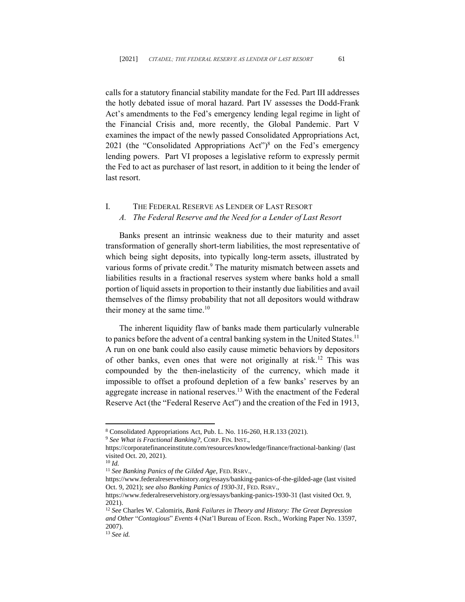calls for a statutory financial stability mandate for the Fed. Part III addresses the hotly debated issue of moral hazard. Part IV assesses the Dodd-Frank Act's amendments to the Fed's emergency lending legal regime in light of the Financial Crisis and, more recently, the Global Pandemic. Part V examines the impact of the newly passed Consolidated Appropriations Act, 2021 (the "Consolidated Appropriations Act")<sup>8</sup> on the Fed's emergency lending powers. Part VI proposes a legislative reform to expressly permit the Fed to act as purchaser of last resort, in addition to it being the lender of last resort.

# <span id="page-4-1"></span><span id="page-4-0"></span>I. THE FEDERAL RESERVE AS LENDER OF LAST RESORT *A. The Federal Reserve and the Need for a Lender of Last Resort*

Banks present an intrinsic weakness due to their maturity and asset transformation of generally short-term liabilities, the most representative of which being sight deposits, into typically long-term assets, illustrated by various forms of private credit.<sup>9</sup> The maturity mismatch between assets and liabilities results in a fractional reserves system where banks hold a small portion of liquid assets in proportion to their instantly due liabilities and avail themselves of the flimsy probability that not all depositors would withdraw their money at the same time. $10$ 

The inherent liquidity flaw of banks made them particularly vulnerable to panics before the advent of a central banking system in the United States.<sup>11</sup> A run on one bank could also easily cause mimetic behaviors by depositors of other banks, even ones that were not originally at risk.<sup>12</sup> This was compounded by the then-inelasticity of the currency, which made it impossible to offset a profound depletion of a few banks' reserves by an aggregate increase in national reserves.<sup>13</sup> With the enactment of the Federal Reserve Act (the "Federal Reserve Act") and the creation of the Fed in 1913,

<sup>8</sup> Consolidated Appropriations Act, Pub. L. No. 116-260, H.R.133 (2021).

<sup>9</sup> *See What is Fractional Banking?*, CORP. FIN. INST.,

https://corporatefinanceinstitute.com/resources/knowledge/finance/fractional-banking/ (last visited Oct. 20, 2021).

<sup>10</sup> *Id.*

<sup>11</sup> *See Banking Panics of the Gilded Age*, FED. RSRV.,

https://www.federalreservehistory.org/essays/banking-panics-of-the-gilded-age (last visited Oct. 9, 2021); *see also Banking Panics of 1930-31*, FED. RSRV.,

https://www.federalreservehistory.org/essays/banking-panics-1930-31 (last visited Oct. 9, 2021).

<sup>12</sup> *See* Charles W. Calomiris, *Bank Failures in Theory and History: The Great Depression and Other* "*Contagious*" *Events* 4 (Nat'l Bureau of Econ. Rsch., Working Paper No. 13597, 2007).

<sup>13</sup> *See id.*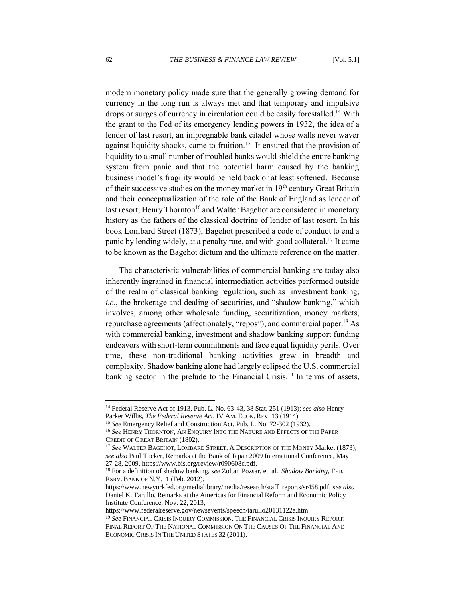modern monetary policy made sure that the generally growing demand for currency in the long run is always met and that temporary and impulsive drops or surges of currency in circulation could be easily forestalled.<sup>14</sup> With the grant to the Fed of its emergency lending powers in 1932, the idea of a lender of last resort, an impregnable bank citadel whose walls never waver against liquidity shocks, came to fruition.<sup>15</sup> It ensured that the provision of liquidity to a small number of troubled banks would shield the entire banking system from panic and that the potential harm caused by the banking business model's fragility would be held back or at least softened. Because of their successive studies on the money market in 19th century Great Britain and their conceptualization of the role of the Bank of England as lender of last resort, Henry Thornton<sup>16</sup> and Walter Bagehot are considered in monetary history as the fathers of the classical doctrine of lender of last resort. In his book Lombard Street (1873), Bagehot prescribed a code of conduct to end a panic by lending widely, at a penalty rate, and with good collateral.<sup>17</sup> It came to be known as the Bagehot dictum and the ultimate reference on the matter.

The characteristic vulnerabilities of commercial banking are today also inherently ingrained in financial intermediation activities performed outside of the realm of classical banking regulation, such as investment banking, *i.e.*, the brokerage and dealing of securities, and "shadow banking," which involves, among other wholesale funding, securitization, money markets, repurchase agreements (affectionately, "repos"), and commercial paper.<sup>18</sup> As with commercial banking, investment and shadow banking support funding endeavors with short-term commitments and face equal liquidity perils. Over time, these non-traditional banking activities grew in breadth and complexity. Shadow banking alone had largely eclipsed the U.S. commercial banking sector in the prelude to the Financial Crisis. <sup>19</sup> In terms of assets,

https://www.federalreserve.gov/newsevents/speech/tarullo20131122a.htm.

<sup>14</sup> Federal Reserve Act of 1913, Pub. L. No. 63-43, 38 Stat. 251 (1913); *see also* Henry Parker Willis, *The Federal Reserve Act*, IV AM. ECON. REV. 13 (1914).

<sup>15</sup> *See* Emergency Relief and Construction Act. Pub. L. No. 72-302 (1932).

<sup>16</sup> *See* HENRY THORNTON, AN ENQUIRY INTO THE NATURE AND EFFECTS OF THE PAPER CREDIT OF GREAT BRITAIN (1802).

<sup>17</sup> *See* WALTER BAGEHOT, LOMBARD STREET: A DESCRIPTION OF THE MONEY Market (1873); *see also* Paul Tucker, Remarks at the Bank of Japan 2009 International Conference, May 27-28, 2009, https://www.bis.org/review/r090608c.pdf.

<sup>18</sup> For a definition of shadow banking, *see* Zoltan Pozsar, et. al., *Shadow Banking*, FED. RSRV. BANK OF N.Y. 1 (Feb. 2012),

https://www.newyorkfed.org/medialibrary/media/research/staff\_reports/sr458.pdf; s*ee also*  Daniel K. Tarullo, Remarks at the Americas for Financial Reform and Economic Policy Institute Conference, Nov. 22, 2013,

<sup>19</sup> *See* FINANCIAL CRISIS INQUIRY COMMISSION, THE FINANCIAL CRISIS INQUIRY REPORT: FINAL REPORT OF THE NATIONAL COMMISSION ON THE CAUSES OF THE FINANCIAL AND ECONOMIC CRISIS IN THE UNITED STATES 32 (2011).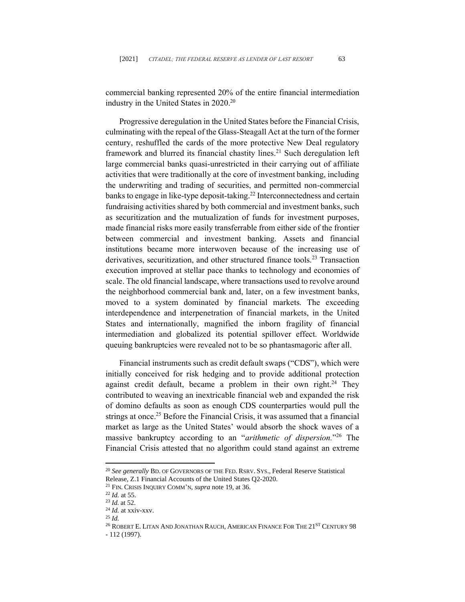commercial banking represented 20% of the entire financial intermediation industry in the United States in 2020. 20

Progressive deregulation in the United States before the Financial Crisis, culminating with the repeal of the Glass-Steagall Act at the turn of the former century, reshuffled the cards of the more protective New Deal regulatory framework and blurred its financial chastity lines.<sup>21</sup> Such deregulation left large commercial banks quasi-unrestricted in their carrying out of affiliate activities that were traditionally at the core of investment banking, including the underwriting and trading of securities, and permitted non-commercial banks to engage in like-type deposit-taking.<sup>22</sup> Interconnectedness and certain fundraising activities shared by both commercial and investment banks, such as securitization and the mutualization of funds for investment purposes, made financial risks more easily transferrable from either side of the frontier between commercial and investment banking. Assets and financial institutions became more interwoven because of the increasing use of derivatives, securitization, and other structured finance tools.<sup>23</sup> Transaction execution improved at stellar pace thanks to technology and economies of scale. The old financial landscape, where transactions used to revolve around the neighborhood commercial bank and, later, on a few investment banks, moved to a system dominated by financial markets. The exceeding interdependence and interpenetration of financial markets, in the United States and internationally, magnified the inborn fragility of financial intermediation and globalized its potential spillover effect. Worldwide queuing bankruptcies were revealed not to be so phantasmagoric after all.

Financial instruments such as credit default swaps ("CDS"), which were initially conceived for risk hedging and to provide additional protection against credit default, became a problem in their own right.<sup>24</sup> They contributed to weaving an inextricable financial web and expanded the risk of domino defaults as soon as enough CDS counterparties would pull the strings at once. <sup>25</sup> Before the Financial Crisis, it was assumed that a financial market as large as the United States' would absorb the shock waves of a massive bankruptcy according to an "*arithmetic of dispersion.*" <sup>26</sup> The Financial Crisis attested that no algorithm could stand against an extreme

<sup>20</sup> *See generally* BD. OF GOVERNORS OF THE FED. RSRV. SYS., Federal Reserve Statistical Release, Z.1 Financial Accounts of the United States Q2-2020.

<sup>21</sup> FIN. CRISIS INQUIRY COMM'N, *supra* note 19, at 36.

<sup>22</sup> *Id.* at 55.

<sup>23</sup> *Id.* at 52.

<sup>24</sup> *Id.* at xxiv-xxv.

<sup>25</sup> *Id.*

 $^{26}$  ROBERT E. LITAN AND JONATHAN RAUCH, AMERICAN FINANCE FOR THE  $21^{ST}$  Century 98 - 112 (1997).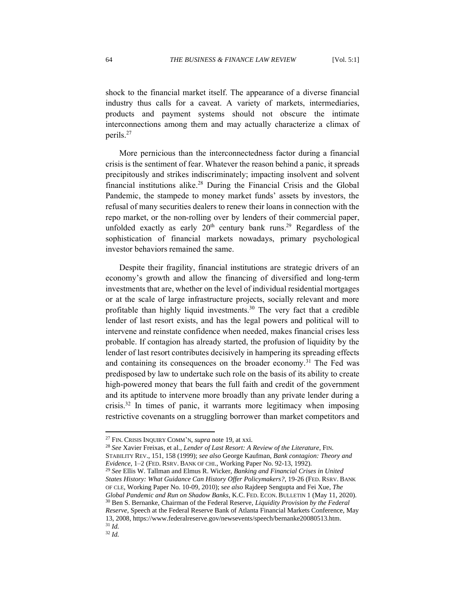shock to the financial market itself. The appearance of a diverse financial industry thus calls for a caveat. A variety of markets, intermediaries, products and payment systems should not obscure the intimate interconnections among them and may actually characterize a climax of perils. 27

More pernicious than the interconnectedness factor during a financial crisis is the sentiment of fear. Whatever the reason behind a panic, it spreads precipitously and strikes indiscriminately; impacting insolvent and solvent financial institutions alike. <sup>28</sup> During the Financial Crisis and the Global Pandemic, the stampede to money market funds' assets by investors, the refusal of many securities dealers to renew their loans in connection with the repo market, or the non-rolling over by lenders of their commercial paper, unfolded exactly as early  $20<sup>th</sup>$  century bank runs.<sup>29</sup> Regardless of the sophistication of financial markets nowadays, primary psychological investor behaviors remained the same.

Despite their fragility, financial institutions are strategic drivers of an economy's growth and allow the financing of diversified and long-term investments that are, whether on the level of individual residential mortgages or at the scale of large infrastructure projects, socially relevant and more profitable than highly liquid investments.<sup>30</sup> The very fact that a credible lender of last resort exists, and has the legal powers and political will to intervene and reinstate confidence when needed, makes financial crises less probable. If contagion has already started, the profusion of liquidity by the lender of last resort contributes decisively in hampering its spreading effects and containing its consequences on the broader economy.<sup>31</sup> The Fed was predisposed by law to undertake such role on the basis of its ability to create high-powered money that bears the full faith and credit of the government and its aptitude to intervene more broadly than any private lender during a crisis.<sup>32</sup> In times of panic, it warrants more legitimacy when imposing restrictive covenants on a struggling borrower than market competitors and

<sup>27</sup> FIN. CRISIS INQUIRY COMM'N, *supra* note 19, at xxi.

<sup>28</sup> *See* Xavier Freixas, et al., *Lender of Last Resort: A Review of the Literature*, FIN.

STABILITY REV., 151, 158 (1999); *see also* George Kaufman, *Bank contagion: Theory and Evidence*, 1–2 (FED. RSRV. BANK OF CHI., Working Paper No. 92-13, 1992).

<sup>29</sup> *See* Ellis W. Tallman and Elmus R. Wicker, *Banking and Financial Crises in United States History: What Guidance Can History Offer Policymakers?*, 19-26 (FED. RSRV. BANK OF CLE, Working Paper No. 10-09, 2010); s*ee also* Rajdeep Sengupta and Fei Xue, *The Global Pandemic and Run on Shadow Banks*, K.C. FED. ECON. BULLETIN 1 (May 11, 2020). <sup>30</sup> Ben S. Bernanke, Chairman of the Federal Reserve, *Liquidity Provision by the Federal Reserve*, Speech at the Federal Reserve Bank of Atlanta Financial Markets Conference, May 13, 2008, [https://www.federalreserve.gov/newsevents/speech/bernanke20080513.htm.](https://www.federalreserve.gov/newsevents/speech/bernanke20080513.htm) <sup>31</sup> *Id.*

<sup>32</sup> *Id.*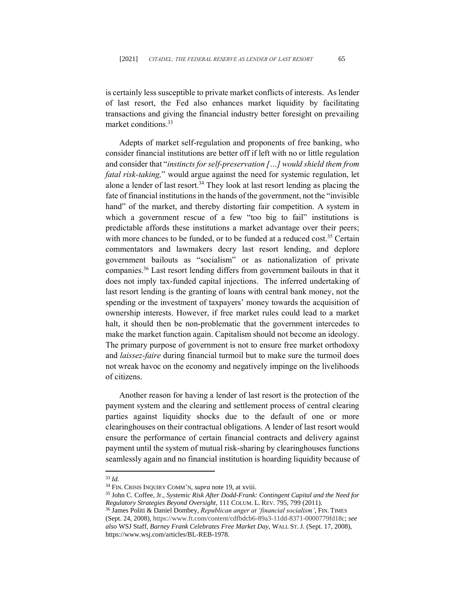is certainly less susceptible to private market conflicts of interests. As lender of last resort, the Fed also enhances market liquidity by facilitating transactions and giving the financial industry better foresight on prevailing market conditions.<sup>33</sup>

Adepts of market self-regulation and proponents of free banking, who consider financial institutions are better off if left with no or little regulation and consider that "*instincts for self-preservation […] would shield them from fatal risk-taking,*" would argue against the need for systemic regulation, let alone a lender of last resort.<sup>34</sup> They look at last resort lending as placing the fate of financial institutions in the hands of the government, not the "invisible hand" of the market, and thereby distorting fair competition. A system in which a government rescue of a few "too big to fail" institutions is predictable affords these institutions a market advantage over their peers; with more chances to be funded, or to be funded at a reduced cost.<sup>35</sup> Certain commentators and lawmakers decry last resort lending, and deplore government bailouts as "socialism" or as nationalization of private companies. <sup>36</sup> Last resort lending differs from government bailouts in that it does not imply tax-funded capital injections. The inferred undertaking of last resort lending is the granting of loans with central bank money, not the spending or the investment of taxpayers' money towards the acquisition of ownership interests. However, if free market rules could lead to a market halt, it should then be non-problematic that the government intercedes to make the market function again. Capitalism should not become an ideology. The primary purpose of government is not to ensure free market orthodoxy and *laissez-faire* during financial turmoil but to make sure the turmoil does not wreak havoc on the economy and negatively impinge on the livelihoods of citizens.

Another reason for having a lender of last resort is the protection of the payment system and the clearing and settlement process of central clearing parties against liquidity shocks due to the default of one or more clearinghouses on their contractual obligations. A lender of last resort would ensure the performance of certain financial contracts and delivery against payment until the system of mutual risk-sharing by clearinghouses functions seamlessly again and no financial institution is hoarding liquidity because of

<sup>33</sup> *Id.*

<sup>34</sup> FIN. CRISIS INQUIRY COMM'N, *supra* note 19, at xviii.

<sup>35</sup> John C. Coffee, Jr., *Systemic Risk After Dodd-Frank: Contingent Capital and the Need for Regulatory Strategies Beyond Oversight*, 111 COLUM. L. REV. 795, 799 (2011).

<sup>&</sup>lt;sup>36</sup> James Politi & Daniel Dombey, *Republican anger at 'financial socialism'*, FIN. TIMES (Sept. 24, 2008), https://www.ft.com/content/cdfbdcb6-89a3-11dd-8371-0000779fd18c; *see also* WSJ Staff, *Barney Frank Celebrates Free Market Day*, WALL ST.J. (Sept. 17, 2008), https://www.wsj.com/articles/BL-REB-1978.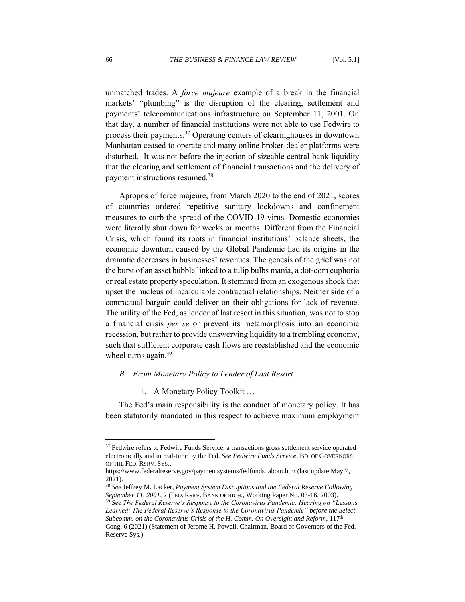unmatched trades. A *force majeure* example of a break in the financial markets' "plumbing" is the disruption of the clearing, settlement and payments' telecommunications infrastructure on September 11, 2001. On that day, a number of financial institutions were not able to use Fedwire to process their payments.<sup>37</sup> Operating centers of clearinghouses in downtown Manhattan ceased to operate and many online broker-dealer platforms were disturbed. It was not before the injection of sizeable central bank liquidity that the clearing and settlement of financial transactions and the delivery of payment instructions resumed.<sup>38</sup>

Apropos of force majeure, from March 2020 to the end of 2021, scores of countries ordered repetitive sanitary lockdowns and confinement measures to curb the spread of the COVID-19 virus. Domestic economies were literally shut down for weeks or months. Different from the Financial Crisis, which found its roots in financial institutions' balance sheets, the economic downturn caused by the Global Pandemic had its origins in the dramatic decreases in businesses' revenues. The genesis of the grief was not the burst of an asset bubble linked to a tulip bulbs mania, a dot-com euphoria or real estate property speculation. It stemmed from an exogenous shock that upset the nucleus of incalculable contractual relationships. Neither side of a contractual bargain could deliver on their obligations for lack of revenue. The utility of the Fed, as lender of last resort in this situation, was not to stop a financial crisis *per se* or prevent its metamorphosis into an economic recession, but rather to provide unswerving liquidity to a trembling economy, such that sufficient corporate cash flows are reestablished and the economic wheel turns again.<sup>39</sup>

#### <span id="page-9-0"></span>*B. From Monetary Policy to Lender of Last Resort*

1. A Monetary Policy Toolkit …

<span id="page-9-1"></span>The Fed's main responsibility is the conduct of monetary policy. It has been statutorily mandated in this respect to achieve maximum employment

 $37$  Fedwire refers to Fedwire Funds Service, a transactions gross settlement service operated electronically and in real-time by the Fed. *See Fedwire Funds Service*, BD. OF GOVERNORS OF THE FED. RSRV. SYS.,

https://www.federalreserve.gov/paymentsystems/fedfunds\_about.htm (last update May 7, 2021).

<sup>38</sup> *See* Jeffrey M. Lacker, *Payment System Disruptions and the Federal Reserve Following September 11, 2001*, 2 (FED. RSRV. BANK OF RICH., Working Paper No. 03-16, 2003).

<sup>39</sup> *See The Federal Reserve's Response to the Coronavirus Pandemic: Hearing on "Lessons Learned: The Federal Reserve's Response to the Coronavirus Pandemic" before the Select Subcomm. on the Coronavirus Crisis of the H. Comm. On Oversight and Reform*, 117th Cong. 6 (2021) (Statement of Jerome H. Powell, Chairman, Board of Governors of the Fed. Reserve Sys.).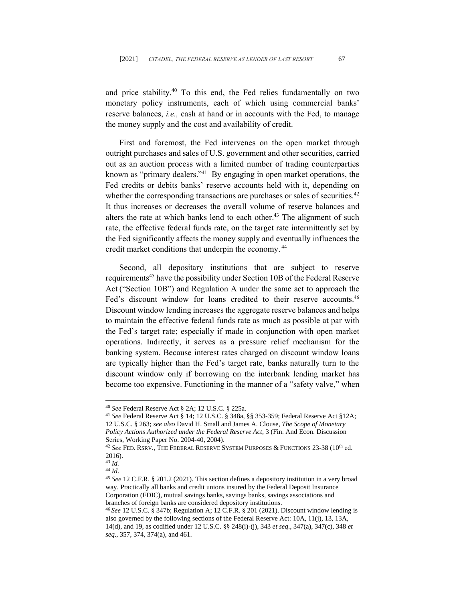and price stability.<sup>40</sup> To this end, the Fed relies fundamentally on two monetary policy instruments, each of which using commercial banks' reserve balances, *i.e.,* cash at hand or in accounts with the Fed, to manage the money supply and the cost and availability of credit.

First and foremost, the Fed intervenes on the open market through outright purchases and sales of U.S. government and other securities, carried out as an auction process with a limited number of trading counterparties known as "primary dealers."<sup>41</sup> By engaging in open market operations, the Fed credits or debits banks' reserve accounts held with it, depending on whether the corresponding transactions are purchases or sales of securities.<sup>42</sup> It thus increases or decreases the overall volume of reserve balances and alters the rate at which banks lend to each other.<sup>43</sup> The alignment of such rate, the effective federal funds rate, on the target rate intermittently set by the Fed significantly affects the money supply and eventually influences the credit market conditions that underpin the economy.<sup>44</sup>

Second, all depositary institutions that are subject to reserve requirements<sup>45</sup> have the possibility under Section 10B of the Federal Reserve Act ("Section 10B") and Regulation A under the same act to approach the Fed's discount window for loans credited to their reserve accounts.<sup>46</sup> Discount window lending increases the aggregate reserve balances and helps to maintain the effective federal funds rate as much as possible at par with the Fed's target rate; especially if made in conjunction with open market operations. Indirectly, it serves as a pressure relief mechanism for the banking system. Because interest rates charged on discount window loans are typically higher than the Fed's target rate, banks naturally turn to the discount window only if borrowing on the interbank lending market has become too expensive. Functioning in the manner of a "safety valve," when

<sup>40</sup> *See* Federal Reserve Act § 2A; 12 U.S.C. § 225a.

<sup>41</sup> *See* Federal Reserve Act § 14; 12 U.S.C. § 348a, §§ 353-359; Federal Reserve Act §12A; 12 U.S.C. § 263; *see also* David H. Small and James A. Clouse, *The Scope of Monetary Policy Actions Authorized under the Federal Reserve Act*, 3 (Fin. And Econ. Discussion Series, Working Paper No. 2004-40, 2004).

<sup>&</sup>lt;sup>42</sup> See FED. RSRV., THE FEDERAL RESERVE SYSTEM PURPOSES & FUNCTIONS 23-38 (10<sup>th</sup> ed. 2016).

<sup>43</sup> *Id.*

<sup>44</sup> *Id*.

<sup>45</sup> *See* 12 C.F.R. § 201.2 (2021). This section defines a depository institution in a very broad way. Practically all banks and credit unions insured by the Federal Deposit Insurance Corporation (FDIC), mutual savings banks, savings banks, savings associations and branches of foreign banks are considered depository institutions.

<sup>46</sup> *See* 12 U.S.C. § 347b; Regulation A; 12 C.F.R. § 201 (2021). Discount window lending is also governed by the following sections of the Federal Reserve Act: 10A, 11(j), 13, 13A, 14(d), and 19, as codified under [12 U.S.C. §§ 248\(i\)-](https://www.law.cornell.edu/uscode/text/12/248#i)(j), 343 *et seq*., 347(a), 347(c), 348 *et seq*., 357, 374, 374(a), and 461.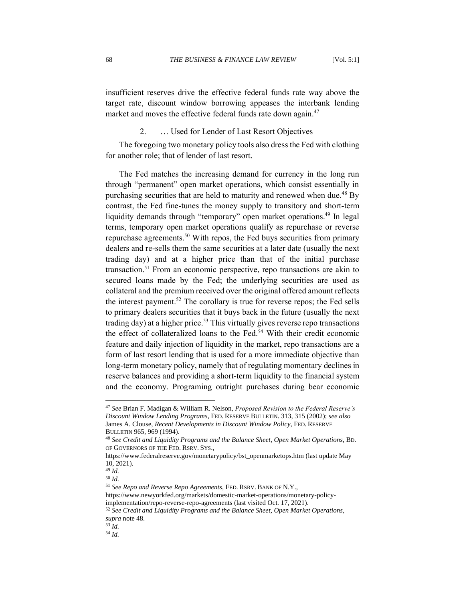insufficient reserves drive the effective federal funds rate way above the target rate, discount window borrowing appeases the interbank lending market and moves the effective federal funds rate down again.<sup>47</sup>

# 2. … Used for Lender of Last Resort Objectives

<span id="page-11-0"></span>The foregoing two monetary policy tools also dress the Fed with clothing for another role; that of lender of last resort.

The Fed matches the increasing demand for currency in the long run through "permanent" open market operations, which consist essentially in purchasing securities that are held to maturity and renewed when due.<sup>48</sup> By contrast, the Fed fine-tunes the money supply to transitory and short-term liquidity demands through "temporary" open market operations.<sup>49</sup> In legal terms, temporary open market operations qualify as repurchase or reverse repurchase agreements.<sup>50</sup> With repos, the Fed buys securities from primary dealers and re-sells them the same securities at a later date (usually the next trading day) and at a higher price than that of the initial purchase transaction.<sup>51</sup> From an economic perspective, repo transactions are akin to secured loans made by the Fed; the underlying securities are used as collateral and the premium received over the original offered amount reflects the interest payment.<sup>52</sup> The corollary is true for reverse repos; the Fed sells to primary dealers securities that it buys back in the future (usually the next trading day) at a higher price.<sup>53</sup> This virtually gives reverse repo transactions the effect of collateralized loans to the Fed.<sup>54</sup> With their credit economic feature and daily injection of liquidity in the market, repo transactions are a form of last resort lending that is used for a more immediate objective than long-term monetary policy, namely that of regulating momentary declines in reserve balances and providing a short-term liquidity to the financial system and the economy. Programing outright purchases during bear economic

<sup>47</sup> *See* Brian F. Madigan & William R. Nelson, *Proposed Revision to the Federal Reserve's Discount Window Lending Programs*, FED. RESERVE BULLETIN. 313, 315 (2002); *see also* James A. Clouse, *Recent Developments in Discount Window Policy*, FED. RESERVE BULLETIN 965, 969 (1994).

<sup>48</sup> *See Credit and Liquidity Programs and the Balance Sheet, Open Market Operations*, BD. OF GOVERNORS OF THE FED. RSRV. SYS.,

https://www.federalreserve.gov/monetarypolicy/bst\_openmarketops.htm (last update May 10, 2021).

<sup>49</sup> *Id.*

<sup>50</sup> *Id.*

<sup>51</sup> *See Repo and Reverse Repo Agreements*, FED. RSRV. BANK OF N.Y.,

https://www.newyorkfed.org/markets/domestic-market-operations/monetary-policyimplementation/repo-reverse-repo-agreements (last visited Oct. 17, 2021).

<sup>52</sup> *See Credit and Liquidity Programs and the Balance Sheet, Open Market Operations*, *supra* note 48.

 $53 \dot{d}$ . <sup>54</sup> *Id.*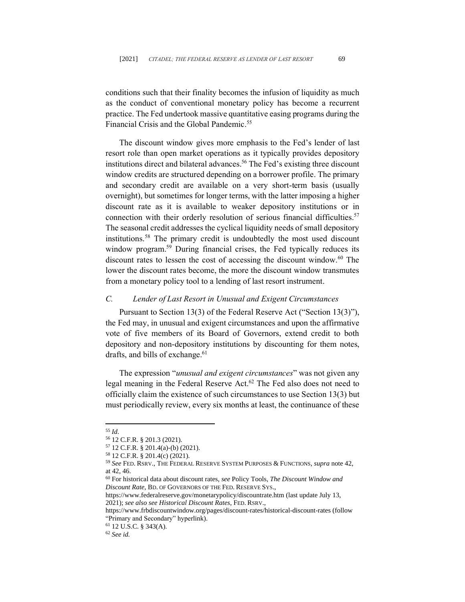conditions such that their finality becomes the infusion of liquidity as much as the conduct of conventional monetary policy has become a recurrent practice. The Fed undertook massive quantitative easing programs during the Financial Crisis and the Global Pandemic. 55

The discount window gives more emphasis to the Fed's lender of last resort role than open market operations as it typically provides depository institutions direct and bilateral advances.<sup>56</sup> The Fed's existing three discount window credits are structured depending on a borrower profile. The primary and secondary credit are available on a very short-term basis (usually overnight), but sometimes for longer terms, with the latter imposing a higher discount rate as it is available to weaker depository institutions or in connection with their orderly resolution of serious financial difficulties.<sup>57</sup> The seasonal credit addresses the cyclical liquidity needs of small depository institutions. <sup>58</sup> The primary credit is undoubtedly the most used discount window program.<sup>59</sup> During financial crises, the Fed typically reduces its discount rates to lessen the cost of accessing the discount window.<sup>60</sup> The lower the discount rates become, the more the discount window transmutes from a monetary policy tool to a lending of last resort instrument.

#### <span id="page-12-0"></span>*C. Lender of Last Resort in Unusual and Exigent Circumstances*

Pursuant to Section 13(3) of the Federal Reserve Act ("Section 13(3)"), the Fed may, in unusual and exigent circumstances and upon the affirmative vote of five members of its Board of Governors, extend credit to both depository and non-depository institutions by discounting for them notes, drafts, and bills of exchange. 61

The expression "*unusual and exigent circumstances*" was not given any legal meaning in the Federal Reserve Act.<sup>62</sup> The Fed also does not need to officially claim the existence of such circumstances to use Section 13(3) but must periodically review, every six months at least, the continuance of these

<sup>62</sup> *See id.*

<sup>55</sup> *Id*.

<sup>56</sup> 12 C.F.R. § 201.3 (2021).

<sup>57</sup> 12 C.F.R. § 201.4(a)-(b) (2021).

<sup>58</sup> 12 C.F.R. § 201.4(c) (2021).

<sup>59</sup> *See* FED. RSRV., THE FEDERAL RESERVE SYSTEM PURPOSES & FUNCTIONS, *supra* note 42, at 42, 46.

<sup>60</sup> For historical data about discount rates, *see* Policy Tools, *The Discount Window and Discount Rate*, BD. OF GOVERNORS OF THE FED. RESERVE SYS.,

https://www.federalreserve.gov/monetarypolicy/discountrate.htm (last update July 13, 2021); *see also see Historical Discount Rates*, FED. RSRV.,

<https://www.frbdiscountwindow.org/pages/discount-rates/historical-discount-rates> (follow "Primary and Secondary" hyperlink).

<sup>61</sup> 12 U.S.C. § 343(A).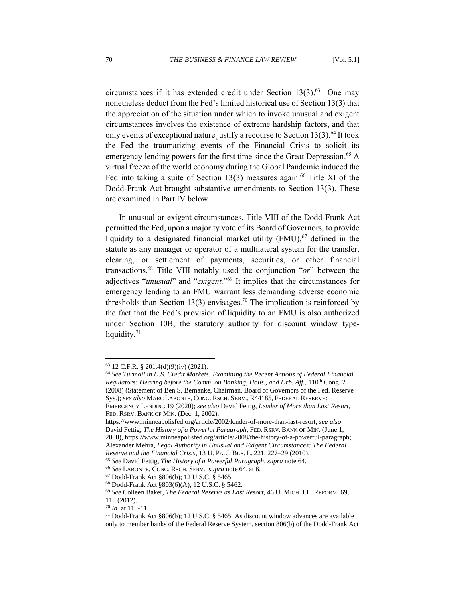circumstances if it has extended credit under Section  $13(3)$ .<sup>63</sup> One may nonetheless deduct from the Fed's limited historical use of Section 13(3) that the appreciation of the situation under which to invoke unusual and exigent circumstances involves the existence of extreme hardship factors, and that only events of exceptional nature justify a recourse to Section 13(3). <sup>64</sup> It took the Fed the traumatizing events of the Financial Crisis to solicit its emergency lending powers for the first time since the Great Depression. <sup>65</sup> A virtual freeze of the world economy during the Global Pandemic induced the Fed into taking a suite of Section 13(3) measures again.<sup>66</sup> Title XI of the Dodd-Frank Act brought substantive amendments to Section 13(3). These are examined in Part IV below.

In unusual or exigent circumstances, Title VIII of the Dodd-Frank Act permitted the Fed, upon a majority vote of its Board of Governors, to provide liquidity to a designated financial market utility (FMU),<sup>67</sup> defined in the statute as any manager or operator of a multilateral system for the transfer, clearing, or settlement of payments, securities, or other financial transactions. <sup>68</sup> Title VIII notably used the conjunction "*or*" between the adjectives "*unusual*" and "*exigent.*" <sup>69</sup> It implies that the circumstances for emergency lending to an FMU warrant less demanding adverse economic thresholds than Section 13(3) envisages.<sup>70</sup> The implication is reinforced by the fact that the Fed's provision of liquidity to an FMU is also authorized under Section 10B, the statutory authority for discount window typeliquidity.<sup>71</sup>

FED. RSRV. BANK OF MIN. (Dec. 1, 2002),

https://www.minneapolisfed.org/article/2002/lender-of-more-than-last-resort; *see also* David Fettig, *The History of a Powerful Paragraph*, FED. RSRV. BANK OF MIN. (June 1, 2008), https://www.minneapolisfed.org/article/2008/the-history-of-a-powerful-paragraph; Alexander Mehra, *Legal Authority in Unusual and Exigent Circumstances: The Federal Reserve and the Financial Crisis*, 13 U. PA.J. BUS. L. 221, 227–29 (2010).

 $63$  12 C.F.R. § 201.4(d)(9)(iv) (2021).

<sup>64</sup> *See Turmoil in U.S. Credit Markets: Examining the Recent Actions of Federal Financial Regulators: Hearing before the Comm. on Banking, Hous., and Urb. Aff., 110<sup>th</sup> Cong. 2* (2008) (Statement of Ben S. Bernanke, Chairman, Board of Governors of the Fed. Reserve Sys.); *see also* MARC LABONTE, CONG. RSCH. SERV., R44185, FEDERAL RESERVE: EMERGENCY LENDING 19 (2020); *see also* David Fettig, *Lender of More than Last Resort*,

<sup>65</sup> *See* David Fettig, *The History of a Powerful Paragraph*, *supra* note 64.

<sup>66</sup> *See* LABONTE, CONG. RSCH. SERV., *supra* note 64, at 6.

<sup>67</sup> Dodd-Frank Act §806(b); 12 U.S.C. § 5465.

<sup>68</sup> Dodd-Frank Act §803(6)(A); 12 U.S.C. § 5462.

<sup>69</sup> *See* Colleen Baker, *The Federal Reserve as Last Resort*, 46 U. MICH. J.L. REFORM 69, 110 (2012).

<sup>70</sup> *Id.* at 110-11.

<sup>71</sup> Dodd-Frank Act §806(b); 12 U.S.C. § 5465. As discount window advances are available only to member banks of the Federal Reserve System, section 806(b) of the Dodd-Frank Act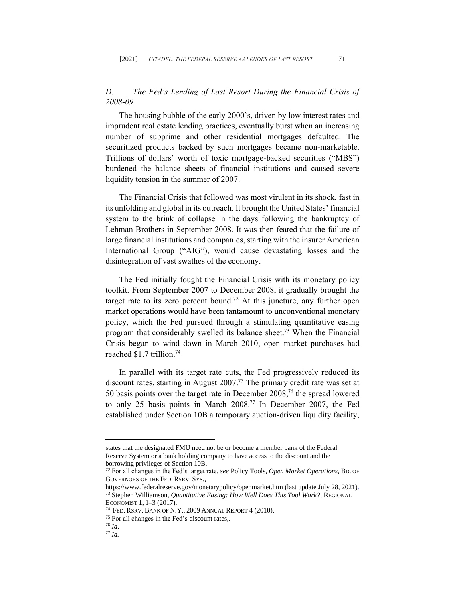# <span id="page-14-0"></span>*D. The Fed's Lending of Last Resort During the Financial Crisis of 2008-09*

The housing bubble of the early 2000's, driven by low interest rates and imprudent real estate lending practices, eventually burst when an increasing number of subprime and other residential mortgages defaulted. The securitized products backed by such mortgages became non-marketable. Trillions of dollars' worth of toxic mortgage-backed securities ("MBS") burdened the balance sheets of financial institutions and caused severe liquidity tension in the summer of 2007.

The Financial Crisis that followed was most virulent in its shock, fast in its unfolding and global in its outreach. It brought the United States' financial system to the brink of collapse in the days following the bankruptcy of Lehman Brothers in September 2008. It was then feared that the failure of large financial institutions and companies, starting with the insurer American International Group ("AIG"), would cause devastating losses and the disintegration of vast swathes of the economy.

The Fed initially fought the Financial Crisis with its monetary policy toolkit. From September 2007 to December 2008, it gradually brought the target rate to its zero percent bound.<sup>72</sup> At this juncture, any further open market operations would have been tantamount to unconventional monetary policy, which the Fed pursued through a stimulating quantitative easing program that considerably swelled its balance sheet.<sup>73</sup> When the Financial Crisis began to wind down in March 2010, open market purchases had reached \$1.7 trillion. 74

In parallel with its target rate cuts, the Fed progressively reduced its discount rates, starting in August 2007. <sup>75</sup> The primary credit rate was set at 50 basis points over the target rate in December 2008, <sup>76</sup> the spread lowered to only 25 basis points in March 2008. <sup>77</sup> In December 2007, the Fed established under Section 10B a temporary auction-driven liquidity facility,

states that the designated FMU need not be or become a member bank of the Federal Reserve System or a bank holding company to have access to the discount and the borrowing privileges of Section 10B.

<sup>72</sup> For all changes in the Fed's target rate, *see* Policy Tools, *Open Market Operations*, BD. OF GOVERNORS OF THE FED. RSRV. SYS.,

https://www.federalreserve.gov/monetarypolicy/openmarket.htm (last update July 28, 2021).

<sup>73</sup> Stephen Williamson, *Quantitative Easing: How Well Does This Tool Work?*, REGIONAL ECONOMIST 1, 1–3 (2017).

<sup>74</sup> FED. RSRV. BANK OF N.Y., 2009 ANNUAL REPORT 4 (2010).

<sup>&</sup>lt;sup>75</sup> For all changes in the Fed's discount rates,.

<sup>76</sup> *Id*.

<sup>77</sup> *Id.*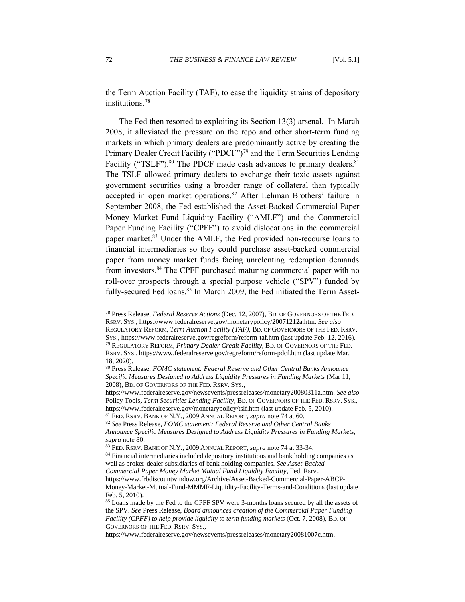the Term Auction Facility (TAF), to ease the liquidity strains of depository institutions. 78

The Fed then resorted to exploiting its Section 13(3) arsenal. In March 2008, it alleviated the pressure on the repo and other short-term funding markets in which primary dealers are predominantly active by creating the Primary Dealer Credit Facility ("PDCF")<sup>79</sup> and the Term Securities Lending Facility ("TSLF").<sup>80</sup> The PDCF made cash advances to primary dealers.<sup>81</sup> The TSLF allowed primary dealers to exchange their toxic assets against government securities using a broader range of collateral than typically accepted in open market operations. <sup>82</sup> After Lehman Brothers' failure in September 2008, the Fed established the Asset-Backed Commercial Paper Money Market Fund Liquidity Facility ("AMLF") and the Commercial Paper Funding Facility ("CPFF") to avoid dislocations in the commercial paper market.<sup>83</sup> Under the AMLF, the Fed provided non-recourse loans to financial intermediaries so they could purchase asset-backed commercial paper from money market funds facing unrelenting redemption demands from investors. <sup>84</sup> The CPFF purchased maturing commercial paper with no roll-over prospects through a special purpose vehicle ("SPV") funded by fully-secured Fed loans.<sup>85</sup> In March 2009, the Fed initiated the Term Asset-

<sup>78</sup> Press Release, *Federal Reserve Actions* (Dec. 12, 2007), BD. OF GOVERNORS OF THE FED. RSRV. SYS., https://www.federalreserve.gov/monetarypolicy/20071212a.htm. *See also* REGULATORY REFORM*, Term Auction Facility (TAF)*, BD. OF GOVERNORS OF THE FED. RSRV. SYS., https://www.federalreserve.gov/regreform/reform-taf.htm (last update Feb. 12, 2016). <sup>79</sup> REGULATORY REFORM*, Primary Dealer Credit Facility*, BD. OF GOVERNORS OF THE FED. RSRV. SYS., https://www.federalreserve.gov/regreform/reform-pdcf.htm (last update Mar.

<sup>18, 2020).</sup> <sup>80</sup> Press Release, *FOMC statement: Federal Reserve and Other Central Banks Announce* 

*Specific Measures Designed to Address Liquidity Pressures in Funding Markets* (Mar 11, 2008), BD. OF GOVERNORS OF THE FED. RSRV. SYS.,

https://www.federalreserve.gov/newsevents/pressreleases/monetary20080311a.htm. *See also* Policy Tools, *Term Securities Lending Facility*, BD. OF GOVERNORS OF THE FED. RSRV. SYS., https://www.federalreserve.gov/monetarypolicy/tslf.htm (last update Feb. 5, 2010). <sup>81</sup> FED. RSRV. BANK OF N.Y., 2009 ANNUAL REPORT, *supra* note 74 at 60.

<sup>82</sup> *See* Press Release, *FOMC statement: Federal Reserve and Other Central Banks Announce Specific Measures Designed to Address Liquidity Pressures in Funding Markets*, *supra* note 80.

<sup>83</sup> FED. RSRV. BANK OF N.Y., 2009 ANNUAL REPORT, *supra* note 74 at 33-34.

<sup>84</sup> Financial intermediaries included depository institutions and bank holding companies as well as broker-dealer subsidiaries of bank holding companies. *See Asset-Backed Commercial Paper Money Market Mutual Fund Liquidity Facility*, Fed. Rsrv.,

https://www.frbdiscountwindow.org/Archive/Asset-Backed-Commercial-Paper-ABCP-Money-Market-Mutual-Fund-MMMF-Liquidity-Facility-Terms-and-Conditions (last update Feb. 5, 2010).

<sup>85</sup> Loans made by the Fed to the CPFF SPV were 3-months loans secured by all the assets of the SPV. *See* Press Release, *Board announces creation of the Commercial Paper Funding Facility (CPFF) to help provide liquidity to term funding markets* (Oct. 7, 2008), BD. OF GOVERNORS OF THE FED. RSRV. SYS.,

[https://www.federalreserve.gov/newsevents/pressreleases/monetary20081007c.htm.](https://www.federalreserve.gov/newsevents/pressreleases/monetary20081007c.htm)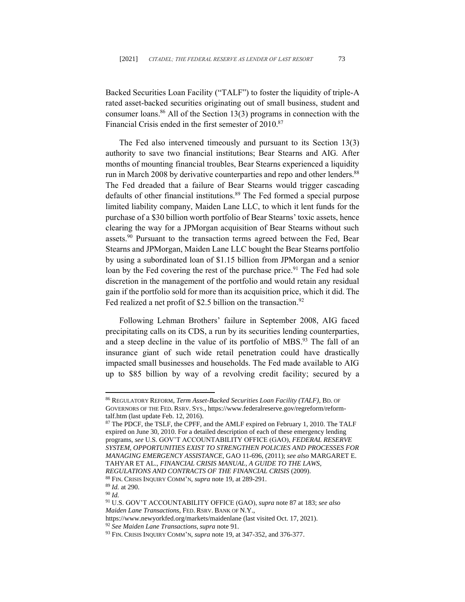Backed Securities Loan Facility ("TALF") to foster the liquidity of triple-A rated asset-backed securities originating out of small business, student and consumer loans. <sup>86</sup> All of the Section 13(3) programs in connection with the Financial Crisis ended in the first semester of 2010. 87

The Fed also intervened timeously and pursuant to its Section 13(3) authority to save two financial institutions; Bear Stearns and AIG. After months of mounting financial troubles, Bear Stearns experienced a liquidity run in March 2008 by derivative counterparties and repo and other lenders.<sup>88</sup> The Fed dreaded that a failure of Bear Stearns would trigger cascading defaults of other financial institutions.<sup>89</sup> The Fed formed a special purpose limited liability company, Maiden Lane LLC, to which it lent funds for the purchase of a \$30 billion worth portfolio of Bear Stearns' toxic assets, hence clearing the way for a JPMorgan acquisition of Bear Stearns without such assets.<sup>90</sup> Pursuant to the transaction terms agreed between the Fed, Bear Stearns and JPMorgan, Maiden Lane LLC bought the Bear Stearns portfolio by using a subordinated loan of \$1.15 billion from JPMorgan and a senior loan by the Fed covering the rest of the purchase price.<sup>91</sup> The Fed had sole discretion in the management of the portfolio and would retain any residual gain if the portfolio sold for more than its acquisition price, which it did. The Fed realized a net profit of \$2.5 billion on the transaction.<sup>92</sup>

Following Lehman Brothers' failure in September 2008, AIG faced precipitating calls on its CDS, a run by its securities lending counterparties, and a steep decline in the value of its portfolio of MBS.<sup>93</sup> The fall of an insurance giant of such wide retail penetration could have drastically impacted small businesses and households. The Fed made available to AIG up to \$85 billion by way of a revolving credit facility; secured by a

https://www.newyorkfed.org/markets/maidenlane (last visited Oct. 17, 2021). <sup>92</sup> *See Maiden Lane Transactions*,*supra* note 91.

<sup>86</sup> REGULATORY REFORM*, Term Asset-Backed Securities Loan Facility (TALF)*, BD. OF GOVERNORS OF THE FED. RSRV. SYS., https://www.federalreserve.gov/regreform/reformtalf.htm (last update Feb. 12, 2016).

<sup>87</sup> The PDCF, the TSLF, the CPFF, and the AMLF expired on February 1, 2010. The TALF expired on June 30, 2010. For a detailed description of each of these emergency lending programs, *see* U.S. GOV'T ACCOUNTABILITY OFFICE (GAO), *FEDERAL RESERVE SYSTEM, OPPORTUNITIES EXIST TO STRENGTHEN POLICIES AND PROCESSES FOR MANAGING EMERGENCY ASSISTANCE*, GAO 11-696, (2011); *see also* MARGARET E. TAHYAR ET AL., *FINANCIAL CRISIS MANUAL, A GUIDE TO THE LAWS, REGULATIONS AND CONTRACTS OF THE FINANCIAL CRISIS* (2009). <sup>88</sup> FIN. CRISIS INQUIRY COMM'N, *supra* note 19, at 289-291.

<sup>89</sup> *Id.* at 290.

<sup>90</sup> *Id.*

<sup>91</sup> U.S. GOV'T ACCOUNTABILITY OFFICE (GAO), *supra* note 87 at 183; *see also Maiden Lane Transactions*, FED. RSRV. BANK OF N.Y.,

<sup>93</sup> FIN. CRISIS INQUIRY COMM'N, *supra* note 19, at 347-352, and 376-377.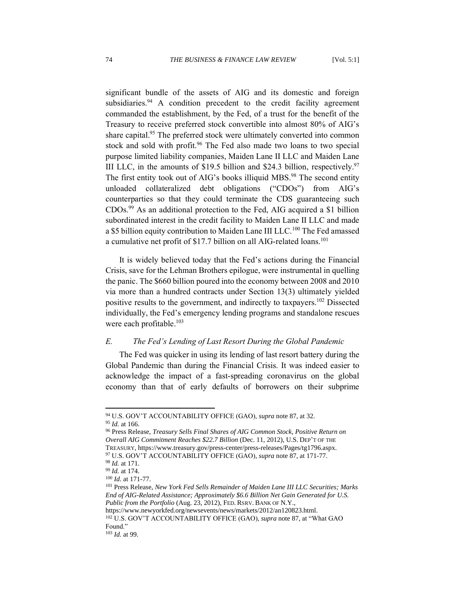significant bundle of the assets of AIG and its domestic and foreign subsidiaries.<sup>94</sup> A condition precedent to the credit facility agreement commanded the establishment, by the Fed, of a trust for the benefit of the Treasury to receive preferred stock convertible into almost 80% of AIG's share capital.<sup>95</sup> The preferred stock were ultimately converted into common stock and sold with profit.<sup>96</sup> The Fed also made two loans to two special purpose limited liability companies, Maiden Lane II LLC and Maiden Lane III LLC, in the amounts of \$19.5 billion and \$24.3 billion, respectively.<sup>97</sup> The first entity took out of AIG's books illiquid MBS.<sup>98</sup> The second entity unloaded collateralized debt obligations ("CDOs") from AIG's counterparties so that they could terminate the CDS guaranteeing such CDOs.<sup>99</sup> As an additional protection to the Fed, AIG acquired a \$1 billion subordinated interest in the credit facility to Maiden Lane II LLC and made a \$5 billion equity contribution to Maiden Lane III LLC.<sup>100</sup> The Fed amassed a cumulative net profit of \$17.7 billion on all AIG-related loans.<sup>101</sup>

It is widely believed today that the Fed's actions during the Financial Crisis, save for the Lehman Brothers epilogue, were instrumental in quelling the panic. The \$660 billion poured into the economy between 2008 and 2010 via more than a hundred contracts under Section 13(3) ultimately yielded positive results to the government, and indirectly to taxpayers.<sup>102</sup> Dissected individually, the Fed's emergency lending programs and standalone rescues were each profitable.<sup>103</sup>

#### <span id="page-17-0"></span>*E. The Fed's Lending of Last Resort During the Global Pandemic*

The Fed was quicker in using its lending of last resort battery during the Global Pandemic than during the Financial Crisis. It was indeed easier to acknowledge the impact of a fast-spreading coronavirus on the global economy than that of early defaults of borrowers on their subprime

<sup>102</sup> U.S. GOV'T ACCOUNTABILITY OFFICE (GAO), *supra* note 87, at "What GAO Found."

<sup>94</sup> U.S. GOV'T ACCOUNTABILITY OFFICE (GAO), *supra* note 87, at 32. <sup>95</sup> *Id.* at 166.

<sup>96</sup> Press Release, *Treasury Sells Final Shares of AIG Common Stock, Positive Return on Overall AIG Commitment Reaches \$22.7 Billion* (Dec. 11, 2012), U.S. DEP'T OF THE TREASURY, https://www.treasury.gov/press-center/press-releases/Pages/tg1796.aspx. <sup>97</sup> U.S. GOV'T ACCOUNTABILITY OFFICE (GAO), *supra* note 87, at 171-77.

<sup>98</sup> *Id.* at 171.

<sup>99</sup> *Id.* at 174.

<sup>100</sup> *Id*. at 171-77.

<sup>101</sup> Press Release, *New York Fed Sells Remainder of Maiden Lane III LLC Securities; Marks End of AIG-Related Assistance; Approximately \$6.6 Billion Net Gain Generated for U.S. Public from the Portfolio* (Aug. 23, 2012), FED. RSRV. BANK OF N.Y., [https://www.newyorkfed.org/newsevents/news/markets/2012/an120823.html.](https://www.newyorkfed.org/newsevents/news/markets/2012/an120823.html)

<sup>103</sup> *Id.* at 99.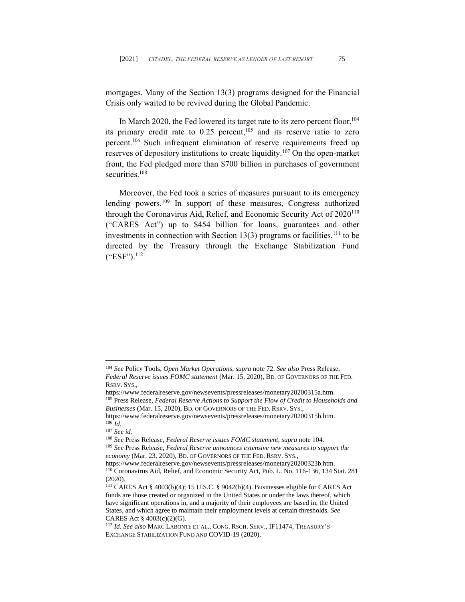mortgages. Many of the Section 13(3) programs designed for the Financial Crisis only waited to be revived during the Global Pandemic.

In March 2020, the Fed lowered its target rate to its zero percent floor,<sup>104</sup> its primary credit rate to  $0.25$  percent,<sup>105</sup> and its reserve ratio to zero percent. <sup>106</sup> Such infrequent elimination of reserve requirements freed up reserves of depository institutions to create liquidity.<sup>107</sup> On the open-market front, the Fed pledged more than \$700 billion in purchases of government securities. 108

Moreover, the Fed took a series of measures pursuant to its emergency lending powers.<sup>109</sup> In support of these measures, Congress authorized through the Coronavirus Aid, Relief, and Economic Security Act of  $2020^{110}$ ("CARES Act") up to \$454 billion for loans, guarantees and other investments in connection with Section 13(3) programs or facilities,  $^{111}$  to be directed by the Treasury through the Exchange Stabilization Fund ("ESF"). 112

<sup>104</sup> *See* Policy Tools, *Open Market Operations*, *supra* note 72. *See also* Press Release, *Federal Reserve issues FOMC statement* (Mar. 15, 2020), BD. OF GOVERNORS OF THE FED. RSRV. SYS.,

https://www.federalreserve.gov/newsevents/pressreleases/monetary20200315a.htm. <sup>105</sup> Press Release, *Federal Reserve Actions to Support the Flow of Credit to Households and Businesses* (Mar. 15, 2020), BD. OF GOVERNORS OF THE FED. RSRV. SYS.,

https://www.federalreserve.gov/newsevents/pressreleases/monetary20200315b.htm.  $^{106}$ *Id.* 

<sup>107</sup> *See id.*

<sup>108</sup> *See* Press Release, *Federal Reserve issues FOMC statement*, *supra* note 104*.* <sup>109</sup> *See* Press Release, *Federal Reserve announces extensive new measures to support the* 

*economy* (Mar. 23, 2020), BD. OF GOVERNORS OF THE FED. RSRV. SYS.,

https://www.federalreserve.gov/newsevents/pressreleases/monetary20200323b.htm. <sup>110</sup> Coronavirus Aid, Relief, and Economic Security Act, Pub. L. No. 116-136, 134 Stat. 281 (2020).

 $111$  CARES Act § 4003(b)(4); 15 U.S.C. § 9042(b)(4). Businesses eligible for CARES Act funds are those created or organized in the United States or under the laws thereof, which have significant operations in, and a majority of their employees are based in, the United States, and which agree to maintain their employment levels at certain thresholds. *See* CARES Act § 4003(c)(2)(G).

<sup>112</sup> *Id. See also* MARC LABONTE ET AL., CONG. RSCH. SERV., IF11474, TREASURY'S EXCHANGE STABILIZATION FUND AND COVID-19 (2020).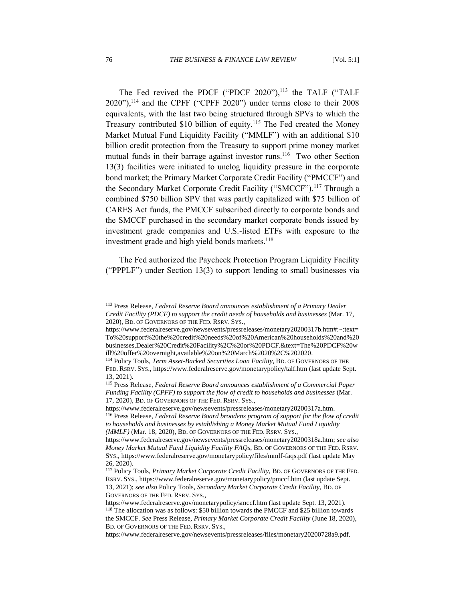The Fed revived the PDCF ("PDCF  $2020$ "),<sup>113</sup> the TALF ("TALF  $2020$ "),<sup>114</sup> and the CPFF ("CPFF 2020") under terms close to their 2008 equivalents, with the last two being structured through SPVs to which the Treasury contributed \$10 billion of equity.<sup>115</sup> The Fed created the Money Market Mutual Fund Liquidity Facility ("MMLF") with an additional \$10 billion credit protection from the Treasury to support prime money market mutual funds in their barrage against investor runs. <sup>116</sup> Two other Section 13(3) facilities were initiated to unclog liquidity pressure in the corporate bond market; the Primary Market Corporate Credit Facility ("PMCCF") and the Secondary Market Corporate Credit Facility ("SMCCF").<sup>117</sup> Through a combined \$750 billion SPV that was partly capitalized with \$75 billion of CARES Act funds, the PMCCF subscribed directly to corporate bonds and the SMCCF purchased in the secondary market corporate bonds issued by investment grade companies and U.S.-listed ETFs with exposure to the investment grade and high yield bonds markets.<sup>118</sup>

The Fed authorized the Paycheck Protection Program Liquidity Facility ("PPPLF") under Section 13(3) to support lending to small businesses via

<sup>113</sup> Press Release, *Federal Reserve Board announces establishment of a Primary Dealer Credit Facility (PDCF) to support the credit needs of households and businesses* (Mar. 17, 2020), BD. OF GOVERNORS OF THE FED. RSRV. SYS.,

https://www.federalreserve.gov/newsevents/pressreleases/monetary20200317b.htm#:~:text= To%20support%20the%20credit%20needs%20of%20American%20households%20and%20 businesses,Dealer%20Credit%20Facility%2C%20or%20PDCF.&text=The%20PDCF%20w ill%20offer%20overnight,available%20on%20March%2020%2C%202020.

<sup>114</sup> Policy Tools, *Term Asset-Backed Securities Loan Facility*, BD. OF GOVERNORS OF THE FED. RSRV. SYS., https://www.federalreserve.gov/monetarypolicy/talf.htm (last update Sept. 13, 2021).

<sup>115</sup> Press Release, *Federal Reserve Board announces establishment of a Commercial Paper Funding Facility (CPFF) to support the flow of credit to households and businesses* (Mar. 17, 2020), BD. OF GOVERNORS OF THE FED. RSRV. SYS.,

https://www.federalreserve.gov/newsevents/pressreleases/monetary20200317a.htm. <sup>116</sup> Press Release, *Federal Reserve Board broadens program of support for the flow of credit to households and businesses by establishing a Money Market Mutual Fund Liquidity (MMLF)* (Mar. 18, 2020), BD. OF GOVERNORS OF THE FED. RSRV. SYS.,

https://www.federalreserve.gov/newsevents/pressreleases/monetary20200318a.htm; *see also Money Market Mutual Fund Liquidity Facility FAQs*, BD. OF GOVERNORS OF THE FED. RSRV. SYS., https://www.federalreserve.gov/monetarypolicy/files/mmlf-faqs.pdf (last update May 26, 2020).

<sup>117</sup> Policy Tools, *Primary Market Corporate Credit Facility*, BD. OF GOVERNORS OF THE FED. RSRV. SYS., https://www.federalreserve.gov/monetarypolicy/pmccf.htm (last update Sept. 13, 2021); *see also* Policy Tools, *Secondary Market Corporate Credit Facility*, BD. OF GOVERNORS OF THE FED. RSRV. SYS.,

https://www.federalreserve.gov/monetarypolicy/smccf.htm (last update Sept. 13, 2021). <sup>118</sup> The allocation was as follows: \$50 billion towards the PMCCF and \$25 billion towards the SMCCF. *See* Press Release, *Primary Market Corporate Credit Facility* (June 18, 2020), BD. OF GOVERNORS OF THE FED. RSRV. SYS.,

https://www.federalreserve.gov/newsevents/pressreleases/files/monetary20200728a9.pdf.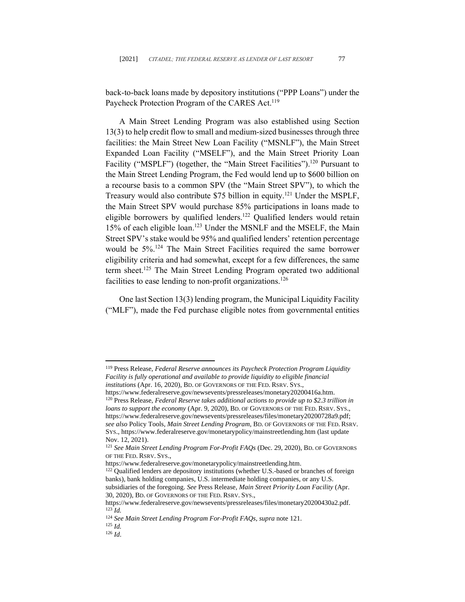back-to-back loans made by depository institutions ("PPP Loans") under the Paycheck Protection Program of the CARES Act.<sup>119</sup>

A Main Street Lending Program was also established using Section 13(3) to help credit flow to small and medium-sized businesses through three facilities: the Main Street New Loan Facility ("MSNLF"), the Main Street Expanded Loan Facility ("MSELF"), and the Main Street Priority Loan Facility ("MSPLF") (together, the "Main Street Facilities").<sup>120</sup> Pursuant to the Main Street Lending Program, the Fed would lend up to \$600 billion on a recourse basis to a common SPV (the "Main Street SPV"), to which the Treasury would also contribute \$75 billion in equity.<sup>121</sup> Under the MSPLF, the Main Street SPV would purchase 85% participations in loans made to eligible borrowers by qualified lenders.<sup>122</sup> Qualified lenders would retain 15% of each eligible loan. <sup>123</sup> Under the MSNLF and the MSELF, the Main Street SPV's stake would be 95% and qualified lenders' retention percentage would be 5%.<sup>124</sup> The Main Street Facilities required the same borrower eligibility criteria and had somewhat, except for a few differences, the same term sheet. <sup>125</sup> The Main Street Lending Program operated two additional facilities to ease lending to non-profit organizations.<sup>126</sup>

One last Section 13(3) lending program, the Municipal Liquidity Facility ("MLF"), made the Fed purchase eligible notes from governmental entities

<sup>119</sup> Press Release, *Federal Reserve announces its Paycheck Protection Program Liquidity Facility is fully operational and available to provide liquidity to eligible financial institutions* (Apr. 16, 2020), BD. OF GOVERNORS OF THE FED. RSRV. SYS.,

https://www.federalreserve.gov/newsevents/pressreleases/monetary20200416a.htm. <sup>120</sup> Press Release, *Federal Reserve takes additional actions to provide up to \$2.3 trillion in loans to support the economy* (Apr. 9, 2020), BD. OF GOVERNORS OF THE FED. RSRV. SYS., https://www.federalreserve.gov/newsevents/pressreleases/files/monetary20200728a9.pdf; *see also* Policy Tools*, Main Street Lending Program*, BD. OF GOVERNORS OF THE FED. RSRV. SYS., https://www.federalreserve.gov/monetarypolicy/mainstreetlending.htm (last update Nov. 12, 2021).

<sup>121</sup> *See Main Street Lending Program For-Profit FAQs* (Dec. 29, 2020), BD. OF GOVERNORS OF THE FED. RSRV. SYS.,

[https://www.federalreserve.gov/monetarypolicy/mainstreetlending.htm.](https://www.federalreserve.gov/monetarypolicy/mainstreetlending.htm)

<sup>&</sup>lt;sup>122</sup> Qualified lenders are depository institutions (whether U.S.-based or branches of foreign banks), bank holding companies, U.S. intermediate holding companies, or any U.S. subsidiaries of the foregoing. *See* Press Release, *Main Street Priority Loan Facility* (Apr.

<sup>30, 2020),</sup> BD. OF GOVERNORS OF THE FED. RSRV. SYS.,

https://www.federalreserve.gov/newsevents/pressreleases/files/monetary20200430a2.pdf. <sup>123</sup> *Id.*

<sup>124</sup> *See Main Street Lending Program For-Profit FAQs*, *supra* note 121.

<sup>125</sup> *Id.* <sup>126</sup> *Id*.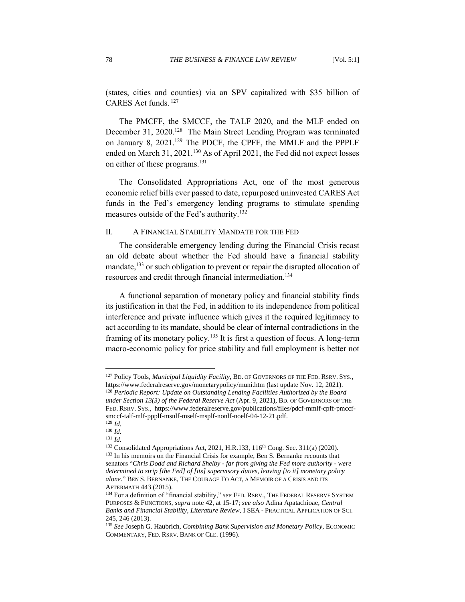(states, cities and counties) via an SPV capitalized with \$35 billion of CARES Act funds. 127

The PMCFF, the SMCCF, the TALF 2020, and the MLF ended on December 31, 2020.<sup>128</sup> The Main Street Lending Program was terminated on January 8, 2021.<sup>129</sup> The PDCF, the CPFF, the MMLF and the PPPLF ended on March 31, 2021.<sup>130</sup> As of April 2021, the Fed did not expect losses on either of these programs.<sup>131</sup>

The Consolidated Appropriations Act, one of the most generous economic relief bills ever passed to date, repurposed uninvested CARES Act funds in the Fed's emergency lending programs to stimulate spending measures outside of the Fed's authority.<sup>132</sup>

### <span id="page-21-0"></span>II. A FINANCIAL STABILITY MANDATE FOR THE FED

The considerable emergency lending during the Financial Crisis recast an old debate about whether the Fed should have a financial stability mandate, $133$  or such obligation to prevent or repair the disrupted allocation of resources and credit through financial intermediation.<sup>134</sup>

A functional separation of monetary policy and financial stability finds its justification in that the Fed, in addition to its independence from political interference and private influence which gives it the required legitimacy to act according to its mandate, should be clear of internal contradictions in the framing of its monetary policy.<sup>135</sup> It is first a question of focus. A long-term macro-economic policy for price stability and full employment is better not

<sup>127</sup> Policy Tools*, Municipal Liquidity Facility*, BD. OF GOVERNORS OF THE FED. RSRV. SYS., https://www.federalreserve.gov/monetarypolicy/muni.htm (last update Nov. 12, 2021).

<sup>128</sup> *Periodic Report: Update on Outstanding Lending Facilities Authorized by the Board under Section 13(3) of the Federal Reserve Act* (Apr. 9, 2021), BD. OF GOVERNORS OF THE FED. RSRV. SYS., https://www.federalreserve.gov/publications/files/pdcf-mmlf-cpff-pmccfsmccf-talf-mlf-ppplf-msnlf-mself-msplf-nonlf-noelf-04-12-21.pdf. <sup>129</sup> *Id.*

<sup>130</sup> *Id.*

<sup>131</sup> *Id.*

 $132$  Consolidated Appropriations Act, 2021, H.R.133, 116<sup>th</sup> Cong. Sec. 311(a) (2020). <sup>133</sup> In his memoirs on the Financial Crisis for example, Ben S. Bernanke recounts that senators "*Chris Dodd and Richard Shelby - far from giving the Fed more authority - were determined to strip [the Fed] of [its] supervisory duties, leaving [to it] monetary policy alone.*" BEN S. BERNANKE, THE COURAGE TO ACT, A MEMOIR OF A CRISIS AND ITS AFTERMATH 443 (2015).

<sup>134</sup> For a definition of "financial stability," *see* FED. RSRV., THE FEDERAL RESERVE SYSTEM PURPOSES & FUNCTIONS, *supra* note 42, at 15-17; *see also* Adina Apatachioae, *Central Banks and Financial Stability, Literature Review,* I SEA - PRACTICAL APPLICATION OF SCI. 245, 246 (2013).

<sup>135</sup> *See* Joseph G. Haubrich, *Combining Bank Supervision and Monetary Policy*, ECONOMIC COMMENTARY, FED. RSRV. BANK OF CLE. (1996).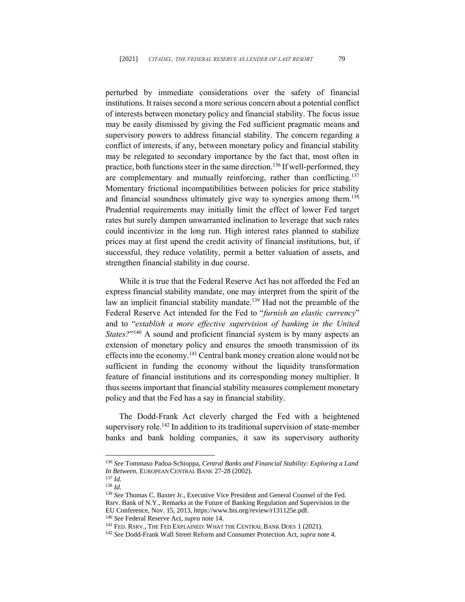perturbed by immediate considerations over the safety of financial institutions. It raises second a more serious concern about a potential conflict of interests between monetary policy and financial stability. The focus issue may be easily dismissed by giving the Fed sufficient pragmatic means and supervisory powers to address financial stability. The concern regarding a conflict of interests, if any, between monetary policy and financial stability may be relegated to secondary importance by the fact that, most often in practice, both functions steer in the same direction.<sup>136</sup> If well-performed, they are complementary and mutually reinforcing, rather than conflicting.<sup>137</sup> Momentary frictional incompatibilities between policies for price stability and financial soundness ultimately give way to synergies among them.<sup>138</sup> Prudential requirements may initially limit the effect of lower Fed target rates but surely dampen unwarranted inclination to leverage that such rates could incentivize in the long run. High interest rates planned to stabilize prices may at first upend the credit activity of financial institutions, but, if successful, they reduce volatility, permit a better valuation of assets, and strengthen financial stability in due course.

While it is true that the Federal Reserve Act has not afforded the Fed an express financial stability mandate, one may interpret from the spirit of the law an implicit financial stability mandate.<sup>139</sup> Had not the preamble of the Federal Reserve Act intended for the Fed to "*furnish an elastic currency*" and to "*establish a more effective supervision of banking in the United*  States?"<sup>140</sup> A sound and proficient financial system is by many aspects an extension of monetary policy and ensures the smooth transmission of its effects into the economy.<sup>141</sup> Central bank money creation alone would not be sufficient in funding the economy without the liquidity transformation feature of financial institutions and its corresponding money multiplier. It thus seems important that financial stability measures complement monetary policy and that the Fed has a say in financial stability.

The Dodd-Frank Act cleverly charged the Fed with a heightened supervisory role.<sup>142</sup> In addition to its traditional supervision of state-member banks and bank holding companies, it saw its supervisory authority

<sup>136</sup> *See* Tommaso Padoa-Schioppa, *Central Banks and Financial Stability: Exploring a Land In Between*, EUROPEAN CENTRAL BANK 27-28 (2002).

<sup>137</sup> *Id.*

<sup>138</sup> *Id*.

<sup>139</sup> *See* Thomas C. Baxter Jr., Executive Vice President and General Counsel of the Fed. Rsrv. Bank of N.Y., Remarks at the Future of Banking Regulation and Supervision in the EU Conference, Nov. 15, 2013, https://www.bis.org/review/r131125e.pdf.

<sup>140</sup> *See* Federal Reserve Act, *supra* note 14.

<sup>&</sup>lt;sup>141</sup> FED. RSRV., THE FED EXPLAINED: WHAT THE CENTRAL BANK DOES 1 (2021).

<sup>142</sup> *See* Dodd-Frank Wall Street Reform and Consumer Protection Act, *supra* note 4.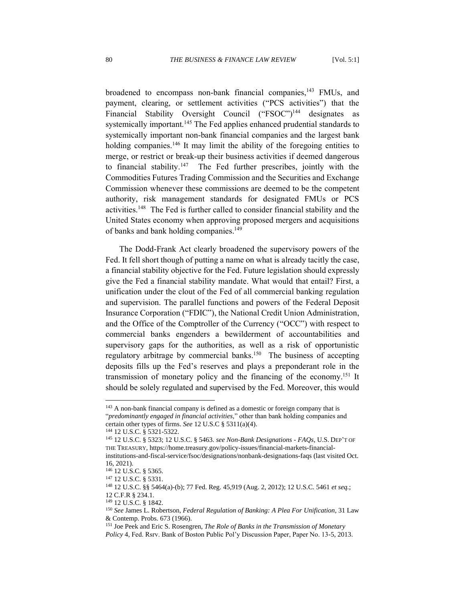broadened to encompass non-bank financial companies,<sup>143</sup> FMUs, and payment, clearing, or settlement activities ("PCS activities") that the Financial Stability Oversight Council ("FSOC")<sup>144</sup> designates as systemically important.<sup>145</sup> The Fed applies enhanced prudential standards to systemically important non-bank financial companies and the largest bank holding companies.<sup>146</sup> It may limit the ability of the foregoing entities to merge, or restrict or break-up their business activities if deemed dangerous to financial stability.<sup>147</sup> The Fed further prescribes, jointly with the Commodities Futures Trading Commission and the Securities and Exchange Commission whenever these commissions are deemed to be the competent authority, risk management standards for designated FMUs or PCS activities. <sup>148</sup> The Fed is further called to consider financial stability and the United States economy when approving proposed mergers and acquisitions of banks and bank holding companies.<sup>149</sup>

The Dodd-Frank Act clearly broadened the supervisory powers of the Fed. It fell short though of putting a name on what is already tacitly the case, a financial stability objective for the Fed. Future legislation should expressly give the Fed a financial stability mandate. What would that entail? First, a unification under the clout of the Fed of all commercial banking regulation and supervision. The parallel functions and powers of the Federal Deposit Insurance Corporation ("FDIC"), the National Credit Union Administration, and the Office of the Comptroller of the Currency ("OCC") with respect to commercial banks engenders a bewilderment of accountabilities and supervisory gaps for the authorities, as well as a risk of opportunistic regulatory arbitrage by commercial banks.<sup>150</sup> The business of accepting deposits fills up the Fed's reserves and plays a preponderant role in the transmission of monetary policy and the financing of the economy. <sup>151</sup> It should be solely regulated and supervised by the Fed. Moreover, this would

<sup>&</sup>lt;sup>143</sup> A non-bank financial company is defined as a domestic or foreign company that is "*predominantly engaged in financial activities,*" other than bank holding companies and certain other types of firms. *See* 12 U.S.C § 5311(a)(4).

<sup>144</sup> 12 U.S.C. § 5321-5322.

<sup>145</sup> 12 U.S.C. § 5323; 12 U.S.C. § 5463. *see Non-Bank Designations - FAQs*, U.S. DEP'T OF THE TREASURY, https://home.treasury.gov/policy-issues/financial-markets-financialinstitutions-and-fiscal-service/fsoc/designations/nonbank-designations-faqs (last visited Oct.

<sup>16, 2021).</sup>

<sup>146</sup> 12 U.S.C. § 5365.

<sup>147</sup> 12 U.S.C. § 5331.

<sup>148</sup> 12 U.S.C. §§ 5464(a)-(b); 77 Fed. Reg. 45,919 (Aug. 2, 2012); 12 U.S.C. 5461 *et seq.*; 12 C.F.R § 234.1.

<sup>149</sup> 12 U.S.C. § 1842.

<sup>150</sup> *See* James L. Robertson, *Federal Regulation of Banking: A Plea For Unification*, 31 Law & Contemp. Probs. 673 (1966).

<sup>151</sup> Joe Peek and Eric S. Rosengren, *The Role of Banks in the Transmission of Monetary Policy* 4, Fed. Rsrv. Bank of Boston Public Pol'y Discussion Paper, Paper No. 13-5, 2013.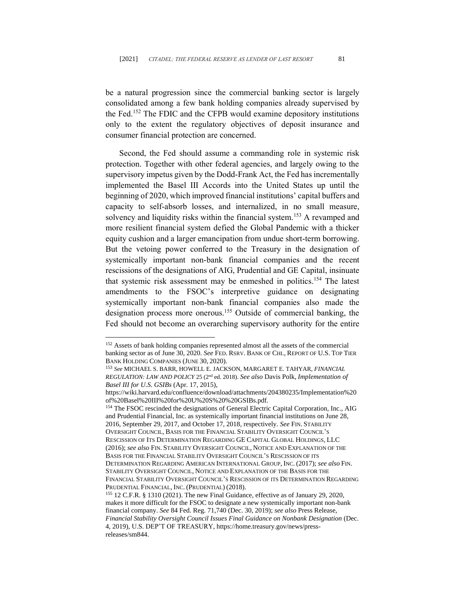be a natural progression since the commercial banking sector is largely consolidated among a few bank holding companies already supervised by the Fed. <sup>152</sup> The FDIC and the CFPB would examine depository institutions only to the extent the regulatory objectives of deposit insurance and consumer financial protection are concerned.

Second, the Fed should assume a commanding role in systemic risk protection. Together with other federal agencies, and largely owing to the supervisory impetus given by the Dodd-Frank Act, the Fed has incrementally implemented the Basel III Accords into the United States up until the beginning of 2020, which improved financial institutions' capital buffers and capacity to self-absorb losses, and internalized, in no small measure, solvency and liquidity risks within the financial system.<sup>153</sup> A revamped and more resilient financial system defied the Global Pandemic with a thicker equity cushion and a larger emancipation from undue short-term borrowing. But the vetoing power conferred to the Treasury in the designation of systemically important non-bank financial companies and the recent rescissions of the designations of AIG, Prudential and GE Capital, insinuate that systemic risk assessment may be enmeshed in politics.<sup>154</sup> The latest amendments to the FSOC's interpretive guidance on designating systemically important non-bank financial companies also made the designation process more onerous.<sup>155</sup> Outside of commercial banking, the Fed should not become an overarching supervisory authority for the entire

<sup>&</sup>lt;sup>152</sup> Assets of bank holding companies represented almost all the assets of the commercial banking sector as of June 30, 2020. *See* FED. RSRV. BANK OF CHI., REPORT OF U.S. TOP TIER BANK HOLDING COMPANIES (JUNE 30, 2020).

<sup>153</sup> *See* MICHAEL S. BARR, HOWELL E. JACKSON, MARGARET E. TAHYAR, *FINANCIAL REGULATION: LAW AND POLICY* 25 (2nd ed. 2018). *See also* Davis Polk, *Implementation of Basel III for U.S. GSIBs* (Apr. 17, 2015),

https://wiki.harvard.edu/confluence/download/attachments/204380235/Implementation%20 of%20Basel%20III%20for%20U%20S%20%20GSIBs.pdf.

<sup>154</sup> The FSOC rescinded the designations of General Electric Capital Corporation, Inc., AIG and Prudential Financial, Inc. as systemically important financial institutions on June 28, 2016, September 29, 2017, and October 17, 2018, respectively. *See* FIN. STABILITY OVERSIGHT COUNCIL, BASIS FOR THE FINANCIAL STABILITY OVERSIGHT COUNCIL'S RESCISSION OF ITS DETERMINATION REGARDING GE CAPITAL GLOBAL HOLDINGS, LLC (2016); *see also* FIN. STABILITY OVERSIGHT COUNCIL, NOTICE AND EXPLANATION OF THE BASIS FOR THE FINANCIAL STABILITY OVERSIGHT COUNCIL'S RESCISSION OF ITS DETERMINATION REGARDING AMERICAN INTERNATIONAL GROUP, INC. (2017); *see also* FIN. STABILITY OVERSIGHT COUNCIL, NOTICE AND EXPLANATION OF THE BASIS FOR THE FINANCIAL STABILITY OVERSIGHT COUNCIL'S RESCISSION OF ITS DETERMINATION REGARDING PRUDENTIAL FINANCIAL, INC. (PRUDENTIAL) (2018).

<sup>155</sup> 12 C.F.R. § 1310 (2021). The new Final Guidance, effective as of January 29, 2020, makes it more difficult for the FSOC to designate a new systemically important non-bank financial company. *See* 84 Fed. Reg. 71,740 (Dec. 30, 2019); *see also* Press Release, *Financial Stability Oversight Council Issues Final Guidance on Nonbank Designation* (Dec. 4, 2019), U.S. DEP'T OF TREASURY[, https://home.treasury.gov/news/press](https://home.treasury.gov/news/press-releases/sm844)[releases/sm844.](https://home.treasury.gov/news/press-releases/sm844)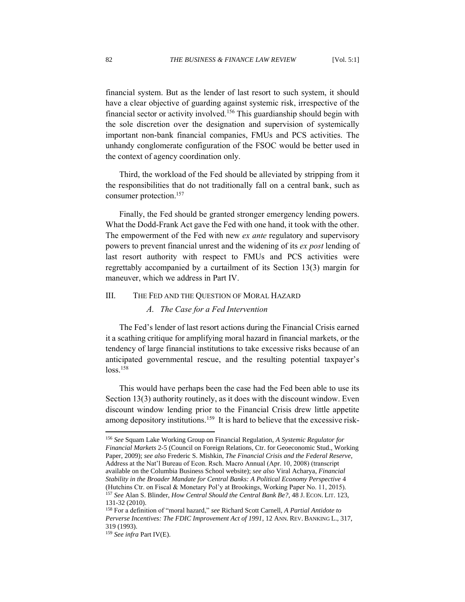financial system. But as the lender of last resort to such system, it should have a clear objective of guarding against systemic risk, irrespective of the financial sector or activity involved.<sup>156</sup> This guardianship should begin with the sole discretion over the designation and supervision of systemically important non-bank financial companies, FMUs and PCS activities. The unhandy conglomerate configuration of the FSOC would be better used in the context of agency coordination only.

Third, the workload of the Fed should be alleviated by stripping from it the responsibilities that do not traditionally fall on a central bank, such as consumer protection. 157

Finally, the Fed should be granted stronger emergency lending powers. What the Dodd-Frank Act gave the Fed with one hand, it took with the other. The empowerment of the Fed with new *ex ante* regulatory and supervisory powers to prevent financial unrest and the widening of its *ex post* lending of last resort authority with respect to FMUs and PCS activities were regrettably accompanied by a curtailment of its Section 13(3) margin for maneuver, which we address in Part IV.

#### <span id="page-25-1"></span><span id="page-25-0"></span>III. THE FED AND THE QUESTION OF MORAL HAZARD

#### *A. The Case for a Fed Intervention*

The Fed's lender of last resort actions during the Financial Crisis earned it a scathing critique for amplifying moral hazard in financial markets, or the tendency of large financial institutions to take excessive risks because of an anticipated governmental rescue, and the resulting potential taxpayer's  $loss.$ <sup>158</sup>

This would have perhaps been the case had the Fed been able to use its Section 13(3) authority routinely, as it does with the discount window. Even discount window lending prior to the Financial Crisis drew little appetite among depository institutions.<sup>159</sup> It is hard to believe that the excessive risk-

<sup>156</sup> *See* Squam Lake Working Group on Financial Regulation, *A Systemic Regulator for Financial Markets* 2-5 (Council on Foreign Relations, Ctr. for Geoeconomic Stud., Working Paper, 2009); *see also* Frederic S. Mishkin, *The Financial Crisis and the Federal Reserve*, Address at the Nat'l Bureau of Econ. Rsch. Macro Annual (Apr. 10, 2008) (transcript available on the Columbia Business School website); *see also* Viral Acharya, *Financial Stability in the Broader Mandate for Central Banks: A Political Economy Perspective* 4 (Hutchins Ctr. on Fiscal & Monetary Pol'y at Brookings, Working Paper No. 11, 2015). <sup>157</sup> *See* Alan S. Blinder, *How Central Should the Central Bank Be?*, 48 J. ECON. LIT. 123, 131-32 (2010).

<sup>158</sup> For a definition of "moral hazard," *see* Richard Scott Carnell, *A Partial Antidote to Perverse Incentives: The FDIC Improvement Act of 1991*, 12 ANN. REV. BANKING L., 317, 319 (1993).

<sup>159</sup> *See infra* Part IV(E).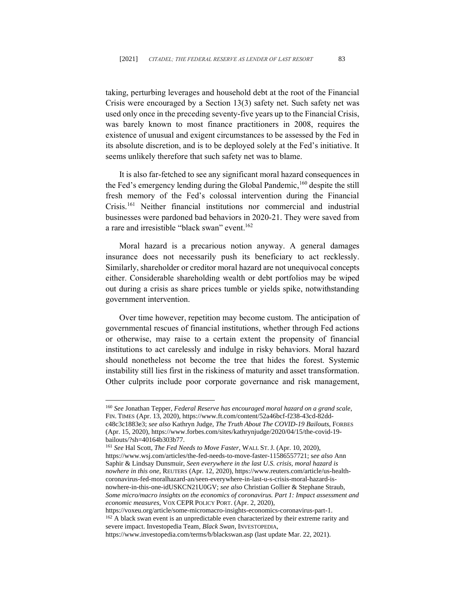taking, perturbing leverages and household debt at the root of the Financial Crisis were encouraged by a Section 13(3) safety net. Such safety net was used only once in the preceding seventy-five years up to the Financial Crisis, was barely known to most finance practitioners in 2008, requires the existence of unusual and exigent circumstances to be assessed by the Fed in its absolute discretion, and is to be deployed solely at the Fed's initiative. It seems unlikely therefore that such safety net was to blame.

It is also far-fetched to see any significant moral hazard consequences in the Fed's emergency lending during the Global Pandemic,<sup>160</sup> despite the still fresh memory of the Fed's colossal intervention during the Financial Crisis.<sup>161</sup> Neither financial institutions nor commercial and industrial businesses were pardoned bad behaviors in 2020-21. They were saved from a rare and irresistible "black swan" event. 162

Moral hazard is a precarious notion anyway. A general damages insurance does not necessarily push its beneficiary to act recklessly. Similarly, shareholder or creditor moral hazard are not unequivocal concepts either. Considerable shareholding wealth or debt portfolios may be wiped out during a crisis as share prices tumble or yields spike, notwithstanding government intervention.

Over time however, repetition may become custom. The anticipation of governmental rescues of financial institutions, whether through Fed actions or otherwise, may raise to a certain extent the propensity of financial institutions to act carelessly and indulge in risky behaviors. Moral hazard should nonetheless not become the tree that hides the forest. Systemic instability still lies first in the riskiness of maturity and asset transformation. Other culprits include poor corporate governance and risk management,

https://voxeu.org/article/some-micromacro-insights-economics-coronavirus-part-1. <sup>162</sup> A black swan event is an unpredictable even characterized by their extreme rarity and severe impact. Investopedia Team, *Black Swan*, INVESTOPEDIA,

https://www.investopedia.com/terms/b/blackswan.asp (last update Mar. 22, 2021).

<sup>160</sup> *See* Jonathan Tepper, *Federal Reserve has encouraged moral hazard on a grand scale*, FIN. TIMES (Apr. 13, 2020), https://www.ft.com/content/52a46bcf-f238-43cd-82ddc48c3c1883e3; *see also* Kathryn Judge, *The Truth About The COVID-19 Bailouts*, FORBES (Apr. 15, 2020), https://www.forbes.com/sites/kathrynjudge/2020/04/15/the-covid-19 bailouts/?sh=40164b303b77.

<sup>161</sup> *See* Hal Scott, *The Fed Needs to Move Faster*, WALL ST.J. (Apr. 10, 2020), https://www.wsj.com/articles/the-fed-needs-to-move-faster-11586557721; s*ee also* Ann Saphir & Lindsay Dunsmuir, *Seen everywhere in the last U.S. crisis, moral hazard is nowhere in this one*, REUTERS (Apr. 12, 2020), https://www.reuters.com/article/us-healthcoronavirus-fed-moralhazard-an/seen-everywhere-in-last-u-s-crisis-moral-hazard-isnowhere-in-this-one-idUSKCN21U0GV; *see also* Christian Gollier & Stephane Straub, *Some micro/macro insights on the economics of coronavirus. Part 1: Impact assessment and economic measures*, VOX CEPR POLICY PORT. (Apr. 2, 2020),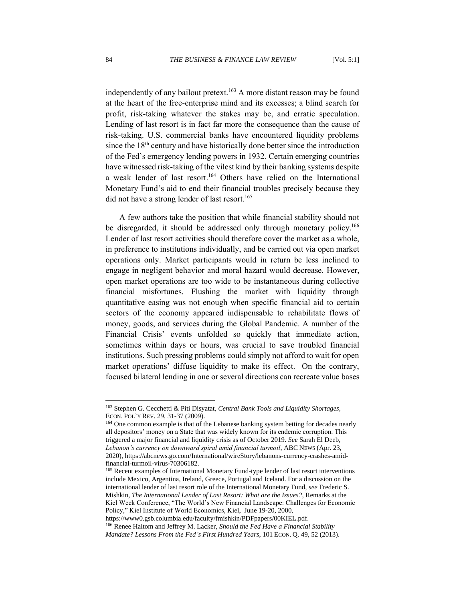independently of any bailout pretext.<sup>163</sup> A more distant reason may be found at the heart of the free-enterprise mind and its excesses; a blind search for profit, risk-taking whatever the stakes may be, and erratic speculation. Lending of last resort is in fact far more the consequence than the cause of risk-taking. U.S. commercial banks have encountered liquidity problems since the  $18<sup>th</sup>$  century and have historically done better since the introduction of the Fed's emergency lending powers in 1932. Certain emerging countries have witnessed risk-taking of the vilest kind by their banking systems despite a weak lender of last resort. <sup>164</sup> Others have relied on the International Monetary Fund's aid to end their financial troubles precisely because they did not have a strong lender of last resort. 165

A few authors take the position that while financial stability should not be disregarded, it should be addressed only through monetary policy.<sup>166</sup> Lender of last resort activities should therefore cover the market as a whole, in preference to institutions individually, and be carried out via open market operations only. Market participants would in return be less inclined to engage in negligent behavior and moral hazard would decrease. However, open market operations are too wide to be instantaneous during collective financial misfortunes. Flushing the market with liquidity through quantitative easing was not enough when specific financial aid to certain sectors of the economy appeared indispensable to rehabilitate flows of money, goods, and services during the Global Pandemic. A number of the Financial Crisis' events unfolded so quickly that immediate action, sometimes within days or hours, was crucial to save troubled financial institutions. Such pressing problems could simply not afford to wait for open market operations' diffuse liquidity to make its effect. On the contrary, focused bilateral lending in one or several directions can recreate value bases

<sup>163</sup> Stephen G. Cecchetti & Piti Disyatat, *Central Bank Tools and Liquidity Shortages*, ECON. POL'Y REV. 29, 31-37 (2009).

<sup>&</sup>lt;sup>164</sup> One common example is that of the Lebanese banking system betting for decades nearly all depositors' money on a State that was widely known for its endemic corruption. This triggered a major financial and liquidity crisis as of October 2019. *See* Sarah El Deeb, *Lebanon's currency on downward spiral amid financial turmoil*, ABC NEWS (Apr. 23, 2020), https://abcnews.go.com/International/wireStory/lebanons-currency-crashes-amidfinancial-turmoil-virus-70306182.

<sup>&</sup>lt;sup>165</sup> Recent examples of International Monetary Fund-type lender of last resort interventions include Mexico, Argentina, Ireland, Greece, Portugal and Iceland. For a discussion on the international lender of last resort role of the International Monetary Fund, *see* Frederic S. Mishkin, *The International Lender of Last Resort: What are the Issues?,* Remarks at the Kiel Week Conference, "The World's New Financial Landscape: Challenges for Economic Policy," Kiel Institute of World Economics, Kiel, June 19-20, 2000,

https://www0.gsb.columbia.edu/faculty/fmishkin/PDFpapers/00KIEL.pdf. <sup>166</sup> Renee Haltom and Jeffrey M. Lacker, *Should the Fed Have a Financial Stability Mandate? Lessons From the Fed's First Hundred Years*, 101 ECON. Q. 49, 52 (2013).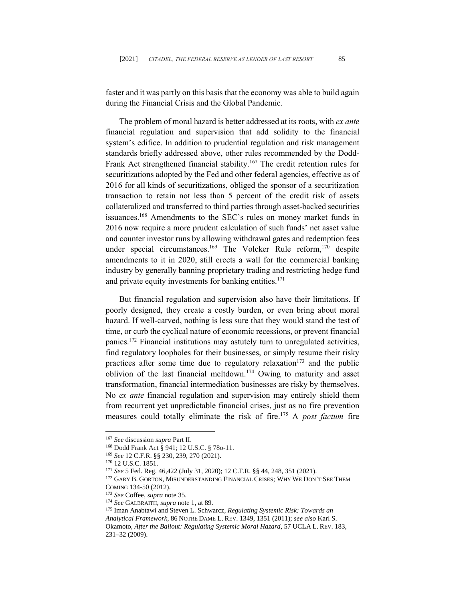faster and it was partly on this basis that the economy was able to build again during the Financial Crisis and the Global Pandemic.

The problem of moral hazard is better addressed at its roots, with *ex ante* financial regulation and supervision that add solidity to the financial system's edifice. In addition to prudential regulation and risk management standards briefly addressed above, other rules recommended by the Dodd-Frank Act strengthened financial stability.<sup>167</sup> The credit retention rules for securitizations adopted by the Fed and other federal agencies, effective as of 2016 for all kinds of securitizations, obliged the sponsor of a securitization transaction to retain not less than 5 percent of the credit risk of assets collateralized and transferred to third parties through asset-backed securities issuances.<sup>168</sup> Amendments to the SEC's rules on money market funds in 2016 now require a more prudent calculation of such funds' net asset value and counter investor runs by allowing withdrawal gates and redemption fees under special circumstances.<sup>169</sup> The Volcker Rule reform,<sup>170</sup> despite amendments to it in 2020, still erects a wall for the commercial banking industry by generally banning proprietary trading and restricting hedge fund and private equity investments for banking entities.<sup>171</sup>

But financial regulation and supervision also have their limitations. If poorly designed, they create a costly burden, or even bring about moral hazard. If well-carved, nothing is less sure that they would stand the test of time, or curb the cyclical nature of economic recessions, or prevent financial panics.<sup>172</sup> Financial institutions may astutely turn to unregulated activities, find regulatory loopholes for their businesses, or simply resume their risky practices after some time due to regulatory relaxation<sup>173</sup> and the public oblivion of the last financial meltdown. <sup>174</sup> Owing to maturity and asset transformation, financial intermediation businesses are risky by themselves. No *ex ante* financial regulation and supervision may entirely shield them from recurrent yet unpredictable financial crises, just as no fire prevention measures could totally eliminate the risk of fire.<sup>175</sup> A *post factum* fire

<sup>167</sup> *See* discussion *supra* Part II.

<sup>168</sup> Dodd Frank Act § 941; 12 U.S.C. § 78o-11.

<sup>169</sup> *See* 12 C.F.R. §§ 230, 239, 270 (2021).

<sup>170</sup> 12 U.S.C. 1851.

<sup>171</sup> *See* 5 Fed. Reg. 46,422 (July 31, 2020); 12 C.F.R. §§ 44, 248, 351 (2021).

<sup>&</sup>lt;sup>172</sup> GARY B. GORTON, MISUNDERSTANDING FINANCIAL CRISES; WHY WE DON'T SEE THEM COMING 134-50 (2012).

<sup>173</sup> *See* Coffee, *supra* note 35.

<sup>174</sup> *See* GALBRAITH, *supra* note 1, at 89.

<sup>175</sup> Iman Anabtawi and Steven L. Schwarcz, *Regulating Systemic Risk: Towards an Analytical Framework*, 86 NOTRE DAME L. REV. 1349, 1351 (2011); *see also* Karl S. Okamoto, *After the Bailout: Regulating Systemic Moral Hazard*, 57 UCLA L. REV. 183, 231–32 (2009).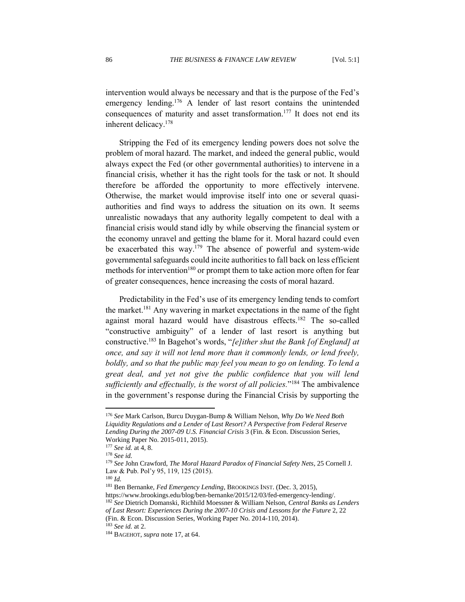intervention would always be necessary and that is the purpose of the Fed's emergency lending.<sup>176</sup> A lender of last resort contains the unintended consequences of maturity and asset transformation. <sup>177</sup> It does not end its inherent delicacy. 178

Stripping the Fed of its emergency lending powers does not solve the problem of moral hazard. The market, and indeed the general public, would always expect the Fed (or other governmental authorities) to intervene in a financial crisis, whether it has the right tools for the task or not. It should therefore be afforded the opportunity to more effectively intervene. Otherwise, the market would improvise itself into one or several quasiauthorities and find ways to address the situation on its own. It seems unrealistic nowadays that any authority legally competent to deal with a financial crisis would stand idly by while observing the financial system or the economy unravel and getting the blame for it. Moral hazard could even be exacerbated this way.<sup>179</sup> The absence of powerful and system-wide governmental safeguards could incite authorities to fall back on less efficient methods for intervention<sup>180</sup> or prompt them to take action more often for fear of greater consequences, hence increasing the costs of moral hazard.

Predictability in the Fed's use of its emergency lending tends to comfort the market.<sup>181</sup> Any wavering in market expectations in the name of the fight against moral hazard would have disastrous effects.<sup>182</sup> The so-called "constructive ambiguity" of a lender of last resort is anything but constructive.<sup>183</sup> In Bagehot's words, "*[e]ither shut the Bank [of England] at once, and say it will not lend more than it commonly lends, or lend freely, boldly, and so that the public may feel you mean to go on lending. To lend a great deal, and yet not give the public confidence that you will lend sufficiently and effectually, is the worst of all policies.*" <sup>184</sup> The ambivalence in the government's response during the Financial Crisis by supporting the

<sup>176</sup> *See* Mark Carlson, Burcu Duygan-Bump & William Nelson, *Why Do We Need Both Liquidity Regulations and a Lender of Last Resort? A Perspective from Federal Reserve Lending During the 2007-09 U.S. Financial Crisis* 3 (Fin. & Econ. Discussion Series, Working Paper No. 2015-011, 2015).

<sup>177</sup> *See id.* at 4, 8.

<sup>178</sup> *See id.*

<sup>179</sup> *See* John Crawford, *The Moral Hazard Paradox of Financial Safety Nets*, 25 Cornell J. Law & Pub. Pol'y 95, 119, 125 (2015).

<sup>180</sup> *Id.*

<sup>181</sup> Ben Bernanke, *Fed Emergency Lending*, BROOKINGS INST. (Dec. 3, 2015),

https://www.brookings.edu/blog/ben-bernanke/2015/12/03/fed-emergency-lending/.

<sup>182</sup> *See* Dietrich Domanski, Richhild Moessner & William Nelson, *Central Banks as Lenders* 

*of Last Resort: Experiences During the 2007-10 Crisis and Lessons for the Future* 2, 22 (Fin. & Econ. Discussion Series, Working Paper No. 2014-110, 2014).

<sup>183</sup> *See id.* at 2.

<sup>184</sup> BAGEHOT, *supra* note 17, at 64.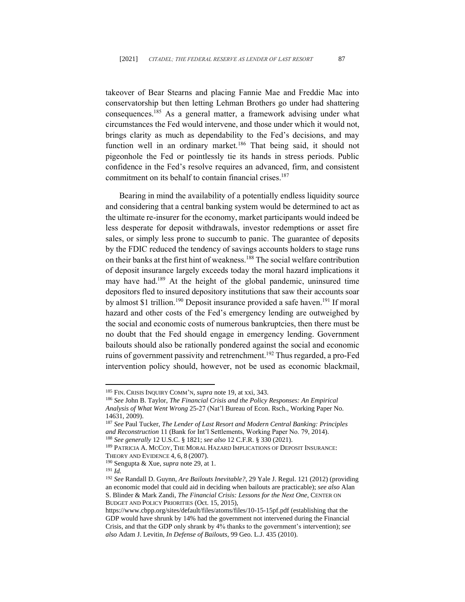takeover of Bear Stearns and placing Fannie Mae and Freddie Mac into conservatorship but then letting Lehman Brothers go under had shattering consequences. <sup>185</sup> As a general matter, a framework advising under what circumstances the Fed would intervene, and those under which it would not, brings clarity as much as dependability to the Fed's decisions, and may function well in an ordinary market.<sup>186</sup> That being said, it should not pigeonhole the Fed or pointlessly tie its hands in stress periods. Public confidence in the Fed's resolve requires an advanced, firm, and consistent commitment on its behalf to contain financial crises. 187

Bearing in mind the availability of a potentially endless liquidity source and considering that a central banking system would be determined to act as the ultimate re-insurer for the economy, market participants would indeed be less desperate for deposit withdrawals, investor redemptions or asset fire sales, or simply less prone to succumb to panic. The guarantee of deposits by the FDIC reduced the tendency of savings accounts holders to stage runs on their banks at the first hint of weakness.<sup>188</sup> The social welfare contribution of deposit insurance largely exceeds today the moral hazard implications it may have had. <sup>189</sup> At the height of the global pandemic, uninsured time depositors fled to insured depository institutions that saw their accounts soar by almost \$1 trillion.<sup>190</sup> Deposit insurance provided a safe haven.<sup>191</sup> If moral hazard and other costs of the Fed's emergency lending are outweighed by the social and economic costs of numerous bankruptcies, then there must be no doubt that the Fed should engage in emergency lending. Government bailouts should also be rationally pondered against the social and economic ruins of government passivity and retrenchment.<sup>192</sup> Thus regarded, a pro-Fed intervention policy should, however, not be used as economic blackmail,

<sup>188</sup> *See generally* 12 U.S.C. § 1821; *see also* 12 C.F.R. § 330 (2021).

<sup>185</sup> FIN. CRISIS INQUIRY COMM'N, *supra* note 19, at xxi, 343.

<sup>186</sup> *See* John B. Taylor, *The Financial Crisis and the Policy Responses: An Empirical Analysis of What Went Wrong* 25-27 (Nat'l Bureau of Econ. Rsch., Working Paper No. 14631, 2009).

<sup>187</sup> *See* Paul Tucker, *The Lender of Last Resort and Modern Central Banking: Principles and Reconstruction* 11 (Bank for Int'l Settlements, Working Paper No. 79, 2014).

<sup>&</sup>lt;sup>189</sup> PATRICIA A. MCCOY, THE MORAL HAZARD IMPLICATIONS OF DEPOSIT INSURANCE: THEORY AND EVIDENCE 4, 6, 8 (2007).

<sup>190</sup> Sengupta & Xue, *supra* note 29, at 1.

<sup>191</sup> *Id.*

<sup>192</sup> *See* Randall D. Guynn, *Are Bailouts Inevitable?*, 29 Yale J. Regul. 121 (2012) (providing an economic model that could aid in deciding when bailouts are practicable); *see also* Alan S. Blinder & Mark Zandi, *The Financial Crisis: Lessons for the Next One*, CENTER ON BUDGET AND POLICY PRIORITIES (Oct. 15, 2015),

https://www.cbpp.org/sites/default/files/atoms/files/10-15-15pf.pdf (establishing that the GDP would have shrunk by 14% had the government not intervened during the Financial Crisis, and that the GDP only shrank by 4% thanks to the government's intervention); *see also* Adam J. Levitin, *In Defense of Bailouts*, 99 Geo. L.J. 435 (2010).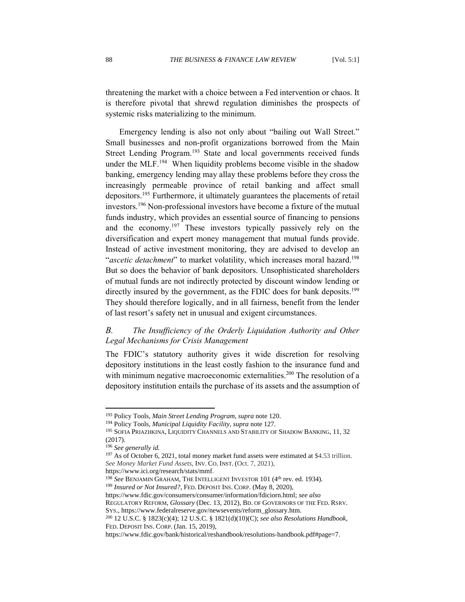threatening the market with a choice between a Fed intervention or chaos. It is therefore pivotal that shrewd regulation diminishes the prospects of systemic risks materializing to the minimum.

Emergency lending is also not only about "bailing out Wall Street." Small businesses and non-profit organizations borrowed from the Main Street Lending Program.<sup>193</sup> State and local governments received funds under the MLF.<sup>194</sup> When liquidity problems become visible in the shadow banking, emergency lending may allay these problems before they cross the increasingly permeable province of retail banking and affect small depositors. <sup>195</sup> Furthermore, it ultimately guarantees the placements of retail investors.<sup>196</sup> Non-professional investors have become a fixture of the mutual funds industry, which provides an essential source of financing to pensions and the economy.<sup>197</sup> These investors typically passively rely on the diversification and expert money management that mutual funds provide. Instead of active investment monitoring, they are advised to develop an "*ascetic detachment*" to market volatility, which increases moral hazard.<sup>198</sup> But so does the behavior of bank depositors. Unsophisticated shareholders of mutual funds are not indirectly protected by discount window lending or directly insured by the government, as the FDIC does for bank deposits.<sup>199</sup> They should therefore logically, and in all fairness, benefit from the lender of last resort's safety net in unusual and exigent circumstances.

# <span id="page-31-0"></span>*B. The Insufficiency of the Orderly Liquidation Authority and Other Legal Mechanisms for Crisis Management*

The FDIC's statutory authority gives it wide discretion for resolving depository institutions in the least costly fashion to the insurance fund and with minimum negative macroeconomic externalities.<sup>200</sup> The resolution of a depository institution entails the purchase of its assets and the assumption of

https://www.fdic.gov/consumers/consumer/information/fdiciorn.html; *see also*

REGULATORY REFORM, *Glossary* (Dec. 13, 2012)*,* BD. OF GOVERNORS OF THE FED. RSRV. SYS., https://www.federalreserve.gov/newsevents/reform\_glossary.htm.

<sup>193</sup> Policy Tools*, Main Street Lending Program*, *supra* note 120.

<sup>194</sup> Policy Tools*, Municipal Liquidity Facility*, *supra* note 127.

<sup>&</sup>lt;sup>195</sup> SOFIA PRIAZHKINA, LIQUIDITY CHANNELS AND STABILITY OF SHADOW BANKING, 11, 32 (2017).

<sup>196</sup> *See generally id.*

<sup>&</sup>lt;sup>197</sup> As of October 6, 2021, total money market fund assets were estimated at \$4.53 trillion. *See Money Market Fund Assets*, INV. CO. INST. (Oct. 7, 2021),

https://www.ici.org/research/stats/mmf.

<sup>&</sup>lt;sup>198</sup> See BENJAMIN GRAHAM, THE INTELLIGENT INVESTOR 101 (4<sup>th</sup> rev. ed. 1934). <sup>199</sup> Insured or Not Insured?, FED. DEPOSIT INS. CORP. (May 8, 2020),

<sup>200</sup> [12 U.S.C. § 1823\(c\)\(](https://www.fdic.gov/regulations/laws/rules/1000-1500.html#fdic1000sec.13c)4); 12 U.S.C. § 1821(d)(10)(C); *see also Resolutions Handbook*, FED. DEPOSIT INS. CORP. (Jan. 15, 2019),

https://www.fdic.gov/bank/historical/reshandbook/resolutions-handbook.pdf#page=7.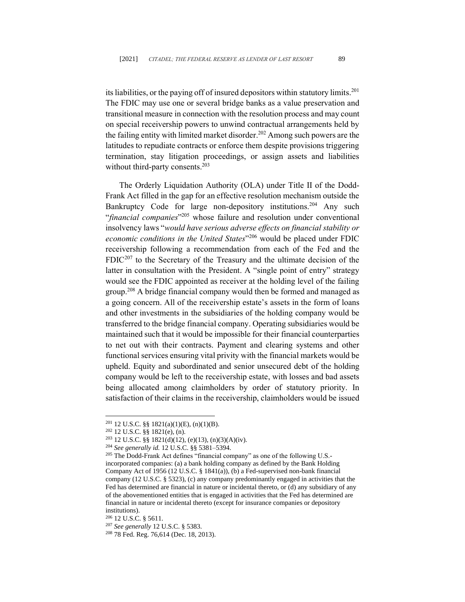its liabilities, or the paying off of insured depositors within statutory limits. 201 The FDIC may use one or several bridge banks as a value preservation and transitional measure in connection with the resolution process and may count on special receivership powers to unwind contractual arrangements held by the failing entity with limited market disorder.<sup>202</sup> Among such powers are the latitudes to repudiate contracts or enforce them despite provisions triggering termination, stay litigation proceedings, or assign assets and liabilities without third-party consents.<sup>203</sup>

The Orderly Liquidation Authority (OLA) under Title II of the Dodd-Frank Act filled in the gap for an effective resolution mechanism outside the Bankruptcy Code for large non-depository institutions.<sup>204</sup> Any such "*financial companies*" <sup>205</sup> whose failure and resolution under conventional insolvency laws "*would have serious adverse effects on financial stability or economic conditions in the United States*" <sup>206</sup> would be placed under FDIC receivership following a recommendation from each of the Fed and the  $FDIC<sup>207</sup>$  to the Secretary of the Treasury and the ultimate decision of the latter in consultation with the President. A "single point of entry" strategy would see the FDIC appointed as receiver at the holding level of the failing group. <sup>208</sup> A bridge financial company would then be formed and managed as a going concern. All of the receivership estate's assets in the form of loans and other investments in the subsidiaries of the holding company would be transferred to the bridge financial company. Operating subsidiaries would be maintained such that it would be impossible for their financial counterparties to net out with their contracts. Payment and clearing systems and other functional services ensuring vital privity with the financial markets would be upheld. Equity and subordinated and senior unsecured debt of the holding company would be left to the receivership estate, with losses and bad assets being allocated among claimholders by order of statutory priority. In satisfaction of their claims in the receivership, claimholders would be issued

<sup>206</sup> 12 U.S.C. § 5611.

<sup>201</sup> 12 U.S.C. §§ 1821(a)(1)(E), (n)(1)(B).

<sup>202</sup> 12 U.S.C. §§ 1821(e), (n).

 $203$  12 U.S.C. §§ 1821(d)(12), (e)(13), (n)(3)(A)(iv).

<sup>204</sup> *See generally id.* 12 U.S.C. §§ 5381–5394.

<sup>205</sup> The Dodd-Frank Act defines "financial company" as one of the following U.S. incorporated companies: (a) a bank holding company as defined by the Bank Holding Company Act of 1956 (12 U.S.C. § 1841(a)), (b) a Fed-supervised non-bank financial company (12 U.S.C. § 5323), (c) any company predominantly engaged in activities that the Fed has determined are financial in nature or incidental thereto, or (d) any subsidiary of any of the abovementioned entities that is engaged in activities that the Fed has determined are financial in nature or incidental thereto (except for insurance companies or depository institutions).

<sup>207</sup> *See generally* 12 U.S.C. § 5383.

<sup>208</sup> 78 Fed. Reg. 76,614 (Dec. 18, 2013).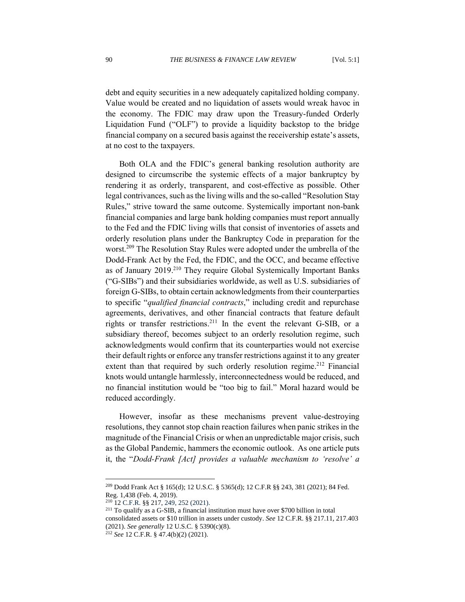debt and equity securities in a new adequately capitalized holding company. Value would be created and no liquidation of assets would wreak havoc in the economy. The FDIC may draw upon the Treasury-funded Orderly Liquidation Fund ("OLF") to provide a liquidity backstop to the bridge financial company on a secured basis against the receivership estate's assets, at no cost to the taxpayers.

Both OLA and the FDIC's general banking resolution authority are designed to circumscribe the systemic effects of a major bankruptcy by rendering it as orderly, transparent, and cost-effective as possible. Other legal contrivances, such as the living wills and the so-called "Resolution Stay Rules," strive toward the same outcome. Systemically important non-bank financial companies and large bank holding companies must report annually to the Fed and the FDIC living wills that consist of inventories of assets and orderly resolution plans under the Bankruptcy Code in preparation for the worst.<sup>209</sup> The Resolution Stay Rules were adopted under the umbrella of the Dodd-Frank Act by the Fed, the FDIC, and the OCC, and became effective as of January 2019.<sup>210</sup> They require Global Systemically Important Banks ("G-SIBs") and their subsidiaries worldwide, as well as U.S. subsidiaries of foreign G-SIBs, to obtain certain acknowledgments from their counterparties to specific "*qualified financial contracts*," including credit and repurchase agreements, derivatives, and other financial contracts that feature default rights or transfer restrictions. <sup>211</sup> In the event the relevant G-SIB, or a subsidiary thereof, becomes subject to an orderly resolution regime, such acknowledgments would confirm that its counterparties would not exercise their default rights or enforce any transfer restrictions against it to any greater extent than that required by such orderly resolution regime.<sup>212</sup> Financial knots would untangle harmlessly, interconnectedness would be reduced, and no financial institution would be "too big to fail." Moral hazard would be reduced accordingly.

However, insofar as these mechanisms prevent value-destroying resolutions, they cannot stop chain reaction failures when panic strikes in the magnitude of the Financial Crisis or when an unpredictable major crisis, such as the Global Pandemic, hammers the economic outlook. As one article puts it, the "*Dodd-Frank [Act] provides a valuable mechanism to 'resolve' a* 

<sup>209</sup> Dodd Frank Act § 165(d); 12 U.S.C. § 5365(d); 12 C.F.R §§ 243, 381 (2021); 84 Fed. Reg. 1,438 (Feb. 4, 2019).

<sup>210</sup> 12 C.F.R. §§ 217, 249, 252 (2021).

<sup>211</sup> To qualify as a G-SIB, a financial institution must have over \$700 billion in total consolidated assets or \$10 trillion in assets under custody. *See* 12 C.F.R. §§ 217.11, 217.403 (2021). *See generally* 12 U.S.C. § 5390(c)(8).

<sup>212</sup> *See* 12 C.F.R. § 47.4(b)(2) (2021).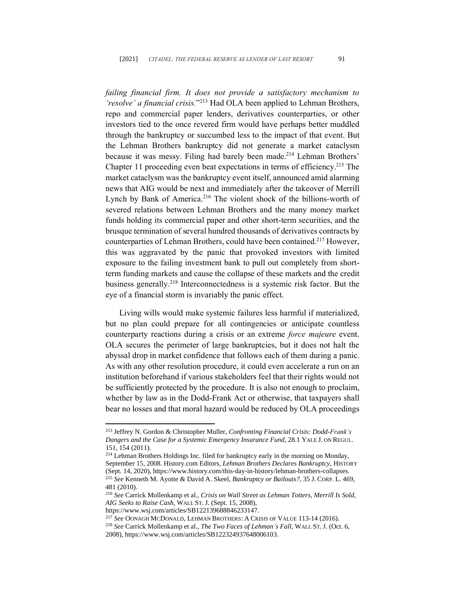*failing financial firm. It does not provide a satisfactory mechanism to 'resolve' a financial crisis.*" <sup>213</sup> Had OLA been applied to Lehman Brothers, repo and commercial paper lenders, derivatives counterparties, or other investors tied to the once revered firm would have perhaps better muddled through the bankruptcy or succumbed less to the impact of that event. But the Lehman Brothers bankruptcy did not generate a market cataclysm because it was messy. Filing had barely been made. <sup>214</sup> Lehman Brothers' Chapter 11 proceeding even beat expectations in terms of efficiency. <sup>215</sup> The market cataclysm was the bankruptcy event itself, announced amid alarming news that AIG would be next and immediately after the takeover of Merrill Lynch by Bank of America.<sup>216</sup> The violent shock of the billions-worth of severed relations between Lehman Brothers and the many money market funds holding its commercial paper and other short-term securities, and the brusque termination of several hundred thousands of derivatives contracts by counterparties of Lehman Brothers, could have been contained. <sup>217</sup> However, this was aggravated by the panic that provoked investors with limited exposure to the failing investment bank to pull out completely from shortterm funding markets and cause the collapse of these markets and the credit business generally.<sup>218</sup> Interconnectedness is a systemic risk factor. But the eye of a financial storm is invariably the panic effect.

Living wills would make systemic failures less harmful if materialized, but no plan could prepare for all contingencies or anticipate countless counterparty reactions during a crisis or an extreme *force majeure* event. OLA secures the perimeter of large bankruptcies, but it does not halt the abyssal drop in market confidence that follows each of them during a panic. As with any other resolution procedure, it could even accelerate a run on an institution beforehand if various stakeholders feel that their rights would not be sufficiently protected by the procedure. It is also not enough to proclaim, whether by law as in the Dodd-Frank Act or otherwise, that taxpayers shall bear no losses and that moral hazard would be reduced by OLA proceedings

<sup>213</sup> Jeffrey N. Gordon & Christopher Muller, *Confronting Financial Crisis: Dodd-Frank's Dangers and the Case for a Systemic Emergency Insurance Fund*, 28.1 YALE J. ON REGUL. 151, 154 (2011).

<sup>&</sup>lt;sup>214</sup> Lehman Brothers Holdings Inc. filed for bankruptcy early in the morning on Monday, September 15, 2008. History.com Editors, *Lehman Brothers Declares Bankruptcy*, HISTORY (Sept. 14, 2020), https://www.history.com/this-day-in-history/lehman-brothers-collapses. <sup>215</sup> *See* Kenneth M. Ayotte & David A. Skeel, *Bankruptcy or Bailouts?*, 35 J. CORP. L. 469, 481 (2010).

<sup>216</sup> *See* Carrick Mollenkamp et al., *Crisis on Wall Street as Lehman Totters, Merrill Is Sold, AIG Seeks to Raise Cash*, WALL ST. J. (Sept. 15, 2008),

https://www.wsj.com/articles/SB122139688846233147.

<sup>217</sup> *See* OONAGH MCDONALD, LEHMAN BROTHERS: A CRISIS OF VALUE 113-14 (2016).

<sup>218</sup> *See* Carrick Mollenkamp et al., *The Two Faces of Lehman's Fall*, WALL ST.J. (Oct. 6, 2008), https://www.wsj.com/articles/SB122324937648006103.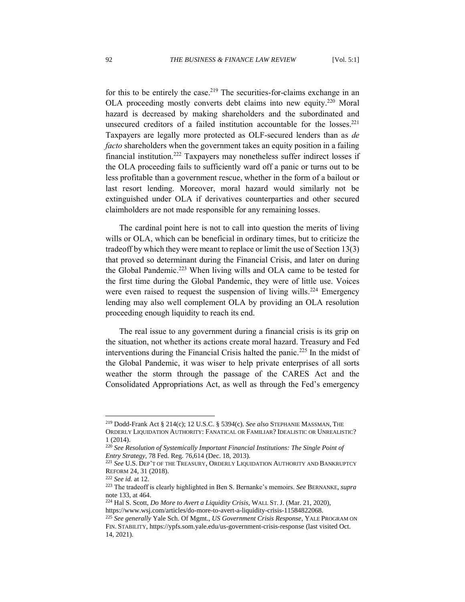for this to be entirely the case.<sup>219</sup> The securities-for-claims exchange in an OLA proceeding mostly converts debt claims into new equity.<sup>220</sup> Moral hazard is decreased by making shareholders and the subordinated and unsecured creditors of a failed institution accountable for the losses.<sup>221</sup> Taxpayers are legally more protected as OLF-secured lenders than as *de facto* shareholders when the government takes an equity position in a failing financial institution.<sup>222</sup> Taxpayers may nonetheless suffer indirect losses if the OLA proceeding fails to sufficiently ward off a panic or turns out to be less profitable than a government rescue, whether in the form of a bailout or last resort lending. Moreover, moral hazard would similarly not be extinguished under OLA if derivatives counterparties and other secured claimholders are not made responsible for any remaining losses.

The cardinal point here is not to call into question the merits of living wills or OLA, which can be beneficial in ordinary times, but to criticize the tradeoff by which they were meant to replace or limit the use of Section 13(3) that proved so determinant during the Financial Crisis, and later on during the Global Pandemic.<sup>223</sup> When living wills and OLA came to be tested for the first time during the Global Pandemic, they were of little use. Voices were even raised to request the suspension of living wills.<sup>224</sup> Emergency lending may also well complement OLA by providing an OLA resolution proceeding enough liquidity to reach its end.

The real issue to any government during a financial crisis is its grip on the situation, not whether its actions create moral hazard. Treasury and Fed interventions during the Financial Crisis halted the panic.<sup>225</sup> In the midst of the Global Pandemic, it was wiser to help private enterprises of all sorts weather the storm through the passage of the CARES Act and the Consolidated Appropriations Act, as well as through the Fed's emergency

<sup>219</sup> Dodd-Frank Act § 214(c); 12 U.S.C. § 5394(c). *See also* STEPHANIE MASSMAN, THE ORDERLY LIQUIDATION AUTHORITY: FANATICAL OR FAMILIAR? IDEALISTIC OR UNREALISTIC? 1 (2014).

<sup>220</sup> *See Resolution of Systemically Important Financial Institutions: The Single Point of Entry Strategy*, 78 Fed. Reg. 76,614 (Dec. 18, 2013).

<sup>221</sup> *See* U.S. DEP'T OF THE TREASURY, ORDERLY LIQUIDATION AUTHORITY AND BANKRUPTCY REFORM 24, 31 (2018).

<sup>222</sup> *See id.* at 12.

<sup>223</sup> The tradeoff is clearly highlighted in Ben S. Bernanke's memoirs. *See* BERNANKE, *supra* note 133, at 464.

<sup>224</sup> Hal S. Scott, *Do More to Avert a Liquidity Crisis*, WALL ST.J. (Mar. 21, 2020), https://www.wsj.com/articles/do-more-to-avert-a-liquidity-crisis-11584822068.

<sup>225</sup> *See generally* Yale Sch. Of Mgmt., *US Government Crisis Response*, YALE PROGRAM ON FIN. STABILITY, https://ypfs.som.yale.edu/us-government-crisis-response (last visited Oct. 14, 2021).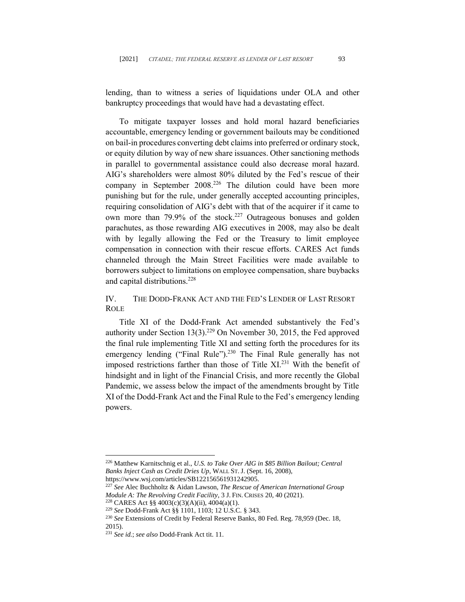lending, than to witness a series of liquidations under OLA and other bankruptcy proceedings that would have had a devastating effect.

To mitigate taxpayer losses and hold moral hazard beneficiaries accountable, emergency lending or government bailouts may be conditioned on bail-in procedures converting debt claims into preferred or ordinary stock, or equity dilution by way of new share issuances. Other sanctioning methods in parallel to governmental assistance could also decrease moral hazard. AIG's shareholders were almost 80% diluted by the Fed's rescue of their company in September 2008.<sup>226</sup> The dilution could have been more punishing but for the rule, under generally accepted accounting principles, requiring consolidation of AIG's debt with that of the acquirer if it came to own more than 79.9% of the stock.<sup>227</sup> Outrageous bonuses and golden parachutes, as those rewarding AIG executives in 2008, may also be dealt with by legally allowing the Fed or the Treasury to limit employee compensation in connection with their rescue efforts. CARES Act funds channeled through the Main Street Facilities were made available to borrowers subject to limitations on employee compensation, share buybacks and capital distributions. 228

IV. THE DODD-FRANK ACT AND THE FED'S LENDER OF LAST RESORT ROLE

Title XI of the Dodd-Frank Act amended substantively the Fed's authority under Section  $13(3)$ .<sup>229</sup> On November 30, 2015, the Fed approved the final rule implementing Title XI and setting forth the procedures for its emergency lending ("Final Rule").<sup>230</sup> The Final Rule generally has not imposed restrictions farther than those of Title XI.<sup>231</sup> With the benefit of hindsight and in light of the Financial Crisis, and more recently the Global Pandemic, we assess below the impact of the amendments brought by Title XI of the Dodd-Frank Act and the Final Rule to the Fed's emergency lending powers.

<sup>226</sup> Matthew Karnitschnig et al., *U.S. to Take Over AIG in \$85 Billion Bailout; Central Banks Inject Cash as Credit Dries Up*, WALL ST.J. (Sept. 16, 2008),

https://www.wsj.com/articles/SB122156561931242905.

<sup>227</sup> *See* Alec Buchholtz & Aidan Lawson, *The Rescue of American International Group Module A: The Revolving Credit Facility*, 3 J. FIN. CRISES 20, 40 (2021).

<sup>&</sup>lt;sup>228</sup> CARES Act §§ 4003(c)(3)(A)(ii), 4004(a)(1).

<sup>229</sup> *See* Dodd-Frank Act §§ 1101, 1103; 12 U.S.C. § 343.

<sup>230</sup> *See* Extensions of Credit by Federal Reserve Banks, 80 Fed. Reg. 78,959 (Dec. 18, 2015).

<sup>231</sup> *See id.*; *see also* Dodd-Frank Act tit. 11.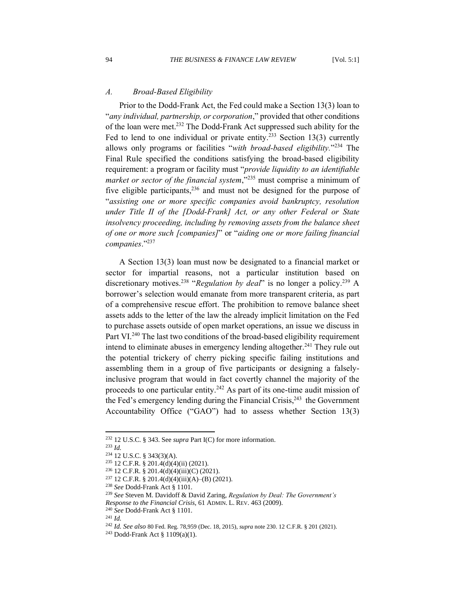### *A. Broad-Based Eligibility*

Prior to the Dodd-Frank Act, the Fed could make a Section 13(3) loan to "*any individual, partnership, or corporation*," provided that other conditions of the loan were met.<sup>232</sup> The Dodd-Frank Act suppressed such ability for the Fed to lend to one individual or private entity.<sup>233</sup> Section 13(3) currently allows only programs or facilities "*with broad-based eligibility.*" <sup>234</sup> The Final Rule specified the conditions satisfying the broad-based eligibility requirement: a program or facility must "*provide liquidity to an identifiable*  market or sector of the financial system,"<sup>235</sup> must comprise a minimum of five eligible participants,<sup>236</sup> and must not be designed for the purpose of "*assisting one or more specific companies avoid bankruptcy, resolution under Title II of the [Dodd-Frank] Act, or any other Federal or State insolvency proceeding, including by removing assets from the balance sheet of one or more such [companies]*" or "*aiding one or more failing financial companies*." 237

A Section 13(3) loan must now be designated to a financial market or sector for impartial reasons, not a particular institution based on discretionary motives.<sup>238</sup> "Regulation by deal" is no longer a policy.<sup>239</sup> A borrower's selection would emanate from more transparent criteria, as part of a comprehensive rescue effort. The prohibition to remove balance sheet assets adds to the letter of the law the already implicit limitation on the Fed to purchase assets outside of open market operations, an issue we discuss in Part VI.<sup>240</sup> The last two conditions of the broad-based eligibility requirement intend to eliminate abuses in emergency lending altogether.<sup>241</sup> They rule out the potential trickery of cherry picking specific failing institutions and assembling them in a group of five participants or designing a falselyinclusive program that would in fact covertly channel the majority of the proceeds to one particular entity.<sup>242</sup> As part of its one-time audit mission of the Fed's emergency lending during the Financial Crisis,<sup>243</sup> the Government Accountability Office ("GAO") had to assess whether Section 13(3)

<sup>240</sup> *See* Dodd-Frank Act § 1101.

<sup>232</sup> 12 U.S.C. § 343. See *supra* Part I(C) for more information.

<sup>233</sup> *Id.*

<sup>234</sup> 12 U.S.C. § 343(3)(A).

<sup>235</sup> 12 C.F.R. § 201.4(d)(4)(ii) (2021).

<sup>236</sup> 12 C.F.R. § 201.4(d)(4)(iii)(C) (2021).

<sup>237</sup> 12 C.F.R. § 201.4(d)(4)(iii)(A)–(B) (2021).

<sup>238</sup> *See* Dodd-Frank Act § 1101.

<sup>239</sup> *See* Steven M. Davidoff & David Zaring, *Regulation by Deal: The Government's Response to the Financial Crisis*, 61 ADMIN. L. REV. 463 (2009).

<sup>241</sup> *Id.*

<sup>242</sup> *Id. See also* 80 Fed. Reg. 78,959 (Dec. 18, 2015), *supra* note 230. 12 C.F.R. § 201 (2021).

<sup>243</sup> Dodd-Frank Act § 1109(a)(1).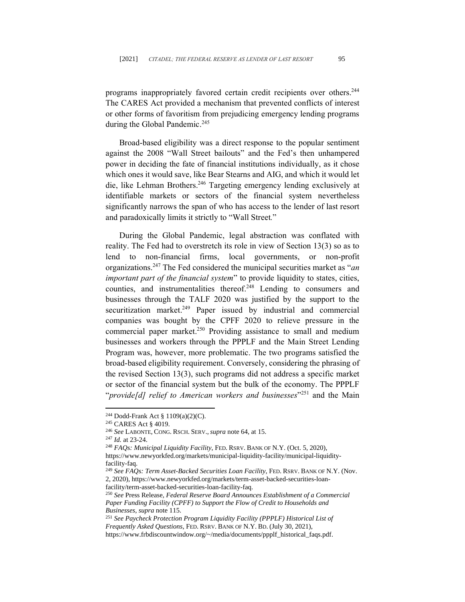programs inappropriately favored certain credit recipients over others.<sup>244</sup> The CARES Act provided a mechanism that prevented conflicts of interest or other forms of favoritism from prejudicing emergency lending programs during the Global Pandemic. 245

Broad-based eligibility was a direct response to the popular sentiment against the 2008 "Wall Street bailouts" and the Fed's then unhampered power in deciding the fate of financial institutions individually, as it chose which ones it would save, like Bear Stearns and AIG, and which it would let die, like Lehman Brothers.<sup>246</sup> Targeting emergency lending exclusively at identifiable markets or sectors of the financial system nevertheless significantly narrows the span of who has access to the lender of last resort and paradoxically limits it strictly to "Wall Street*.*"

During the Global Pandemic, legal abstraction was conflated with reality. The Fed had to overstretch its role in view of Section 13(3) so as to lend to non-financial firms, local governments, or non-profit organizations. <sup>247</sup> The Fed considered the municipal securities market as "*an important part of the financial system*" to provide liquidity to states, cities, counties, and instrumentalities thereof.<sup>248</sup> Lending to consumers and businesses through the TALF 2020 was justified by the support to the securitization market.<sup>249</sup> Paper issued by industrial and commercial companies was bought by the CPFF 2020 to relieve pressure in the commercial paper market.<sup>250</sup> Providing assistance to small and medium businesses and workers through the PPPLF and the Main Street Lending Program was, however, more problematic. The two programs satisfied the broad-based eligibility requirement. Conversely, considering the phrasing of the revised Section 13(3), such programs did not address a specific market or sector of the financial system but the bulk of the economy. The PPPLF "*provide[d] relief to American workers and businesses*" <sup>251</sup> and the Main

<sup>244</sup> Dodd-Frank Act § 1109(a)(2)(C).

<sup>245</sup> CARES Act § 4019.

<sup>246</sup> *See* LABONTE, CONG. RSCH. SERV.,*supra* note 64, at 15.

<sup>247</sup> *Id.* at 23-24.

<sup>248</sup> *FAQs: Municipal Liquidity Facility*, FED. RSRV. BANK OF N.Y. (Oct. 5, 2020), https://www.newyorkfed.org/markets/municipal-liquidity-facility/municipal-liquidityfacility-faq.

<sup>249</sup> *See FAQs: Term Asset-Backed Securities Loan Facility*, FED. RSRV. BANK OF N.Y. (Nov. 2, 2020), https://www.newyorkfed.org/markets/term-asset-backed-securities-loanfacility/term-asset-backed-securities-loan-facility-faq.

<sup>250</sup> *See* Press Release, *Federal Reserve Board Announces Establishment of a Commercial Paper Funding Facility (CPFF) to Support the Flow of Credit to Households and Businesses*, *supra* note 115.

<sup>251</sup> *See Paycheck Protection Program Liquidity Facility (PPPLF) Historical List of Frequently Asked Questions*, FED. RSRV. BANK OF N.Y. BD. (July 30, 2021), https://www.frbdiscountwindow.org/~/media/documents/ppplf\_historical\_faqs.pdf.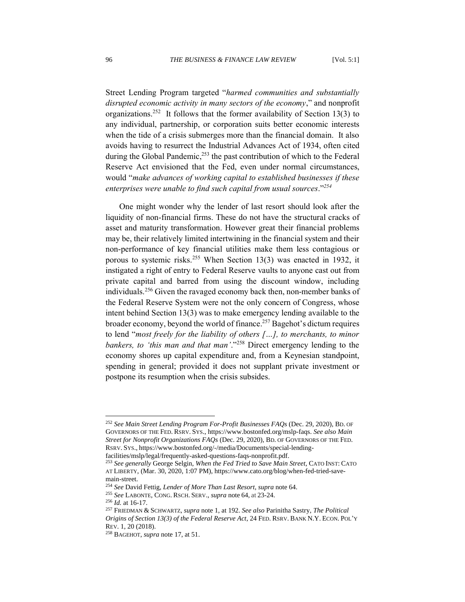Street Lending Program targeted "*harmed communities and substantially disrupted economic activity in many sectors of the economy*," and nonprofit organizations.<sup>252</sup> It follows that the former availability of Section 13(3) to any individual, partnership, or corporation suits better economic interests when the tide of a crisis submerges more than the financial domain. It also avoids having to resurrect the Industrial Advances Act of 1934, often cited during the Global Pandemic,<sup>253</sup> the past contribution of which to the Federal Reserve Act envisioned that the Fed, even under normal circumstances, would "*make advances of working capital to established businesses if these enterprises were unable to find such capital from usual sources*." *254*

One might wonder why the lender of last resort should look after the liquidity of non-financial firms. These do not have the structural cracks of asset and maturity transformation. However great their financial problems may be, their relatively limited intertwining in the financial system and their non-performance of key financial utilities make them less contagious or porous to systemic risks.<sup>255</sup> When Section 13(3) was enacted in 1932, it instigated a right of entry to Federal Reserve vaults to anyone cast out from private capital and barred from using the discount window, including individuals. <sup>256</sup> Given the ravaged economy back then, non-member banks of the Federal Reserve System were not the only concern of Congress, whose intent behind Section 13(3) was to make emergency lending available to the broader economy, beyond the world of finance. <sup>257</sup> Bagehot's dictum requires to lend "*most freely for the liability of others […], to merchants, to minor bankers, to 'this man and that man'*."<sup>258</sup> Direct emergency lending to the economy shores up capital expenditure and, from a Keynesian standpoint, spending in general; provided it does not supplant private investment or postpone its resumption when the crisis subsides.

<sup>252</sup> *See Main Street Lending Program For-Profit Businesses FAQs* (Dec. 29, 2020)*,* BD. OF GOVERNORS OF THE FED. RSRV. SYS., [https://www.bostonfed.org/mslp-faqs.](https://www.bostonfed.org/mslp-faqs) *See also Main Street for Nonprofit Organizations FAQs* (Dec. 29, 2020)*,* BD. OF GOVERNORS OF THE FED. RSRV. SYS., [https://www.bostonfed.org/-/media/Documents/special-lending-](https://www.bostonfed.org/-/media/Documents/special-lending-facilities/mslp/legal/frequently-asked-questions-faqs-nonprofit.pdf)

[facilities/mslp/legal/frequently-asked-questions-faqs-nonprofit.pdf.](https://www.bostonfed.org/-/media/Documents/special-lending-facilities/mslp/legal/frequently-asked-questions-faqs-nonprofit.pdf)

<sup>253</sup> *See generally* George Selgin, *When the Fed Tried to Save Main Street*, CATO INST: CATO AT LIBERTY, (Mar. 30, 2020, 1:07 PM), https://www.cato.org/blog/when-fed-tried-savemain-street.

<sup>254</sup> *See* David Fettig, *Lender of More Than Last Resort*, *supra* note 64.

<sup>255</sup> *See* LABONTE, CONG. RSCH. SERV., *supra* note 64, at 23-24.

<sup>256</sup> *Id.* at 16-17.

<sup>257</sup> FRIEDMAN & SCHWARTZ, *supra* note 1, at 192. *See also* Parinitha Sastry, *The Political Origins of Section 13(3) of the Federal Reserve Act*, 24 FED. RSRV. BANK N.Y. ECON. POL'Y REV. 1, 20 (2018).

<sup>258</sup> BAGEHOT, *supra* note 17, at 51.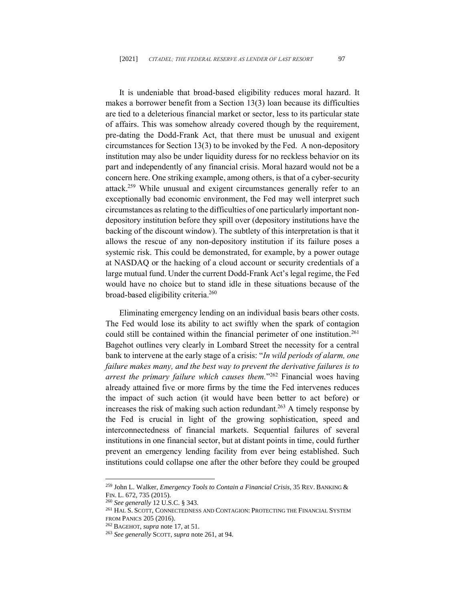It is undeniable that broad-based eligibility reduces moral hazard. It makes a borrower benefit from a Section 13(3) loan because its difficulties are tied to a deleterious financial market or sector, less to its particular state of affairs. This was somehow already covered though by the requirement, pre-dating the Dodd-Frank Act, that there must be unusual and exigent circumstances for Section 13(3) to be invoked by the Fed. A non-depository institution may also be under liquidity duress for no reckless behavior on its part and independently of any financial crisis. Moral hazard would not be a concern here. One striking example, among others, is that of a cyber-security attack. <sup>259</sup> While unusual and exigent circumstances generally refer to an exceptionally bad economic environment, the Fed may well interpret such circumstances as relating to the difficulties of one particularly important nondepository institution before they spill over (depository institutions have the backing of the discount window). The subtlety of this interpretation is that it allows the rescue of any non-depository institution if its failure poses a systemic risk. This could be demonstrated, for example, by a power outage at NASDAQ or the hacking of a cloud account or security credentials of a large mutual fund. Under the current Dodd-Frank Act's legal regime, the Fed would have no choice but to stand idle in these situations because of the broad-based eligibility criteria. 260

Eliminating emergency lending on an individual basis bears other costs. The Fed would lose its ability to act swiftly when the spark of contagion could still be contained within the financial perimeter of one institution. 261 Bagehot outlines very clearly in Lombard Street the necessity for a central bank to intervene at the early stage of a crisis: "*In wild periods of alarm, one failure makes many, and the best way to prevent the derivative failures is to arrest the primary failure which causes them.*" <sup>262</sup> Financial woes having already attained five or more firms by the time the Fed intervenes reduces the impact of such action (it would have been better to act before) or increases the risk of making such action redundant. <sup>263</sup> A timely response by the Fed is crucial in light of the growing sophistication, speed and interconnectedness of financial markets. Sequential failures of several institutions in one financial sector, but at distant points in time, could further prevent an emergency lending facility from ever being established. Such institutions could collapse one after the other before they could be grouped

<sup>259</sup> John L. Walker, *Emergency Tools to Contain a Financial Crisis*, 35 REV. BANKING & FIN. L. 672, 735 (2015).

<sup>260</sup> *See generally* 12 U.S.C. § 343.

<sup>261</sup> HAL S. SCOTT, CONNECTEDNESS AND CONTAGION: PROTECTING THE FINANCIAL SYSTEM FROM PANICS 205 (2016).

<sup>262</sup> BAGEHOT, *supra* note 17, at 51.

<sup>263</sup> *See generally* SCOTT, *supra* note 261, at 94.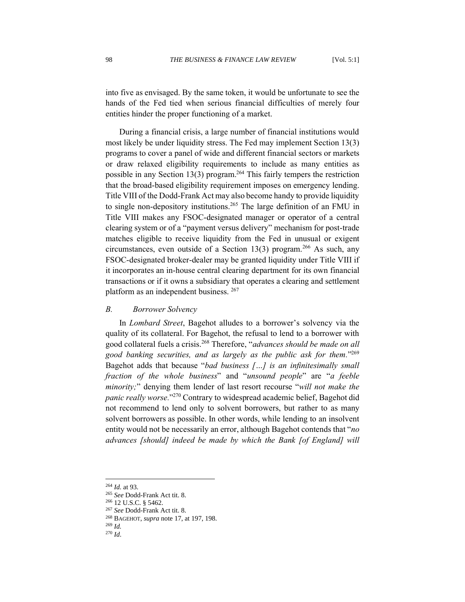into five as envisaged. By the same token, it would be unfortunate to see the hands of the Fed tied when serious financial difficulties of merely four entities hinder the proper functioning of a market.

During a financial crisis, a large number of financial institutions would most likely be under liquidity stress. The Fed may implement Section 13(3) programs to cover a panel of wide and different financial sectors or markets or draw relaxed eligibility requirements to include as many entities as possible in any Section 13(3) program. <sup>264</sup> This fairly tempers the restriction that the broad-based eligibility requirement imposes on emergency lending. Title VIII of the Dodd-Frank Act may also become handy to provide liquidity to single non-depository institutions. <sup>265</sup> The large definition of an FMU in Title VIII makes any FSOC-designated manager or operator of a central clearing system or of a "payment versus delivery" mechanism for post-trade matches eligible to receive liquidity from the Fed in unusual or exigent circumstances, even outside of a Section 13(3) program.<sup>266</sup> As such, any FSOC-designated broker-dealer may be granted liquidity under Title VIII if it incorporates an in-house central clearing department for its own financial transactions or if it owns a subsidiary that operates a clearing and settlement platform as an independent business. <sup>267</sup>

### *B. Borrower Solvency*

In *Lombard Street*, Bagehot alludes to a borrower's solvency via the quality of its collateral. For Bagehot, the refusal to lend to a borrower with good collateral fuels a crisis. <sup>268</sup> Therefore, "*advances should be made on all good banking securities, and as largely as the public ask for them.*" 269 Bagehot adds that because "*bad business […] is an infinitesimally small fraction of the whole business*" and "*unsound people*" are "*a feeble minority;*" denying them lender of last resort recourse "*will not make the panic really worse.*" <sup>270</sup> Contrary to widespread academic belief, Bagehot did not recommend to lend only to solvent borrowers, but rather to as many solvent borrowers as possible. In other words, while lending to an insolvent entity would not be necessarily an error, although Bagehot contends that "*no advances [should] indeed be made by which the Bank [of England] will* 

<sup>264</sup> *Id.* at 93.

<sup>265</sup> *See* Dodd-Frank Act tit. 8.

<sup>266</sup> 12 U.S.C. § 5462.

<sup>267</sup> *See* Dodd-Frank Act tit. 8.

<sup>268</sup> BAGEHOT, *supra* note 17, at 197, 198.

<sup>269</sup> *Id.*

<sup>270</sup> *Id*.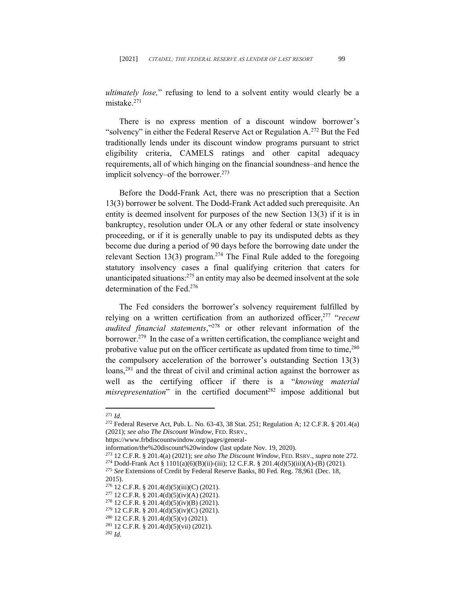*ultimately lose,*" refusing to lend to a solvent entity would clearly be a mistake.<sup>271</sup>

There is no express mention of a discount window borrower's "solvency" in either the Federal Reserve Act or Regulation  $A^{272}$  But the Fed traditionally lends under its discount window programs pursuant to strict eligibility criteria, CAMELS ratings and other capital adequacy requirements, all of which hinging on the financial soundness–and hence the implicit solvency–of the borrower. 273

Before the Dodd-Frank Act, there was no prescription that a Section 13(3) borrower be solvent. The Dodd-Frank Act added such prerequisite. An entity is deemed insolvent for purposes of the new Section 13(3) if it is in bankruptcy, resolution under OLA or any other federal or state insolvency proceeding, or if it is generally unable to pay its undisputed debts as they become due during a period of 90 days before the borrowing date under the relevant Section 13(3) program.<sup>274</sup> The Final Rule added to the foregoing statutory insolvency cases a final qualifying criterion that caters for unanticipated situations: <sup>275</sup> an entity may also be deemed insolvent at the sole determination of the Fed. 276

The Fed considers the borrower's solvency requirement fulfilled by relying on a written certification from an authorized officer, 277 "*recent audited financial statements*," <sup>278</sup> or other relevant information of the borrower. <sup>279</sup> In the case of a written certification, the compliance weight and probative value put on the officer certificate as updated from time to time,<sup>280</sup> the compulsory acceleration of the borrower's outstanding Section 13(3) loans,<sup>281</sup> and the threat of civil and criminal action against the borrower as well as the certifying officer if there is a "*knowing material misrepresentation*" in the certified document<sup>282</sup> impose additional but

https://www.frbdiscountwindow.org/pages/general-

<sup>271</sup> *Id*.

<sup>272</sup> Federal Reserve Act, Pub. L. No. 63-43, 38 Stat. 251; Regulation A; 12 C.F.R. § 201.4(a) (2021); *see also The Discount Window*, FED. RSRV.,

information/the%20discount%20window (last update Nov. 19, 2020).

<sup>273</sup> 12 C.F.R. § 201.4(a) (2021); *see also The Discount Window*, FED. RSRV., *supra* note 272.

<sup>274</sup> Dodd-Frank Act § 1101(a)(6)(B)(ii)-(iii); 12 C.F.R. § 201.4(d)(5)(iii)(A)-(B) (2021).

<sup>275</sup> *See* Extensions of Credit by Federal Reserve Banks, 80 Fed. Reg. 78,961 (Dec. 18,

<sup>2015).</sup>

<sup>276</sup> 12 C.F.R. § 201.4(d)(5)(iii)(C) (2021).

<sup>&</sup>lt;sup>277</sup> 12 C.F.R. § 201.4(d)(5)(iv)(A) (2021).

<sup>&</sup>lt;sup>278</sup> 12 C.F.R. § 201.4(d)(5)(iv)(B) (2021).

<sup>279</sup> 12 C.F.R. § 201.4(d)(5)(iv)(C) (2021).

<sup>280</sup> 12 C.F.R. § 201.4(d)(5)(v) (2021).

 $281$  12 C.F.R. § 201.4(d)(5)(vii) (2021).

<sup>282</sup> *Id*.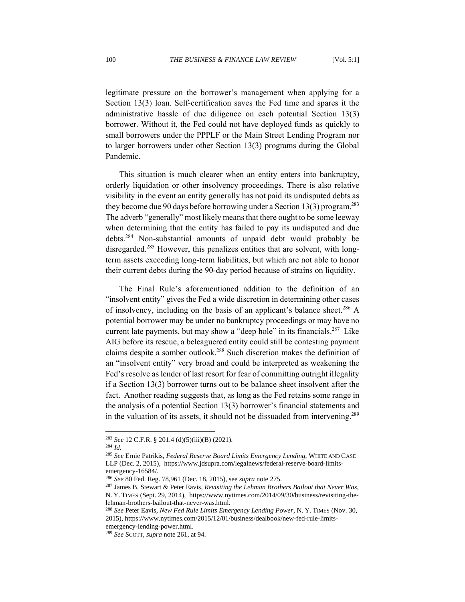legitimate pressure on the borrower's management when applying for a Section 13(3) loan. Self-certification saves the Fed time and spares it the administrative hassle of due diligence on each potential Section 13(3) borrower. Without it, the Fed could not have deployed funds as quickly to small borrowers under the PPPLF or the Main Street Lending Program nor to larger borrowers under other Section 13(3) programs during the Global Pandemic.

This situation is much clearer when an entity enters into bankruptcy, orderly liquidation or other insolvency proceedings. There is also relative visibility in the event an entity generally has not paid its undisputed debts as they become due 90 days before borrowing under a Section 13(3) program.<sup>283</sup> The adverb "generally" most likely means that there ought to be some leeway when determining that the entity has failed to pay its undisputed and due debts.<sup>284</sup> Non-substantial amounts of unpaid debt would probably be disregarded.<sup>285</sup> However, this penalizes entities that are solvent, with longterm assets exceeding long-term liabilities, but which are not able to honor their current debts during the 90-day period because of strains on liquidity.

The Final Rule's aforementioned addition to the definition of an "insolvent entity" gives the Fed a wide discretion in determining other cases of insolvency, including on the basis of an applicant's balance sheet.<sup>286</sup> A potential borrower may be under no bankruptcy proceedings or may have no current late payments, but may show a "deep hole" in its financials. 287 Like AIG before its rescue, a beleaguered entity could still be contesting payment claims despite a somber outlook. <sup>288</sup> Such discretion makes the definition of an "insolvent entity" very broad and could be interpreted as weakening the Fed's resolve as lender of last resort for fear of committing outright illegality if a Section 13(3) borrower turns out to be balance sheet insolvent after the fact. Another reading suggests that, as long as the Fed retains some range in the analysis of a potential Section 13(3) borrower's financial statements and in the valuation of its assets, it should not be dissuaded from intervening.<sup>289</sup>

<sup>283</sup> *See* 12 C.F.R. § 201.4 (d)(5)(iii)(B) (2021).

<sup>284</sup> *Id.*

<sup>285</sup> *See* Ernie Patrikis, *Federal Reserve Board Limits Emergency Lending*, WHITE AND CASE LLP (Dec. 2, 2015), https://www.jdsupra.com/legalnews/federal-reserve-board-limitsemergency-16584/.

<sup>286</sup> *See* 80 Fed. Reg. 78,961 (Dec. 18, 2015), see *supra* note 275.

<sup>287</sup> James B. Stewart & Peter Eavis, *Revisiting the Lehman Brothers Bailout that Never Was*, N. Y. TIMES (Sept. 29, 2014), https://www.nytimes.com/2014/09/30/business/revisiting-thelehman-brothers-bailout-that-never-was.html.

<sup>288</sup> *See* Peter Eavis, *New Fed Rule Limits Emergency Lending Power*, N. Y. TIMES (Nov. 30, 2015), https://www.nytimes.com/2015/12/01/business/dealbook/new-fed-rule-limitsemergency-lending-power.html.

<sup>289</sup> *See* SCOTT, *supra* note 261, at 94.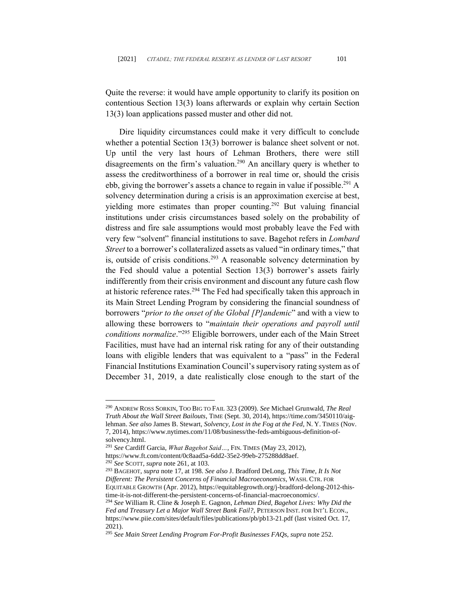Quite the reverse: it would have ample opportunity to clarify its position on contentious Section 13(3) loans afterwards or explain why certain Section 13(3) loan applications passed muster and other did not.

Dire liquidity circumstances could make it very difficult to conclude whether a potential Section 13(3) borrower is balance sheet solvent or not. Up until the very last hours of Lehman Brothers, there were still disagreements on the firm's valuation.<sup>290</sup> An ancillary query is whether to assess the creditworthiness of a borrower in real time or, should the crisis ebb, giving the borrower's assets a chance to regain in value if possible. <sup>291</sup> A solvency determination during a crisis is an approximation exercise at best, yielding more estimates than proper counting. <sup>292</sup> But valuing financial institutions under crisis circumstances based solely on the probability of distress and fire sale assumptions would most probably leave the Fed with very few "solvent" financial institutions to save. Bagehot refers in *Lombard Street* to a borrower's collateralized assets as valued "in ordinary times," that is, outside of crisis conditions.<sup>293</sup> A reasonable solvency determination by the Fed should value a potential Section 13(3) borrower's assets fairly indifferently from their crisis environment and discount any future cash flow at historic reference rates.<sup>294</sup> The Fed had specifically taken this approach in its Main Street Lending Program by considering the financial soundness of borrowers "*prior to the onset of the Global [P]andemic*" and with a view to allowing these borrowers to "*maintain their operations and payroll until conditions normalize*." <sup>295</sup> Eligible borrowers, under each of the Main Street Facilities, must have had an internal risk rating for any of their outstanding loans with eligible lenders that was equivalent to a "pass" in the Federal Financial Institutions Examination Council's supervisory rating system as of December 31, 2019, a date realistically close enough to the start of the

2021).

<sup>290</sup> ANDREW ROSS SORKIN, TOO BIG TO FAIL 323 (2009). *See* Michael Grunwald, *The Real Truth About the Wall Street Bailouts*, TIME (Sept. 30, 2014), https://time.com/3450110/aiglehman. *See also* James B. Stewart, *Solvency, Lost in the Fog at the Fed*, N. Y. TIMES (Nov. 7, 2014), https://www.nytimes.com/11/08/business/the-feds-ambiguous-definition-ofsolvency.html.

<sup>291</sup> *See* Cardiff Garcia, *What Bagehot Said…*, FIN. TIMES (May 23, 2012),

https://www.ft.com/content/0c8aad5a-6dd2-35e2-99eb-275288dd8aef. <sup>292</sup> *See* SCOTT, *supra* note 261, at 103.

<sup>293</sup> BAGEHOT, *supra* note 17, at 198. *See also* J. Bradford DeLong, *This Time, It Is Not Different: The Persistent Concerns of Financial Macroeconomics*, WASH. CTR. FOR EQUITABLE GROWTH (Apr. 2012), https://equitablegrowth.org/j-bradford-delong-2012-thistime-it-is-not-different-the-persistent-concerns-of-financial-macroeconomics/. <sup>294</sup> *See* William R. Cline & Joseph E. Gagnon, *Lehman Died, Bagehot Lives: Why Did the Fed and Treasury Let a Major Wall Street Bank Fail?*, PETERSON INST. FOR INT'L ECON., https://www.piie.com/sites/default/files/publications/pb/pb13-21.pdf (last visited Oct. 17,

<sup>295</sup> *See Main Street Lending Program For-Profit Businesses FAQs, supra* note 252.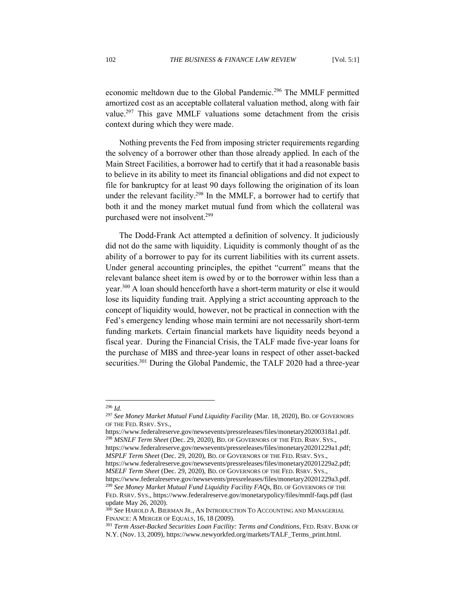economic meltdown due to the Global Pandemic.<sup>296</sup> The MMLF permitted amortized cost as an acceptable collateral valuation method, along with fair value.<sup>297</sup> This gave MMLF valuations some detachment from the crisis context during which they were made.

Nothing prevents the Fed from imposing stricter requirements regarding the solvency of a borrower other than those already applied. In each of the Main Street Facilities, a borrower had to certify that it had a reasonable basis to believe in its ability to meet its financial obligations and did not expect to file for bankruptcy for at least 90 days following the origination of its loan under the relevant facility.<sup>298</sup> In the MMLF, a borrower had to certify that both it and the money market mutual fund from which the collateral was purchased were not insolvent.<sup>299</sup>

The Dodd-Frank Act attempted a definition of solvency. It judiciously did not do the same with liquidity. Liquidity is commonly thought of as the ability of a borrower to pay for its current liabilities with its current assets. Under general accounting principles, the epithet "current" means that the relevant balance sheet item is owed by or to the borrower within less than a year.<sup>300</sup> A loan should henceforth have a short-term maturity or else it would lose its liquidity funding trait. Applying a strict accounting approach to the concept of liquidity would, however, not be practical in connection with the Fed's emergency lending whose main termini are not necessarily short-term funding markets. Certain financial markets have liquidity needs beyond a fiscal year. During the Financial Crisis, the TALF made five-year loans for the purchase of MBS and three-year loans in respect of other asset-backed securities.<sup>301</sup> During the Global Pandemic, the TALF 2020 had a three-year

<sup>296</sup> *Id.*

<sup>297</sup> *See Money Market Mutual Fund Liquidity Facility* (Mar. 18, 2020), BD. OF GOVERNORS OF THE FED. RSRV. SYS.,

https://www.federalreserve.gov/newsevents/pressreleases/files/monetary20200318a1.pdf. <sup>298</sup> *MSNLF Term Sheet* (Dec. 29, 2020), BD. OF GOVERNORS OF THE FED. RSRV. SYS., https://www.federalreserve.gov/newsevents/pressreleases/files/monetary20201229a1.pdf; *MSPLF Term Sheet* (Dec. 29, 2020), BD. OF GOVERNORS OF THE FED. RSRV. SYS., https://www.federalreserve.gov/newsevents/pressreleases/files/monetary20201229a2.pdf; *MSELF Term Sheet* (Dec. 29, 2020), BD. OF GOVERNORS OF THE FED. RSRV. SYS., https://www.federalreserve.gov/newsevents/pressreleases/files/monetary20201229a3.pdf. <sup>299</sup> *See Money Market Mutual Fund Liquidity Facility FAQs,* BD. OF GOVERNORS OF THE FED. RSRV. SYS., https://www.federalreserve.gov/monetarypolicy/files/mmlf-faqs.pdf (last update May 26, 2020).

<sup>300</sup> *See* HAROLD A. BIERMAN JR., AN INTRODUCTION TO ACCOUNTING AND MANAGERIAL FINANCE: A MERGER OF EQUALS, 16, 18 (2009).

<sup>301</sup> *Term Asset-Backed Securities Loan Facility: Terms and Conditions*, FED. RSRV. BANK OF N.Y. (Nov. 13, 2009), https://www.newyorkfed.org/markets/TALF\_Terms\_print.html.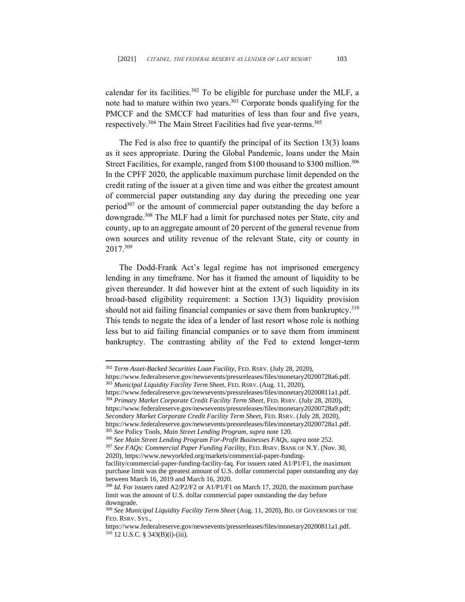calendar for its facilities.<sup>302</sup> To be eligible for purchase under the MLF, a note had to mature within two years. <sup>303</sup> Corporate bonds qualifying for the PMCCF and the SMCCF had maturities of less than four and five years, respectively.<sup>304</sup> The Main Street Facilities had five year-terms.<sup>305</sup>

The Fed is also free to quantify the principal of its Section 13(3) loans as it sees appropriate. During the Global Pandemic, loans under the Main Street Facilities, for example, ranged from \$100 thousand to \$300 million.<sup>306</sup> In the CPFF 2020, the applicable maximum purchase limit depended on the credit rating of the issuer at a given time and was either the greatest amount of commercial paper outstanding any day during the preceding one year period $307$  or the amount of commercial paper outstanding the day before a downgrade. <sup>308</sup> The MLF had a limit for purchased notes per State, city and county, up to an aggregate amount of 20 percent of the general revenue from own sources and utility revenue of the relevant State, city or county in 2017. 309

The Dodd-Frank Act's legal regime has not imprisoned emergency lending in any timeframe. Nor has it framed the amount of liquidity to be given thereunder. It did however hint at the extent of such liquidity in its broad-based eligibility requirement: a Section 13(3) liquidity provision should not aid failing financial companies or save them from bankruptcy.<sup>310</sup> This tends to negate the idea of a lender of last resort whose role is nothing less but to aid failing financial companies or to save them from imminent bankruptcy. The contrasting ability of the Fed to extend longer-term

[https://www.federalreserve.gov/newsevents/pressreleases/files/monetary20200811a1.pdf.](https://www.federalreserve.gov/newsevents/pressreleases/files/monetary20200811a1.pdf) <sup>304</sup> *Primary Market Corporate Credit Facility Term Sheet*, FED. RSRV. (July 28, 2020), https://www.federalreserve.gov/newsevents/pressreleases/files/monetary20200728a9.pdf; *Secondary Market Corporate Credit Facility Term Sheet*, FED. RSRV. (July 28, 2020), https://www.federalreserve.gov/newsevents/pressreleases/files/monetary20200728a1.pdf. <sup>305</sup> *See* Policy Tools*, Main Street Lending Program, supra* note 120.

<sup>307</sup> *See FAQs: Commercial Paper Funding Facility*, FED. RSRV. BANK OF N.Y. (Nov. 30, 2020), https://www.newyorkfed.org/markets/commercial-paper-funding-

facility/commercial-paper-funding-facility-faq. For issuers rated A1/P1/F1, the maximum purchase limit was the greatest amount of U.S. dollar commercial paper outstanding any day between March 16, 2019 and March 16, 2020.

<sup>302</sup> *Term Asset-Backed Securities Loan Facility*, FED. RSRV. (July 28, 2020),

https://www.federalreserve.gov/newsevents/pressreleases/files/monetary20200728a6.pdf. <sup>303</sup> *Municipal Liquidity Facility Term Sheet*, FED. RSRV. (Aug. 11, 2020),

<sup>306</sup> *See Main Street Lending Program For-Profit Businesses FAQs, supra* note 252.

<sup>308</sup> *Id.* For issuers rated A2/P2/F2 or A1/P1/F1 on March 17, 2020, the maximum purchase limit was the amount of U.S. dollar commercial paper outstanding the day before downgrade.

<sup>309</sup> *See Municipal Liquidity Facility Term Sheet* (Aug. 11, 2020), BD. OF GOVERNORS OF THE FED. RSRV. SYS.,

https://www.federalreserve.gov/newsevents/pressreleases/files/monetary20200811a1.pdf. <sup>310</sup> 12 U.S.C. § 343(B)(i)-(iii).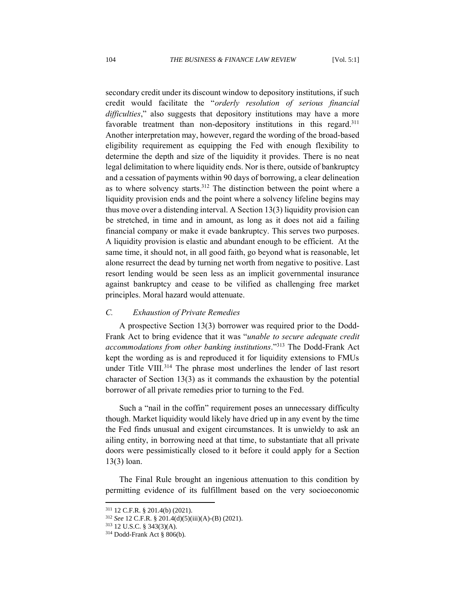secondary credit under its discount window to depository institutions, if such credit would facilitate the "*orderly resolution of serious financial difficulties*," also suggests that depository institutions may have a more favorable treatment than non-depository institutions in this regard.<sup>311</sup> Another interpretation may, however, regard the wording of the broad-based eligibility requirement as equipping the Fed with enough flexibility to determine the depth and size of the liquidity it provides. There is no neat legal delimitation to where liquidity ends. Nor is there, outside of bankruptcy and a cessation of payments within 90 days of borrowing, a clear delineation as to where solvency starts.<sup>312</sup> The distinction between the point where a liquidity provision ends and the point where a solvency lifeline begins may thus move over a distending interval. A Section 13(3) liquidity provision can be stretched, in time and in amount, as long as it does not aid a failing financial company or make it evade bankruptcy. This serves two purposes. A liquidity provision is elastic and abundant enough to be efficient. At the same time, it should not, in all good faith, go beyond what is reasonable, let alone resurrect the dead by turning net worth from negative to positive. Last resort lending would be seen less as an implicit governmental insurance against bankruptcy and cease to be vilified as challenging free market principles. Moral hazard would attenuate.

## *C. Exhaustion of Private Remedies*

A prospective Section 13(3) borrower was required prior to the Dodd-Frank Act to bring evidence that it was "*unable to secure adequate credit accommodations from other banking institutions*." <sup>313</sup> The Dodd-Frank Act kept the wording as is and reproduced it for liquidity extensions to FMUs under Title VIII.<sup>314</sup> The phrase most underlines the lender of last resort character of Section 13(3) as it commands the exhaustion by the potential borrower of all private remedies prior to turning to the Fed.

Such a "nail in the coffin" requirement poses an unnecessary difficulty though. Market liquidity would likely have dried up in any event by the time the Fed finds unusual and exigent circumstances. It is unwieldy to ask an ailing entity, in borrowing need at that time, to substantiate that all private doors were pessimistically closed to it before it could apply for a Section 13(3) loan.

The Final Rule brought an ingenious attenuation to this condition by permitting evidence of its fulfillment based on the very socioeconomic

<sup>311</sup> 12 C.F.R. § 201.4(b) (2021).

<sup>312</sup> *See* 12 C.F.R. § 201.4(d)(5)(iii)(A)-(B) (2021).

<sup>313</sup> 12 U.S.C. § 343(3)(A).

<sup>314</sup> Dodd-Frank Act § 806(b).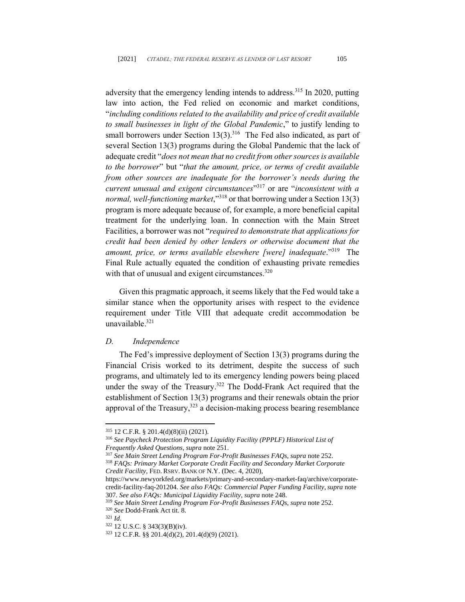adversity that the emergency lending intends to address.<sup>315</sup> In 2020, putting law into action, the Fed relied on economic and market conditions, "*including conditions related to the availability and price of credit available to small businesses in light of the Global Pandemic*," to justify lending to small borrowers under Section  $13(3)$ .<sup>316</sup> The Fed also indicated, as part of several Section 13(3) programs during the Global Pandemic that the lack of adequate credit "*does not mean that no credit from other sources is available to the borrower*" but "*that the amount, price, or terms of credit available from other sources are inadequate for the borrower's needs during the current unusual and exigent circumstances*" <sup>317</sup> or are "*inconsistent with a normal, well-functioning market*,"<sup>318</sup> or that borrowing under a Section 13(3) program is more adequate because of, for example, a more beneficial capital treatment for the underlying loan. In connection with the Main Street Facilities, a borrower was not "*required to demonstrate that applications for credit had been denied by other lenders or otherwise document that the amount, price, or terms available elsewhere [were] inadequate*."<sup>319</sup> The Final Rule actually equated the condition of exhausting private remedies with that of unusual and exigent circumstances. $320$ 

Given this pragmatic approach, it seems likely that the Fed would take a similar stance when the opportunity arises with respect to the evidence requirement under Title VIII that adequate credit accommodation be unavailable. 321

#### *D. Independence*

The Fed's impressive deployment of Section 13(3) programs during the Financial Crisis worked to its detriment, despite the success of such programs, and ultimately led to its emergency lending powers being placed under the sway of the Treasury. <sup>322</sup> The Dodd-Frank Act required that the establishment of Section 13(3) programs and their renewals obtain the prior approval of the Treasury, $323$  a decision-making process bearing resemblance

<sup>315</sup> 12 C.F.R. § 201.4(d)(8)(ii) (2021).

<sup>316</sup> *See Paycheck Protection Program Liquidity Facility (PPPLF) Historical List of Frequently Asked Questions, supra* note 251.

<sup>317</sup> *See Main Street Lending Program For-Profit Businesses FAQs*, *supra* note 252.

<sup>318</sup> *FAQs: Primary Market Corporate Credit Facility and Secondary Market Corporate Credit Facility*, FED. RSRV. BANK OF N.Y. (Dec. 4, 2020),

https://www.newyorkfed.org/markets/primary-and-secondary-market-faq/archive/corporatecredit-facility-faq-201204. *See also FAQs: Commercial Paper Funding Facility*,*supra* note 307. *See also FAQs: Municipal Liquidity Facility*, *supra* note 248.

<sup>319</sup> *See Main Street Lending Program For-Profit Businesses FAQs, supra* note 252.

<sup>320</sup> *See* Dodd-Frank Act tit. 8.

<sup>321</sup> *Id*.

<sup>322</sup> 12 U.S.C. § 343(3)(B)(iv).

<sup>323</sup> 12 C.F.R. §§ 201.4(d)(2), 201.4(d)(9) (2021).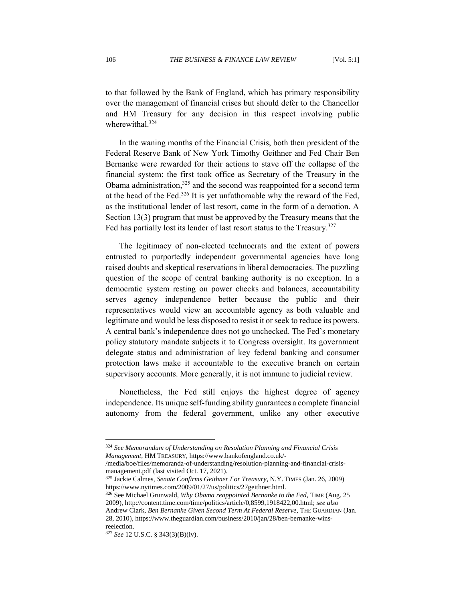to that followed by the Bank of England, which has primary responsibility over the management of financial crises but should defer to the Chancellor and HM Treasury for any decision in this respect involving public wherewithal. 324

In the waning months of the Financial Crisis, both then president of the Federal Reserve Bank of New York Timothy Geithner and Fed Chair Ben Bernanke were rewarded for their actions to stave off the collapse of the financial system: the first took office as Secretary of the Treasury in the Obama administration,<sup>325</sup> and the second was reappointed for a second term at the head of the Fed.<sup>326</sup> It is yet unfathomable why the reward of the Fed, as the institutional lender of last resort, came in the form of a demotion. A Section 13(3) program that must be approved by the Treasury means that the Fed has partially lost its lender of last resort status to the Treasury.<sup>327</sup>

The legitimacy of non-elected technocrats and the extent of powers entrusted to purportedly independent governmental agencies have long raised doubts and skeptical reservations in liberal democracies. The puzzling question of the scope of central banking authority is no exception. In a democratic system resting on power checks and balances, accountability serves agency independence better because the public and their representatives would view an accountable agency as both valuable and legitimate and would be less disposed to resist it or seek to reduce its powers. A central bank's independence does not go unchecked. The Fed's monetary policy statutory mandate subjects it to Congress oversight. Its government delegate status and administration of key federal banking and consumer protection laws make it accountable to the executive branch on certain supervisory accounts. More generally, it is not immune to judicial review.

Nonetheless, the Fed still enjoys the highest degree of agency independence. Its unique self-funding ability guarantees a complete financial autonomy from the federal government, unlike any other executive

<sup>324</sup> *See Memorandum of Understanding on Resolution Planning and Financial Crisis Management*, HM TREASURY, https://www.bankofengland.co.uk/-

<sup>/</sup>media/boe/files/memoranda-of-understanding/resolution-planning-and-financial-crisismanagement.pdf (last visited Oct. 17, 2021).

<sup>325</sup> Jackie Calmes, *Senate Confirms Geithner For Treasury*, N.Y. TIMES (Jan. 26, 2009) https://www.nytimes.com/2009/01/27/us/politics/27geithner.html.

<sup>326</sup> See Michael Grunwald, *Why Obama reappointed Bernanke to the Fed*, TIME (Aug. 25 2009), http://content.time.com/time/politics/article/0,8599,1918422,00.html; *see also* Andrew Clark, *Ben Bernanke Given Second Term At Federal Reserve*, THE GUARDIAN (Jan. 28, 2010), [https://www.theguardian.com/business/2010/jan/28/ben-bernanke-wins](https://www.theguardian.com/business/2010/jan/28/ben-bernanke-wins-reelection)[reelection.](https://www.theguardian.com/business/2010/jan/28/ben-bernanke-wins-reelection)

<sup>327</sup> *See* 12 U.S.C. § 343(3)(B)(iv).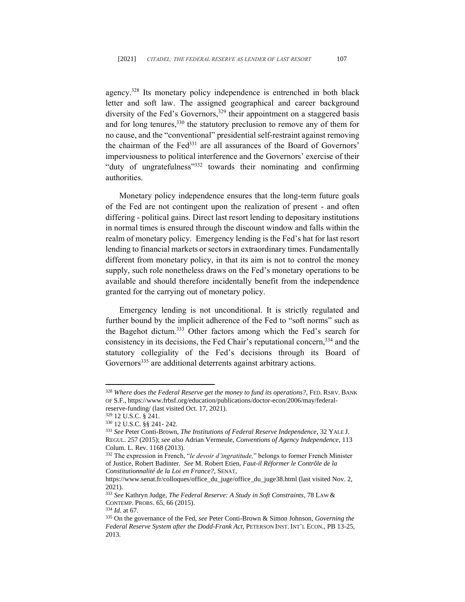agency.<sup>328</sup> Its monetary policy independence is entrenched in both black letter and soft law. The assigned geographical and career background diversity of the Fed's Governors,<sup>329</sup> their appointment on a staggered basis and for long tenures,  $330$  the statutory preclusion to remove any of them for no cause, and the "conventional" presidential self-restraint against removing the chairman of the Fed<sup>331</sup> are all assurances of the Board of Governors' imperviousness to political interference and the Governors' exercise of their "duty of ungratefulness"<sup>332</sup> towards their nominating and confirming authorities.

Monetary policy independence ensures that the long-term future goals of the Fed are not contingent upon the realization of present - and often differing - political gains. Direct last resort lending to depositary institutions in normal times is ensured through the discount window and falls within the realm of monetary policy. Emergency lending is the Fed's hat for last resort lending to financial markets or sectors in extraordinary times. Fundamentally different from monetary policy, in that its aim is not to control the money supply, such role nonetheless draws on the Fed's monetary operations to be available and should therefore incidentally benefit from the independence granted for the carrying out of monetary policy.

Emergency lending is not unconditional. It is strictly regulated and further bound by the implicit adherence of the Fed to "soft norms" such as the Bagehot dictum.<sup>333</sup> Other factors among which the Fed's search for consistency in its decisions, the Fed Chair's reputational concern, <sup>334</sup> and the statutory collegiality of the Fed's decisions through its Board of Governors<sup>335</sup> are additional deterrents against arbitrary actions.

<sup>328</sup> *Where does the Federal Reserve get the money to fund its operations?*, FED. RSRV. BANK OF S.F., https://www.frbsf.org/education/publications/doctor-econ/2006/may/federalreserve-funding/ (last visited Oct. 17, 2021).

<sup>329</sup> 12 U.S.C. § 241.

<sup>330</sup> 12 U.S.C. §§ 241- 242.

<sup>331</sup> *See* Peter Conti-Brown, *The Institutions of Federal Reserve Independence*, 32 YALE J. REGUL. 257 (2015); *see also* Adrian Vermeule, *Conventions of Agency Independence*, 113 Colum. L. Rev. 1168 (2013).

<sup>332</sup> The expression in French, "*le devoir d'ingratitude,*" belongs to former French Minister of Justice, Robert Badinter. *See* M. Robert Etien, *Faut-il Réformer le Contrôle de la Constitutionnalité de la Loi en France?*, SENAT,

https://www.senat.fr/colloques/office\_du\_juge/office\_du\_juge38.html (last visited Nov. 2, 2021).

<sup>333</sup> *See* Kathryn Judge, *The Federal Reserve: A Study in Soft Constraints*, 78 LAW & CONTEMP. PROBS. 65, 66 (2015).

<sup>334</sup> *Id.* at 67.

<sup>335</sup> On the governance of the Fed, *see* Peter Conti-Brown & Simon Johnson, *Governing the Federal Reserve System after the Dodd-Frank Act*, PETERSON INST. INT'L ECON., PB 13-25, 2013.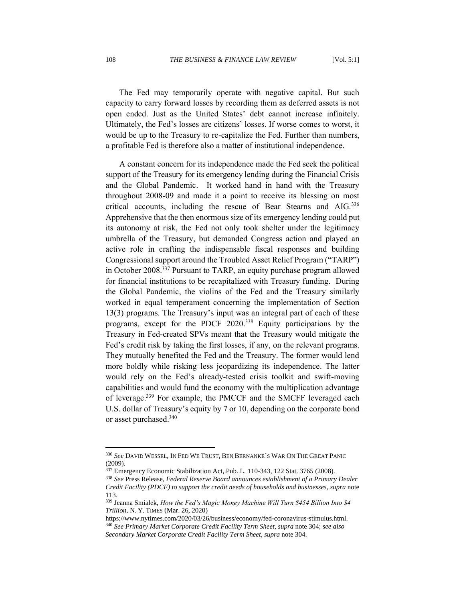The Fed may temporarily operate with negative capital. But such capacity to carry forward losses by recording them as deferred assets is not open ended. Just as the United States' debt cannot increase infinitely. Ultimately, the Fed's losses are citizens' losses. If worse comes to worst, it would be up to the Treasury to re-capitalize the Fed. Further than numbers, a profitable Fed is therefore also a matter of institutional independence.

A constant concern for its independence made the Fed seek the political support of the Treasury for its emergency lending during the Financial Crisis and the Global Pandemic. It worked hand in hand with the Treasury throughout 2008-09 and made it a point to receive its blessing on most critical accounts, including the rescue of Bear Stearns and AIG.<sup>336</sup> Apprehensive that the then enormous size of its emergency lending could put its autonomy at risk, the Fed not only took shelter under the legitimacy umbrella of the Treasury, but demanded Congress action and played an active role in crafting the indispensable fiscal responses and building Congressional support around the Troubled Asset Relief Program ("TARP") in October 2008.<sup>337</sup> Pursuant to TARP, an equity purchase program allowed for financial institutions to be recapitalized with Treasury funding. During the Global Pandemic, the violins of the Fed and the Treasury similarly worked in equal temperament concerning the implementation of Section 13(3) programs. The Treasury's input was an integral part of each of these programs, except for the PDCF 2020.<sup>338</sup> Equity participations by the Treasury in Fed-created SPVs meant that the Treasury would mitigate the Fed's credit risk by taking the first losses, if any, on the relevant programs. They mutually benefited the Fed and the Treasury. The former would lend more boldly while risking less jeopardizing its independence. The latter would rely on the Fed's already-tested crisis toolkit and swift-moving capabilities and would fund the economy with the multiplication advantage of leverage.<sup>339</sup> For example, the PMCCF and the SMCFF leveraged each U.S. dollar of Treasury's equity by 7 or 10, depending on the corporate bond or asset purchased. 340

<sup>336</sup> *See* DAVID WESSEL, IN FED WE TRUST, BEN BERNANKE'S WAR ON THE GREAT PANIC (2009).

<sup>337</sup> Emergency Economic Stabilization Act[, Pub. L. 110-343,](https://en.wikipedia.org/wiki/Public_Law_110-343) 122 Stat. 3765 (2008).

<sup>338</sup> *See* Press Release, *Federal Reserve Board announces establishment of a Primary Dealer Credit Facility (PDCF) to support the credit needs of households and businesses*, *supra* note 113.

<sup>339</sup> Jeanna Smialek, *How the Fed's Magic Money Machine Will Turn \$454 Billion Into \$4 Trillion*, N. Y. TIMES (Mar. 26, 2020)

https://www.nytimes.com/2020/03/26/business/economy/fed-coronavirus-stimulus.html. <sup>340</sup> *See Primary Market Corporate Credit Facility Term Sheet*, *supra* note 304; *see also Secondary Market Corporate Credit Facility Term Sheet*, *supra* note 304.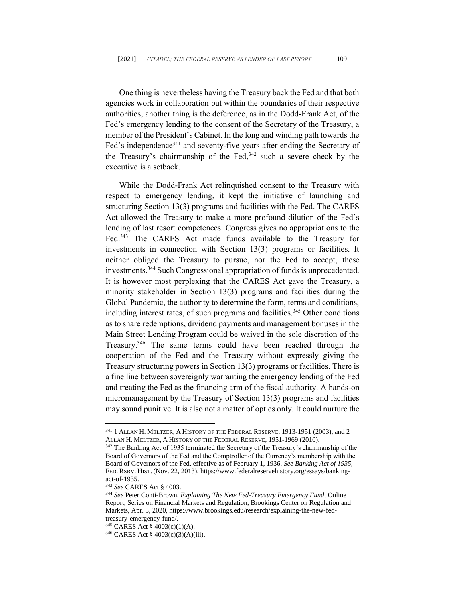One thing is nevertheless having the Treasury back the Fed and that both agencies work in collaboration but within the boundaries of their respective authorities, another thing is the deference, as in the Dodd-Frank Act, of the Fed's emergency lending to the consent of the Secretary of the Treasury, a member of the President's Cabinet. In the long and winding path towards the Fed's independence<sup>341</sup> and seventy-five years after ending the Secretary of the Treasury's chairmanship of the Fed, $342$  such a severe check by the executive is a setback.

While the Dodd-Frank Act relinquished consent to the Treasury with respect to emergency lending, it kept the initiative of launching and structuring Section 13(3) programs and facilities with the Fed. The CARES Act allowed the Treasury to make a more profound dilution of the Fed's lending of last resort competences. Congress gives no appropriations to the Fed.<sup>343</sup> The CARES Act made funds available to the Treasury for investments in connection with Section 13(3) programs or facilities. It neither obliged the Treasury to pursue, nor the Fed to accept, these investments. <sup>344</sup> Such Congressional appropriation of funds is unprecedented. It is however most perplexing that the CARES Act gave the Treasury, a minority stakeholder in Section 13(3) programs and facilities during the Global Pandemic, the authority to determine the form, terms and conditions, including interest rates, of such programs and facilities. <sup>345</sup> Other conditions as to share redemptions, dividend payments and management bonuses in the Main Street Lending Program could be waived in the sole discretion of the Treasury.<sup>346</sup> The same terms could have been reached through the cooperation of the Fed and the Treasury without expressly giving the Treasury structuring powers in Section 13(3) programs or facilities. There is a fine line between sovereignly warranting the emergency lending of the Fed and treating the Fed as the financing arm of the fiscal authority. A hands-on micromanagement by the Treasury of Section 13(3) programs and facilities may sound punitive. It is also not a matter of optics only. It could nurture the

<sup>341</sup> 1 ALLAN H. MELTZER, A HISTORY OF THE FEDERAL RESERVE, 1913-1951 (2003), and 2 ALLAN H. MELTZER, A HISTORY OF THE FEDERAL RESERVE, 1951-1969 (2010).

<sup>&</sup>lt;sup>342</sup> The Banking Act of 1935 terminated the Secretary of the Treasury's chairmanship of the Board of Governors of the Fed and the Comptroller of the Currency's membership with the Board of Governors of the Fed, effective as of February 1, 1936. *See Banking Act of 1935*, FED. RSRV. HIST. (Nov. 22, 2013), https://www.federalreservehistory.org/essays/bankingact-of-1935.

<sup>343</sup> *See* CARES Act § 4003.

<sup>344</sup> *See* Peter Conti-Brown, *Explaining The New Fed-Treasury Emergency Fund*, Online Report, Series on Financial Markets and Regulation, Brookings Center on Regulation and Markets, Apr. 3, 2020, https://www.brookings.edu/research/explaining-the-new-fedtreasury-emergency-fund/.

<sup>345</sup> CARES Act § 4003(c)(1)(A).

<sup>346</sup> CARES Act § 4003(c)(3)(A)(iii).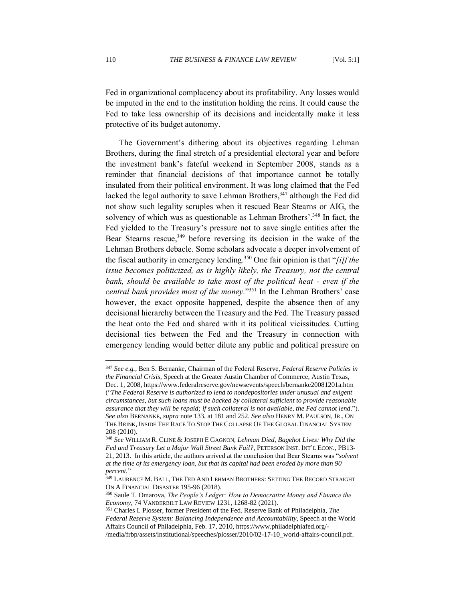Fed in organizational complacency about its profitability. Any losses would be imputed in the end to the institution holding the reins. It could cause the Fed to take less ownership of its decisions and incidentally make it less protective of its budget autonomy.

The Government's dithering about its objectives regarding Lehman Brothers, during the final stretch of a presidential electoral year and before the investment bank's fateful weekend in September 2008, stands as a reminder that financial decisions of that importance cannot be totally insulated from their political environment. It was long claimed that the Fed lacked the legal authority to save Lehman Brothers,<sup>347</sup> although the Fed did not show such legality scruples when it rescued Bear Stearns or AIG, the solvency of which was as questionable as Lehman Brothers'.<sup>348</sup> In fact, the Fed yielded to the Treasury's pressure not to save single entities after the Bear Stearns rescue,<sup>349</sup> before reversing its decision in the wake of the Lehman Brothers debacle. Some scholars advocate a deeper involvement of the fiscal authority in emergency lending. <sup>350</sup> One fair opinion is that "*[i]f the issue becomes politicized, as is highly likely, the Treasury, not the central bank, should be available to take most of the political heat - even if the central bank provides most of the money.*" <sup>351</sup> In the Lehman Brothers' case however, the exact opposite happened, despite the absence then of any decisional hierarchy between the Treasury and the Fed. The Treasury passed the heat onto the Fed and shared with it its political vicissitudes. Cutting decisional ties between the Fed and the Treasury in connection with emergency lending would better dilute any public and political pressure on

<sup>347</sup> *See e.g.,* Ben S. Bernanke, Chairman of the Federal Reserve, *Federal Reserve Policies in the Financial Crisis*, Speech at the Greater Austin Chamber of Commerce, Austin Texas, Dec. 1, 2008, https://www.federalreserve.gov/newsevents/speech/bernanke20081201a.htm ("*The Federal Reserve is authorized to lend to nondepositories under unusual and exigent circumstances, but such loans must be backed by collateral sufficient to provide reasonable assurance that they will be repaid; if such collateral is not available, the Fed cannot lend*."). *See also* BERNANKE, *supra* note 133, at 181 and 252. *See also* HENRY M. PAULSON,JR., ON THE BRINK, INSIDE THE RACE TO STOP THE COLLAPSE OF THE GLOBAL FINANCIAL SYSTEM 208 (2010).

<sup>348</sup> *See* WILLIAM R. CLINE & JOSEPH E GAGNON, *Lehman Died, Bagehot Lives: Why Did the Fed and Treasury Let a Major Wall Street Bank Fail?*, PETERSON INST. INT'L ECON., PB13- 21, 2013. In this article, the authors arrived at the conclusion that Bear Stearns was "*solvent at the time of its emergency loan, but that its capital had been eroded by more than 90 percent.*"

 $^{349}$  LAURENCE M. BALL, THE FED AND LEHMAN BROTHERS: SETTING THE RECORD STRAIGHT ON A FINANCIAL DISASTER 195-96 (2018).

<sup>350</sup> Saule T. Omarova, *The People's Ledger: How to Democratize Money and Finance the Economy*, 74 VANDERBILT LAW REVIEW 1231, 1268-82 (2021).

<sup>351</sup> Charles I. Plosser, former President of the Fed. Reserve Bank of Philadelphia, *The Federal Reserve System: Balancing Independence and Accountability*, Speech at the World Affairs Council of Philadelphia, Feb. 17, 2010, https://www.philadelphiafed.org/- /media/frbp/assets/institutional/speeches/plosser/2010/02-17-10\_world-affairs-council.pdf.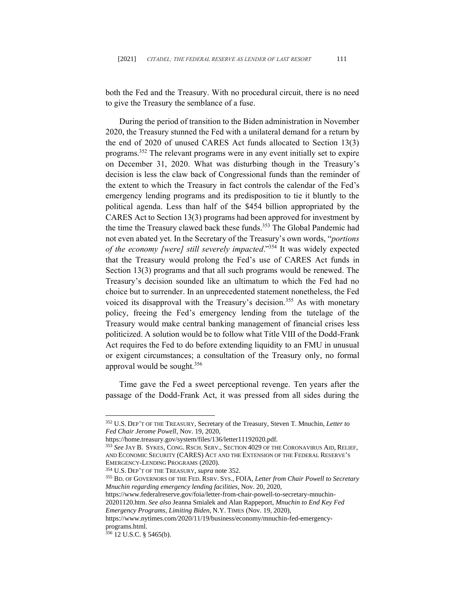both the Fed and the Treasury. With no procedural circuit, there is no need to give the Treasury the semblance of a fuse.

During the period of transition to the Biden administration in November 2020, the Treasury stunned the Fed with a unilateral demand for a return by the end of 2020 of unused CARES Act funds allocated to Section 13(3) programs. <sup>352</sup> The relevant programs were in any event initially set to expire on December 31, 2020. What was disturbing though in the Treasury's decision is less the claw back of Congressional funds than the reminder of the extent to which the Treasury in fact controls the calendar of the Fed's emergency lending programs and its predisposition to tie it bluntly to the political agenda. Less than half of the \$454 billion appropriated by the CARES Act to Section 13(3) programs had been approved for investment by the time the Treasury clawed back these funds.<sup>353</sup> The Global Pandemic had not even abated yet. In the Secretary of the Treasury's own words, "*portions of the economy [were] still severely impacted*."<sup>354</sup> It was widely expected that the Treasury would prolong the Fed's use of CARES Act funds in Section 13(3) programs and that all such programs would be renewed. The Treasury's decision sounded like an ultimatum to which the Fed had no choice but to surrender. In an unprecedented statement nonetheless, the Fed voiced its disapproval with the Treasury's decision.<sup>355</sup> As with monetary policy, freeing the Fed's emergency lending from the tutelage of the Treasury would make central banking management of financial crises less politicized. A solution would be to follow what Title VIII of the Dodd-Frank Act requires the Fed to do before extending liquidity to an FMU in unusual or exigent circumstances; a consultation of the Treasury only, no formal approval would be sought.<sup>356</sup>

Time gave the Fed a sweet perceptional revenge. Ten years after the passage of the Dodd-Frank Act, it was pressed from all sides during the

[https://www.federalreserve.gov/foia/letter-from-chair-powell-to-secretary-mnuchin-](https://www.federalreserve.gov/foia/letter-from-chair-powell-to-secretary-mnuchin-20201120.htm)[20201120.htm](https://www.federalreserve.gov/foia/letter-from-chair-powell-to-secretary-mnuchin-20201120.htm). *See also* Jeanna Smialek and Alan Rappeport, *Mnuchin to End Key Fed Emergency Programs, Limiting Biden*, N.Y. TIMES (Nov. 19, 2020),

https://www.nytimes.com/2020/11/19/business/economy/mnuchin-fed-emergencyprograms.html.

<sup>352</sup> U.S. DEP'T OF THE TREASURY, Secretary of the Treasury, Steven T. Mnuchin, *Letter to Fed Chair Jerome Powell*, Nov. 19, 2020,

https://home.treasury.gov/system/files/136/letter11192020.pdf.

<sup>353</sup> *See* JAY B. SYKES, CONG. RSCH. SERV., SECTION 4029 OF THE CORONAVIRUS AID, RELIEF, AND ECONOMIC SECURITY (CARES) ACT AND THE EXTENSION OF THE FEDERAL RESERVE'S EMERGENCY-LENDING PROGRAMS (2020).

<sup>354</sup> U.S. DEP'T OF THE TREASURY*, supra* note 352.

<sup>355</sup> BD. OF GOVERNORS OF THE FED. RSRV. SYS., FOIA, *Letter from Chair Powell to Secretary Mnuchin regarding emergency lending facilities*, Nov. 20, 2020,

 $356$  12 U.S.C. § 5465(b).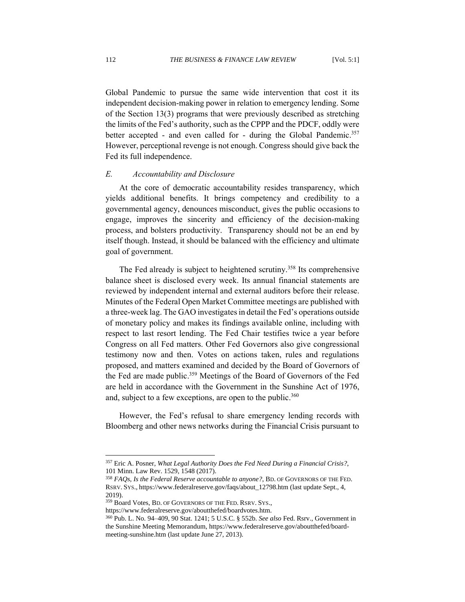Global Pandemic to pursue the same wide intervention that cost it its independent decision-making power in relation to emergency lending. Some of the Section 13(3) programs that were previously described as stretching the limits of the Fed's authority, such as the CPPP and the PDCF, oddly were better accepted - and even called for - during the Global Pandemic.<sup>357</sup> However, perceptional revenge is not enough. Congress should give back the Fed its full independence.

#### *E. Accountability and Disclosure*

At the core of democratic accountability resides transparency, which yields additional benefits. It brings competency and credibility to a governmental agency, denounces misconduct, gives the public occasions to engage, improves the sincerity and efficiency of the decision-making process, and bolsters productivity. Transparency should not be an end by itself though. Instead, it should be balanced with the efficiency and ultimate goal of government.

The Fed already is subject to heightened scrutiny.<sup>358</sup> Its comprehensive balance sheet is disclosed every week. Its annual financial statements are reviewed by independent internal and external auditors before their release. Minutes of the Federal Open Market Committee meetings are published with a three-week lag. The GAO investigates in detail the Fed's operations outside of monetary policy and makes its findings available online, including with respect to last resort lending. The Fed Chair testifies twice a year before Congress on all Fed matters. Other Fed Governors also give congressional testimony now and then. Votes on actions taken, rules and regulations proposed, and matters examined and decided by the Board of Governors of the Fed are made public. <sup>359</sup> Meetings of the Board of Governors of the Fed are held in accordance with the Government in the Sunshine Act of 1976, and, subject to a few exceptions, are open to the public.<sup>360</sup>

However, the Fed's refusal to share emergency lending records with Bloomberg and other news networks during the Financial Crisis pursuant to

<sup>357</sup> Eric A. Posner, *What Legal Authority Does the Fed Need During a Financial Crisis?*, 101 Minn. Law Rev. 1529, 1548 (2017).

<sup>358</sup> *FAQs, Is the Federal Reserve accountable to anyone?*, BD. OF GOVERNORS OF THE FED. RSRV. SYS., https://www.federalreserve.gov/faqs/about\_12798.htm (last update Sept., 4, 2019).

<sup>359</sup> Board Votes, BD. OF GOVERNORS OF THE FED. RSRV. SYS.,

https://www.federalreserve.gov/aboutthefed/boardvotes.htm.

<sup>360</sup> Pub. L. No. [94–409,](http://legislink.org/us/pl-94-409) 90 [Stat.](https://en.wikipedia.org/wiki/United_States_Statutes_at_Large) [1241;](http://legislink.org/us/stat-90-1241) 5 [U.S.C.](https://en.wikipedia.org/wiki/Title_5_of_the_United_States_Code) § [552b.](https://www.law.cornell.edu/uscode/text/5/552b) *See also* Fed. Rsrv., Government in the Sunshine Meeting Memorandum, https://www.federalreserve.gov/aboutthefed/boardmeeting-sunshine.htm (last update June 27, 2013).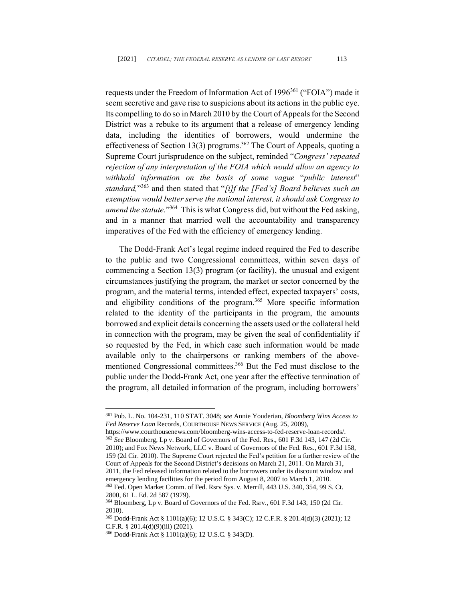requests under the Freedom of Information Act of 1996<sup>361</sup> ("FOIA") made it seem secretive and gave rise to suspicions about its actions in the public eye. Its compelling to do so in March 2010 by the Court of Appeals for the Second District was a rebuke to its argument that a release of emergency lending data, including the identities of borrowers, would undermine the effectiveness of Section 13(3) programs.<sup>362</sup> The Court of Appeals, quoting a Supreme Court jurisprudence on the subject, reminded "*Congress' repeated rejection of any interpretation of the FOIA which would allow an agency to withhold information on the basis of some vague* "*public interest*" *standard,*" <sup>363</sup> and then stated that "*[i]f the [Fed's] Board believes such an exemption would better serve the national interest, it should ask Congress to*  amend the statute."<sup>364</sup> This is what Congress did, but without the Fed asking, and in a manner that married well the accountability and transparency imperatives of the Fed with the efficiency of emergency lending.

The Dodd-Frank Act's legal regime indeed required the Fed to describe to the public and two Congressional committees, within seven days of commencing a Section 13(3) program (or facility), the unusual and exigent circumstances justifying the program, the market or sector concerned by the program, and the material terms, intended effect, expected taxpayers' costs, and eligibility conditions of the program. <sup>365</sup> More specific information related to the identity of the participants in the program, the amounts borrowed and explicit details concerning the assets used or the collateral held in connection with the program, may be given the seal of confidentiality if so requested by the Fed, in which case such information would be made available only to the chairpersons or ranking members of the abovementioned Congressional committees. <sup>366</sup> But the Fed must disclose to the public under the Dodd-Frank Act, one year after the effective termination of the program, all detailed information of the program, including borrowers'

https://www.courthousenews.com/bloomberg-wins-access-to-fed-reserve-loan-records/. <sup>362</sup> *See* Bloomberg, Lp v. Board of Governors of the Fed. Res., 601 F.3d 143, 147 (2d Cir. 2010); and Fox News Network, LLC v. Board of Governors of the Fed. Res., 601 F.3d 158, 159 (2d Cir. 2010). The Supreme Court rejected the Fed's petition for a further review of the Court of Appeals for the Second District's decisions on March 21, 2011. On March 31, 2011, the Fed released information related to the borrowers under its discount window and emergency lending facilities for the period from August 8, 2007 to March 1, 2010.

<sup>361</sup> Pub. L. No. 104-231, 110 STAT. 3048; *see* Annie Youderian, *Bloomberg Wins Access to Fed Reserve Loan* Records, COURTHOUSE NEWS SERVICE (Aug. 25, 2009),

<sup>363</sup> Fed. Open Market Comm. of Fed. Rsrv Sys. v. Merrill[, 443 U.S. 340,](https://www.courtlistener.com/opinion/110139/federal-open-market-committee-v-merrill/) 354[, 99 S. Ct.](https://www.courtlistener.com/opinion/110139/federal-open-market-committee-v-merrill/)  [2800, 61 L. Ed. 2d 587](https://www.courtlistener.com/opinion/110139/federal-open-market-committee-v-merrill/) (1979).

<sup>364</sup> Bloomberg, Lp v. Board of Governors of the Fed. Rsrv., 601 F.3d 143, 150 (2d Cir. 2010).

<sup>365</sup> Dodd-Frank Act § 1101(a)(6); 12 U.S.C. § 343(C); 12 C.F.R. § 201.4(d)(3) (2021); 12 C.F.R. § 201.4(d)(9)(iii) (2021).

<sup>366</sup> Dodd-Frank Act § 1101(a)(6); 12 U.S.C. § 343(D).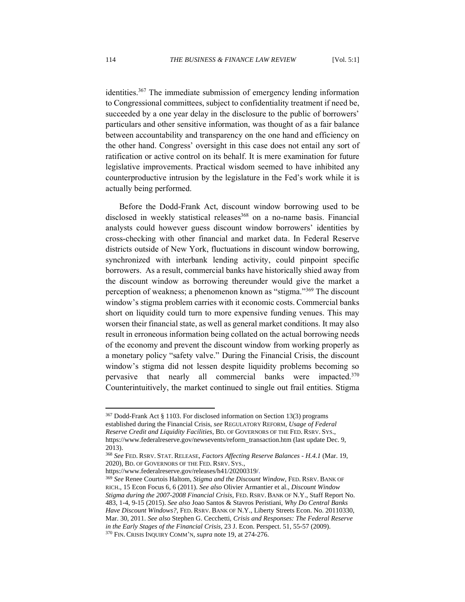identities. <sup>367</sup> The immediate submission of emergency lending information to Congressional committees, subject to confidentiality treatment if need be, succeeded by a one year delay in the disclosure to the public of borrowers' particulars and other sensitive information, was thought of as a fair balance between accountability and transparency on the one hand and efficiency on the other hand. Congress' oversight in this case does not entail any sort of ratification or active control on its behalf. It is mere examination for future legislative improvements. Practical wisdom seemed to have inhibited any counterproductive intrusion by the legislature in the Fed's work while it is actually being performed.

Before the Dodd-Frank Act, discount window borrowing used to be disclosed in weekly statistical releases<sup>368</sup> on a no-name basis. Financial analysts could however guess discount window borrowers' identities by cross-checking with other financial and market data. In Federal Reserve districts outside of New York, fluctuations in discount window borrowing, synchronized with interbank lending activity, could pinpoint specific borrowers. As a result, commercial banks have historically shied away from the discount window as borrowing thereunder would give the market a perception of weakness; a phenomenon known as "stigma."<sup>369</sup> The discount window's stigma problem carries with it economic costs. Commercial banks short on liquidity could turn to more expensive funding venues. This may worsen their financial state, as well as general market conditions. It may also result in erroneous information being collated on the actual borrowing needs of the economy and prevent the discount window from working properly as a monetary policy "safety valve." During the Financial Crisis, the discount window's stigma did not lessen despite liquidity problems becoming so pervasive that nearly all commercial banks were impacted.<sup>370</sup> Counterintuitively, the market continued to single out frail entities. Stigma

https://www.federalreserve.gov/releases/h41/20200319/.

<sup>367</sup> Dodd-Frank Act § 1103. For disclosed information on Section 13(3) programs established during the Financial Crisis, *see* REGULATORY REFORM, *Usage of Federal Reserve Credit and Liquidity Facilities*, BD. OF GOVERNORS OF THE FED. RSRV. SYS., https://www.federalreserve.gov/newsevents/reform\_transaction.htm (last update Dec. 9, 2013).

<sup>368</sup> *See* FED. RSRV. STAT. RELEASE, *Factors Affecting Reserve Balances - H.4.1* (Mar. 19, 2020), BD. OF GOVERNORS OF THE FED. RSRV. SYS.,

<sup>369</sup> *See* Renee Courtois Haltom, *Stigma and the Discount Window*, FED. RSRV. BANK OF RICH., 15 Econ Focus 6, 6 (2011). *See also* Olivier Armantier et al., *Discount Window Stigma during the 2007-2008 Financial Crisis*, FED. RSRV. BANK OF N.Y., Staff Report No. 483, 1-4, 9-15 (2015). *See also* Joao Santos & Stavros Peristiani, *Why Do Central Banks Have Discount Windows?*, FED. RSRV. BANK OF N.Y., Liberty Streets Econ. No. 20110330, Mar. 30, 2011. *See also* Stephen G. Cecchetti, *Crisis and Responses: The Federal Reserve in the Early Stages of the Financial Crisis*, 23 J. Econ. Perspect. 51, 55-57 (2009). <sup>370</sup> FIN. CRISIS INQUIRY COMM'N, *supra* note 19, at 274-276.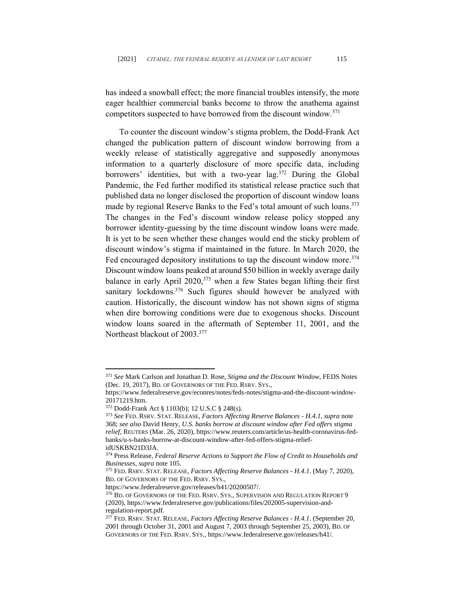has indeed a snowball effect; the more financial troubles intensify, the more eager healthier commercial banks become to throw the anathema against competitors suspected to have borrowed from the discount window.<sup>371</sup>

To counter the discount window's stigma problem, the Dodd-Frank Act changed the publication pattern of discount window borrowing from a weekly release of statistically aggregative and supposedly anonymous information to a quarterly disclosure of more specific data, including borrowers' identities, but with a two-year lag.<sup>372</sup> During the Global Pandemic, the Fed further modified its statistical release practice such that published data no longer disclosed the proportion of discount window loans made by regional Reserve Banks to the Fed's total amount of such loans.<sup>373</sup> The changes in the Fed's discount window release policy stopped any borrower identity-guessing by the time discount window loans were made. It is yet to be seen whether these changes would end the sticky problem of discount window's stigma if maintained in the future. In March 2020, the Fed encouraged depository institutions to tap the discount window more.<sup>374</sup> Discount window loans peaked at around \$50 billion in weekly average daily balance in early April 2020,<sup>375</sup> when a few States began lifting their first sanitary lockdowns.<sup>376</sup> Such figures should however be analyzed with caution. Historically, the discount window has not shown signs of stigma when dire borrowing conditions were due to exogenous shocks. Discount window loans soared in the aftermath of September 11, 2001, and the Northeast blackout of 2003. 377

<sup>371</sup> *See* Mark Carlson and Jonathan D. Rose, *Stigma and the Discount Window*, FEDS Notes (Dec. 19, 2017), BD. OF GOVERNORS OF THE FED. RSRV. SYS.,

https://www.federalreserve.gov/econres/notes/feds-notes/stigma-and-the-discount-window-20171219.htm.

<sup>372</sup> Dodd-Frank Act § 1103(b); 12 U.S.C § 248(s).

<sup>373</sup> *See* FED. RSRV. STAT. RELEASE, *Factors Affecting Reserve Balances - H.4.1, supra* note 368; *see also* David Henry, *U.S. banks borrow at discount window after Fed offers stigma relief*, REUTERS (Mar. 26, 2020), https://www.reuters.com/article/us-health-coronavirus-fedbanks/u-s-banks-borrow-at-discount-window-after-fed-offers-stigma-reliefidUSKBN21D3JA.

<sup>374</sup> Press Release, *Federal Reserve Actions to Support the Flow of Credit to Households and Businesses*, *supra* note 105.

<sup>375</sup> FED. RSRV. STAT. RELEASE, *Factors Affecting Reserve Balances - H.4.1*. (May 7, 2020), BD. OF GOVERNORS OF THE FED. RSRV. SYS.,

https://www.federalreserve.gov/releases/h41/20200507/.

<sup>&</sup>lt;sup>376</sup> BD. OF GOVERNORS OF THE FED. RSRV. SYS., SUPERVISION AND REGULATION REPORT 9 (2020), https://www.federalreserve.gov/publications/files/202005-supervision-andregulation-report.pdf.

<sup>377</sup> FED. RSRV. STAT. RELEASE, *Factors Affecting Reserve Balances - H.4.1*. (September 20, 2001 through October 31, 2001 and August 7, 2003 through September 25, 2003), BD. OF GOVERNORS OF THE FED. RSRV. SYS., https://www.federalreserve.gov/releases/h41/.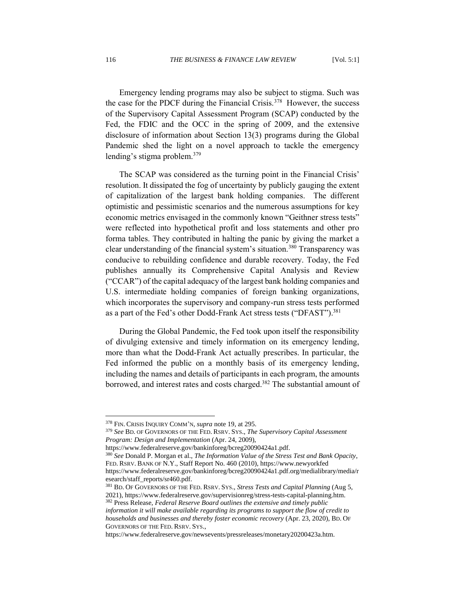Emergency lending programs may also be subject to stigma. Such was the case for the PDCF during the Financial Crisis.<sup>378</sup> However, the success of the Supervisory Capital Assessment Program (SCAP) conducted by the Fed, the FDIC and the OCC in the spring of 2009, and the extensive disclosure of information about Section 13(3) programs during the Global Pandemic shed the light on a novel approach to tackle the emergency lending's stigma problem.<sup>379</sup>

The SCAP was considered as the turning point in the Financial Crisis' resolution. It dissipated the fog of uncertainty by publicly gauging the extent of capitalization of the largest bank holding companies. The different optimistic and pessimistic scenarios and the numerous assumptions for key economic metrics envisaged in the commonly known "Geithner stress tests" were reflected into hypothetical profit and loss statements and other pro forma tables. They contributed in halting the panic by giving the market a clear understanding of the financial system's situation.<sup>380</sup> Transparency was conducive to rebuilding confidence and durable recovery. Today, the Fed publishes annually its Comprehensive Capital Analysis and Review ("CCAR") of the capital adequacy of the largest bank holding companies and U.S. intermediate holding companies of foreign banking organizations, which incorporates the supervisory and company-run stress tests performed as a part of the Fed's other Dodd-Frank Act stress tests ("DFAST").<sup>381</sup>

During the Global Pandemic, the Fed took upon itself the responsibility of divulging extensive and timely information on its emergency lending, more than what the Dodd-Frank Act actually prescribes. In particular, the Fed informed the public on a monthly basis of its emergency lending, including the names and details of participants in each program, the amounts borrowed, and interest rates and costs charged.<sup>382</sup> The substantial amount of

https://www.federalreserve.gov/bankinforeg/bcreg20090424a1.pdf.

<sup>378</sup> FIN. CRISIS INQUIRY COMM'N, *supra* note 19, at 295.

<sup>379</sup> *See* BD. OF GOVERNORS OF THE FED. RSRV. SYS., *The Supervisory Capital Assessment Program: Design and Implementation* (Apr. 24, 2009),

<sup>380</sup> *See* Donald P. Morgan et al., *The Information Value of the Stress Test and Bank Opacity*, FED. RSRV. BANK OF N.Y., Staff Report No. 460 (2010), https://www.newyorkfed

https://www.federalreserve.gov/bankinforeg/bcreg20090424a1.pdf.org/medialibrary/media/r esearch/staff\_reports/sr460.pdf.

<sup>381</sup> BD. OF GOVERNORS OF THE FED. RSRV. SYS., *Stress Tests and Capital Planning* (Aug 5, 2021), https://www.federalreserve.gov/supervisionreg/stress-tests-capital-planning.htm. <sup>382</sup> Press Release, *Federal Reserve Board outlines the extensive and timely public* 

*information it will make available regarding its programs to support the flow of credit to households and businesses and thereby foster economic recovery* (Apr. 23, 2020), BD. OF GOVERNORS OF THE FED. RSRV. SYS.,

https://www.federalreserve.gov/newsevents/pressreleases/monetary20200423a.htm.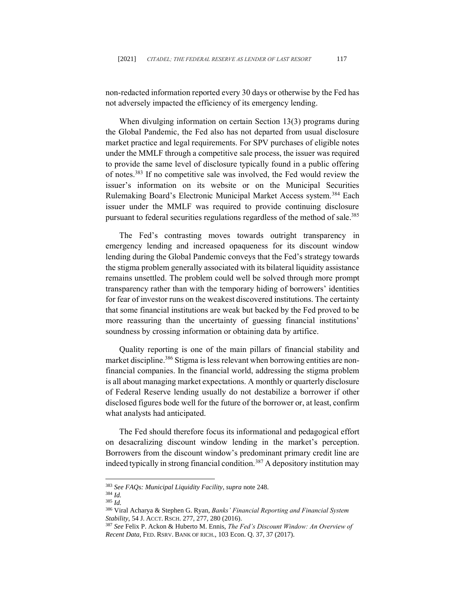non-redacted information reported every 30 days or otherwise by the Fed has not adversely impacted the efficiency of its emergency lending.

When divulging information on certain Section 13(3) programs during the Global Pandemic, the Fed also has not departed from usual disclosure market practice and legal requirements. For SPV purchases of eligible notes under the MMLF through a competitive sale process, the issuer was required to provide the same level of disclosure typically found in a public offering of notes.<sup>383</sup> If no competitive sale was involved, the Fed would review the issuer's information on its website or on the Municipal Securities Rulemaking Board's Electronic Municipal Market Access system.<sup>384</sup> Each issuer under the MMLF was required to provide continuing disclosure pursuant to federal securities regulations regardless of the method of sale.<sup>385</sup>

The Fed's contrasting moves towards outright transparency in emergency lending and increased opaqueness for its discount window lending during the Global Pandemic conveys that the Fed's strategy towards the stigma problem generally associated with its bilateral liquidity assistance remains unsettled. The problem could well be solved through more prompt transparency rather than with the temporary hiding of borrowers' identities for fear of investor runs on the weakest discovered institutions. The certainty that some financial institutions are weak but backed by the Fed proved to be more reassuring than the uncertainty of guessing financial institutions' soundness by crossing information or obtaining data by artifice.

Quality reporting is one of the main pillars of financial stability and market discipline.<sup>386</sup> Stigma is less relevant when borrowing entities are nonfinancial companies. In the financial world, addressing the stigma problem is all about managing market expectations. A monthly or quarterly disclosure of Federal Reserve lending usually do not destabilize a borrower if other disclosed figures bode well for the future of the borrower or, at least, confirm what analysts had anticipated.

The Fed should therefore focus its informational and pedagogical effort on desacralizing discount window lending in the market's perception. Borrowers from the discount window's predominant primary credit line are indeed typically in strong financial condition.<sup>387</sup> A depository institution may

<sup>383</sup> *See FAQs: Municipal Liquidity Facility*, *supra* note 248.

<sup>384</sup> *Id.*

<sup>385</sup> *Id.*

<sup>386</sup> Viral Acharya & Stephen G. Ryan, *Banks' Financial Reporting and Financial System Stability*, 54 J. ACCT. RSCH. 277, 277, 280 (2016).

<sup>387</sup> *See* Felix P. Ackon & Huberto M. Ennis, *The Fed's Discount Window: An Overview of Recent Data*, FED. RSRV. BANK OF RICH., 103 Econ. Q. 37, 37 (2017).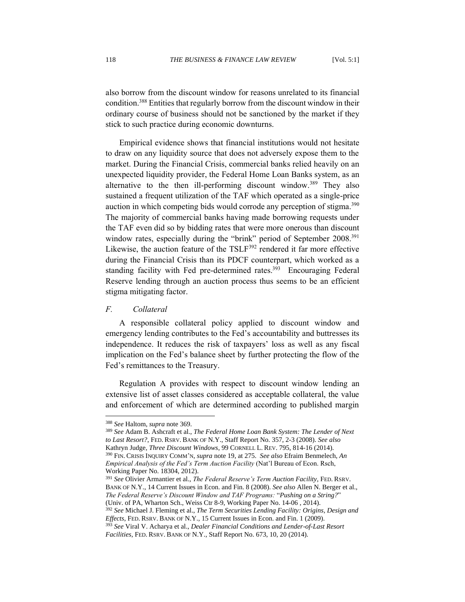also borrow from the discount window for reasons unrelated to its financial condition. <sup>388</sup> Entities that regularly borrow from the discount window in their ordinary course of business should not be sanctioned by the market if they stick to such practice during economic downturns.

Empirical evidence shows that financial institutions would not hesitate to draw on any liquidity source that does not adversely expose them to the market. During the Financial Crisis, commercial banks relied heavily on an unexpected liquidity provider, the Federal Home Loan Banks system, as an alternative to the then ill-performing discount window.<sup>389</sup> They also sustained a frequent utilization of the TAF which operated as a single-price auction in which competing bids would corrode any perception of stigma.<sup>390</sup> The majority of commercial banks having made borrowing requests under the TAF even did so by bidding rates that were more onerous than discount window rates, especially during the "brink" period of September 2008.<sup>391</sup> Likewise, the auction feature of the TSLF<sup>392</sup> rendered it far more effective during the Financial Crisis than its PDCF counterpart, which worked as a standing facility with Fed pre-determined rates.<sup>393</sup> Encouraging Federal Reserve lending through an auction process thus seems to be an efficient stigma mitigating factor.

# *F. Collateral*

A responsible collateral policy applied to discount window and emergency lending contributes to the Fed's accountability and buttresses its independence. It reduces the risk of taxpayers' loss as well as any fiscal implication on the Fed's balance sheet by further protecting the flow of the Fed's remittances to the Treasury.

Regulation A provides with respect to discount window lending an extensive list of asset classes considered as acceptable collateral, the value and enforcement of which are determined according to published margin

<sup>392</sup> *See* Michael J. Fleming et al., *The Term Securities Lending Facility: Origins, Design and Effects*, FED. RSRV. BANK OF N.Y., 15 Current Issues in Econ. and Fin. 1 (2009).

<sup>388</sup> *See* Haltom, *supra* note 369.

<sup>389</sup> *See* Adam B. Ashcraft et al., *The Federal Home Loan Bank System: The Lender of Next to Last Resort?*, FED. RSRV. BANK OF N.Y., Staff Report No. 357, 2-3 (2008). *See also* Kathryn Judge, *Three Discount Windows*, 99 CORNELL L. REV. 795, 814-16 (2014). <sup>390</sup> FIN. CRISIS INQUIRY COMM'N, *supra* note 19, at 275. *See also* Efraim Benmelech, *An Empirical Analysis of the Fed's Term Auction Facility* (Nat'l Bureau of Econ. Rsch, Working Paper No. 18304, 2012).

<sup>391</sup> *See* Olivier Armantier et al., *The Federal Reserve's Term Auction Facility*, FED. RSRV. BANK OF N.Y., 14 Current Issues in Econ. and Fin. 8 (2008). *See also* Allen N. Berger et al., *The Federal Reserve's Discount Window and TAF Programs:* "*Pushing on a String?*" (Univ. of PA, Wharton Sch., Weiss Ctr 8-9, Working Paper No. 14-06 , 2014).

<sup>393</sup> *See* Viral V. Acharya et al., *Dealer Financial Conditions and Lender-of-Last Resort Facilities*, FED. RSRV. BANK OF N.Y., Staff Report No. 673, 10, 20 (2014).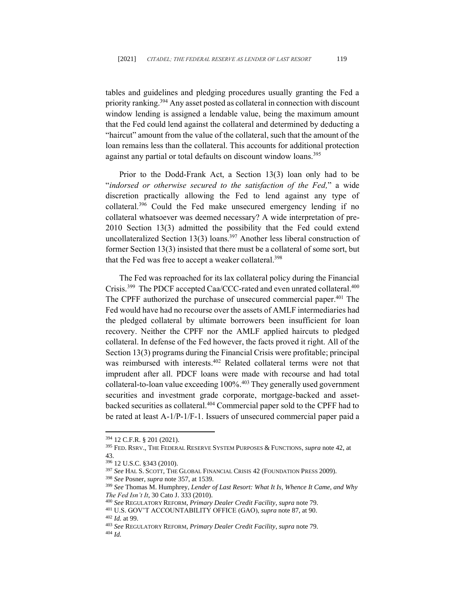tables and guidelines and pledging procedures usually granting the Fed a priority ranking.<sup>394</sup> Any asset posted as collateral in connection with discount window lending is assigned a lendable value, being the maximum amount that the Fed could lend against the collateral and determined by deducting a "haircut" amount from the value of the collateral, such that the amount of the loan remains less than the collateral. This accounts for additional protection against any partial or total defaults on discount window loans.<sup>395</sup>

Prior to the Dodd-Frank Act, a Section 13(3) loan only had to be "*indorsed or otherwise secured to the satisfaction of the Fed,*" a wide discretion practically allowing the Fed to lend against any type of collateral.<sup>396</sup> Could the Fed make unsecured emergency lending if no collateral whatsoever was deemed necessary? A wide interpretation of pre-2010 Section 13(3) admitted the possibility that the Fed could extend uncollateralized Section 13(3) loans. <sup>397</sup> Another less liberal construction of former Section 13(3) insisted that there must be a collateral of some sort, but that the Fed was free to accept a weaker collateral.<sup>398</sup>

The Fed was reproached for its lax collateral policy during the Financial Crisis.<sup>399</sup> The PDCF accepted Caa/CCC-rated and even unrated collateral.<sup>400</sup> The CPFF authorized the purchase of unsecured commercial paper.<sup>401</sup> The Fed would have had no recourse over the assets of AMLF intermediaries had the pledged collateral by ultimate borrowers been insufficient for loan recovery. Neither the CPFF nor the AMLF applied haircuts to pledged collateral. In defense of the Fed however, the facts proved it right. All of the Section 13(3) programs during the Financial Crisis were profitable; principal was reimbursed with interests. <sup>402</sup> Related collateral terms were not that imprudent after all. PDCF loans were made with recourse and had total collateral-to-loan value exceeding 100%.<sup>403</sup> They generally used government securities and investment grade corporate, mortgage-backed and assetbacked securities as collateral.<sup>404</sup> Commercial paper sold to the CPFF had to be rated at least A-1/P-1/F-1. Issuers of unsecured commercial paper paid a

<sup>394</sup> 12 C.F.R. § 201 (2021).

<sup>395</sup> FED. RSRV., THE FEDERAL RESERVE SYSTEM PURPOSES & FUNCTIONS, *supra* note 42, at 43.

<sup>396</sup> 12 U.S.C. §343 (2010).

<sup>397</sup> *See* HAL S. SCOTT, THE GLOBAL FINANCIAL CRISIS 42 (FOUNDATION PRESS 2009).

<sup>398</sup> *See* Posner, *supra* note 357, at 1539.

<sup>399</sup> *See* Thomas M. Humphrey, *Lender of Last Resort: What It Is, Whence It Came, and Why The Fed Isn't It*, 30 Cato J. 333 (2010).

<sup>400</sup> *See* REGULATORY REFORM*, Primary Dealer Credit Facility*, *supra* note 79.

<sup>401</sup> U.S. GOV'T ACCOUNTABILITY OFFICE (GAO), *supra* note 87, at 90. <sup>402</sup> *Id.* at 99.

<sup>403</sup> *See* REGULATORY REFORM*, Primary Dealer Credit Facility*, *supra* note 79. <sup>404</sup> *Id.*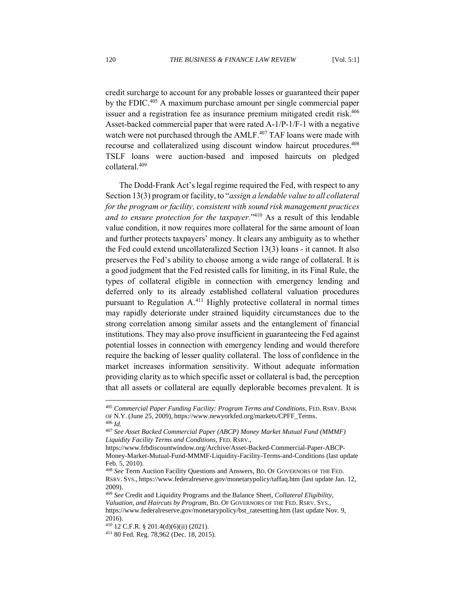credit surcharge to account for any probable losses or guaranteed their paper by the FDIC.<sup>405</sup> A maximum purchase amount per single commercial paper issuer and a registration fee as insurance premium mitigated credit risk. 406 Asset-backed commercial paper that were rated A-1/P-1/F-1 with a negative watch were not purchased through the AMLF.<sup>407</sup> TAF loans were made with recourse and collateralized using discount window haircut procedures.<sup>408</sup> TSLF loans were auction-based and imposed haircuts on pledged collateral.<sup>409</sup>

The Dodd-Frank Act's legal regime required the Fed, with respect to any Section 13(3) program or facility, to "*assign a lendable value to all collateral for the program or facility, consistent with sound risk management practices and to ensure protection for the taxpayer.*" <sup>410</sup> As a result of this lendable value condition, it now requires more collateral for the same amount of loan and further protects taxpayers' money. It clears any ambiguity as to whether the Fed could extend uncollateralized Section 13(3) loans - it cannot. It also preserves the Fed's ability to choose among a wide range of collateral. It is a good judgment that the Fed resisted calls for limiting, in its Final Rule, the types of collateral eligible in connection with emergency lending and deferred only to its already established collateral valuation procedures pursuant to Regulation A.<sup>411</sup> Highly protective collateral in normal times may rapidly deteriorate under strained liquidity circumstances due to the strong correlation among similar assets and the entanglement of financial institutions. They may also prove insufficient in guaranteeing the Fed against potential losses in connection with emergency lending and would therefore require the backing of lesser quality collateral. The loss of confidence in the market increases information sensitivity. Without adequate information providing clarity as to which specific asset or collateral is bad, the perception that all assets or collateral are equally deplorable becomes prevalent. It is

<sup>405</sup> *Commercial Paper Funding Facility: Program Terms and Conditions*, FED. RSRV. BANK OF N.Y. (June 25, 2009), https://www.newyorkfed.org/markets/CPFF\_Terms. <sup>406</sup> *Id.*

<sup>407</sup> *See Asset Backed Commercial Paper (ABCP) Money Market Mutual Fund (MMMF) Liquidity Facility Terms and Conditions*, FED. RSRV.,

https://www.frbdiscountwindow.org/Archive/Asset-Backed-Commercial-Paper-ABCP-Money-Market-Mutual-Fund-MMMF-Liquidity-Facility-Terms-and-Conditions (last update Feb. 5, 2010).

<sup>408</sup> *See* Term Auction Facility Questions and Answers, BD. OF GOVERNORS OF THE FED. RSRV. SYS., https://www.federalreserve.gov/monetarypolicy/taffaq.htm (last update Jan. 12, 2009).

<sup>409</sup> *See* Credit and Liquidity Programs and the Balance Sheet*, Collateral Eligibility, Valuation, and Haircuts by Program*, BD. OF GOVERNORS OF THE FED. RSRV. SYS., https://www.federalreserve.gov/monetarypolicy/bst\_ratesetting.htm (last update Nov. 9, 2016).

 $410$  12 C.F.R. § 201.4(d)(6)(ii) (2021).

<sup>411</sup> 80 Fed. Reg. 78,962 (Dec. 18, 2015).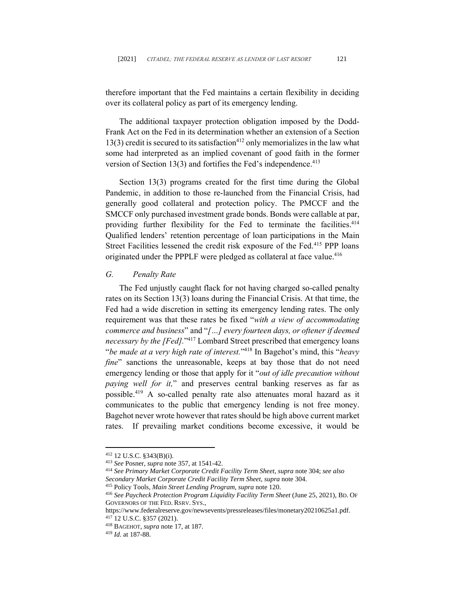therefore important that the Fed maintains a certain flexibility in deciding over its collateral policy as part of its emergency lending.

The additional taxpayer protection obligation imposed by the Dodd-Frank Act on the Fed in its determination whether an extension of a Section  $13(3)$  credit is secured to its satisfaction<sup>412</sup> only memorializes in the law what some had interpreted as an implied covenant of good faith in the former version of Section 13(3) and fortifies the Fed's independence.<sup>413</sup>

Section 13(3) programs created for the first time during the Global Pandemic, in addition to those re-launched from the Financial Crisis, had generally good collateral and protection policy. The PMCCF and the SMCCF only purchased investment grade bonds. Bonds were callable at par, providing further flexibility for the Fed to terminate the facilities.<sup>414</sup> Qualified lenders' retention percentage of loan participations in the Main Street Facilities lessened the credit risk exposure of the Fed.<sup>415</sup> PPP loans originated under the PPPLF were pledged as collateral at face value.<sup>416</sup>

#### *G. Penalty Rate*

The Fed unjustly caught flack for not having charged so-called penalty rates on its Section 13(3) loans during the Financial Crisis. At that time, the Fed had a wide discretion in setting its emergency lending rates. The only requirement was that these rates be fixed "*with a view of accommodating commerce and business*" and "*[…] every fourteen days, or oftener if deemed necessary by the [Fed].*" <sup>417</sup> Lombard Street prescribed that emergency loans "*be made at a very high rate of interest.*" <sup>418</sup> In Bagehot's mind, this "*heavy fine*" sanctions the unreasonable, keeps at bay those that do not need emergency lending or those that apply for it "*out of idle precaution without paying well for it,*" and preserves central banking reserves as far as possible. <sup>419</sup> A so-called penalty rate also attenuates moral hazard as it communicates to the public that emergency lending is not free money. Bagehot never wrote however that rates should be high above current market rates. If prevailing market conditions become excessive, it would be

<sup>412</sup> 12 U.S.C. §343(B)(i).

<sup>413</sup> *See* Posner, *supra* note 357, at 1541-42.

<sup>414</sup> *See Primary Market Corporate Credit Facility Term Sheet*, *supra* note 304; *see also Secondary Market Corporate Credit Facility Term Sheet*, *supra* note 304.

<sup>415</sup> Policy Tools, *Main Street Lending Program, supra* note 120.

<sup>416</sup> *See Paycheck Protection Program Liquidity Facility Term Sheet* (June 25, 2021), BD. OF GOVERNORS OF THE FED. RSRV. SYS.,

https://www.federalreserve.gov/newsevents/pressreleases/files/monetary20210625a1.pdf.

<sup>417</sup> 12 U.S.C. §357 (2021).

<sup>418</sup> BAGEHOT, *supra* note 17, at 187.

<sup>419</sup> *Id*. at 187-88.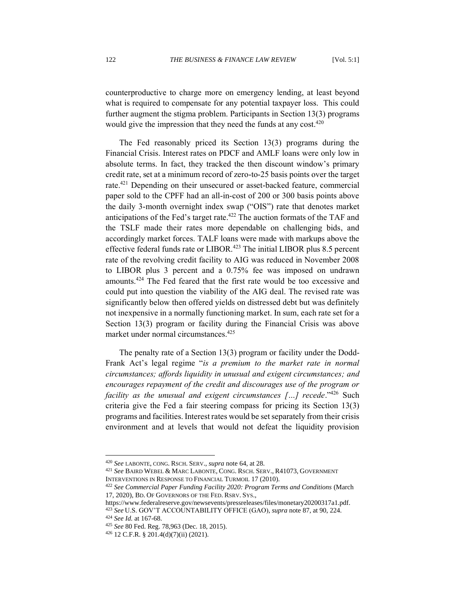counterproductive to charge more on emergency lending, at least beyond what is required to compensate for any potential taxpayer loss. This could further augment the stigma problem. Participants in Section 13(3) programs would give the impression that they need the funds at any cost.<sup>420</sup>

The Fed reasonably priced its Section 13(3) programs during the Financial Crisis. Interest rates on PDCF and AMLF loans were only low in absolute terms. In fact, they tracked the then discount window's primary credit rate, set at a minimum record of zero-to-25 basis points over the target rate.<sup>421</sup> Depending on their unsecured or asset-backed feature, commercial paper sold to the CPFF had an all-in-cost of 200 or 300 basis points above the daily 3-month overnight index swap ("OIS") rate that denotes market anticipations of the Fed's target rate.<sup>422</sup> The auction formats of the TAF and the TSLF made their rates more dependable on challenging bids, and accordingly market forces. TALF loans were made with markups above the effective federal funds rate or LIBOR.<sup>423</sup> The initial LIBOR plus 8.5 percent rate of the revolving credit facility to AIG was reduced in November 2008 to LIBOR plus 3 percent and a 0.75% fee was imposed on undrawn amounts.<sup>424</sup> The Fed feared that the first rate would be too excessive and could put into question the viability of the AIG deal. The revised rate was significantly below then offered yields on distressed debt but was definitely not inexpensive in a normally functioning market. In sum, each rate set for a Section 13(3) program or facility during the Financial Crisis was above market under normal circumstances.<sup>425</sup>

The penalty rate of a Section 13(3) program or facility under the Dodd-Frank Act's legal regime "*is a premium to the market rate in normal circumstances; affords liquidity in unusual and exigent circumstances; and encourages repayment of the credit and discourages use of the program or facility as the unusual and exigent circumstances […] recede.*<sup>2426</sup> Such criteria give the Fed a fair steering compass for pricing its Section 13(3) programs and facilities. Interest rates would be set separately from their crisis environment and at levels that would not defeat the liquidity provision

<sup>420</sup> *See* LABONTE, CONG. RSCH. SERV., *supra* note 64, at 28.

<sup>421</sup> *See* BAIRD WEBEL & MARC LABONTE, CONG. RSCH. SERV., R41073, GOVERNMENT INTERVENTIONS IN RESPONSE TO FINANCIAL TURMOIL 17 (2010).

<sup>422</sup> *See Commercial Paper Funding Facility 2020: Program Terms and Conditions* (March 17, 2020), BD. OF GOVERNORS OF THE FED. RSRV. SYS.,

https://www.federalreserve.gov/newsevents/pressreleases/files/monetary20200317a1.pdf. <sup>423</sup> *See* U.S. GOV'T ACCOUNTABILITY OFFICE (GAO), *supra* note 87, at 90, 224.

<sup>424</sup> *See Id.* at 167-68.

<sup>425</sup> *See* 80 Fed. Reg. 78,963 (Dec. 18, 2015).

 $426$  12 C.F.R. § 201.4(d)(7)(ii) (2021).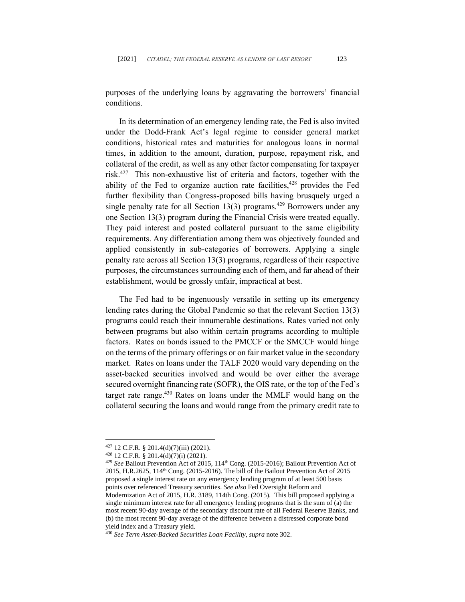purposes of the underlying loans by aggravating the borrowers' financial conditions.

In its determination of an emergency lending rate, the Fed is also invited under the Dodd-Frank Act's legal regime to consider general market conditions, historical rates and maturities for analogous loans in normal times, in addition to the amount, duration, purpose, repayment risk, and collateral of the credit, as well as any other factor compensating for taxpayer risk. 427 This non-exhaustive list of criteria and factors, together with the ability of the Fed to organize auction rate facilities,<sup>428</sup> provides the Fed further flexibility than Congress-proposed bills having brusquely urged a single penalty rate for all Section  $13(3)$  programs.<sup>429</sup> Borrowers under any one Section 13(3) program during the Financial Crisis were treated equally. They paid interest and posted collateral pursuant to the same eligibility requirements. Any differentiation among them was objectively founded and applied consistently in sub-categories of borrowers. Applying a single penalty rate across all Section 13(3) programs, regardless of their respective purposes, the circumstances surrounding each of them, and far ahead of their establishment, would be grossly unfair, impractical at best.

The Fed had to be ingenuously versatile in setting up its emergency lending rates during the Global Pandemic so that the relevant Section 13(3) programs could reach their innumerable destinations. Rates varied not only between programs but also within certain programs according to multiple factors. Rates on bonds issued to the PMCCF or the SMCCF would hinge on the terms of the primary offerings or on fair market value in the secondary market. Rates on loans under the TALF 2020 would vary depending on the asset-backed securities involved and would be over either the average secured overnight financing rate (SOFR), the OIS rate, or the top of the Fed's target rate range.<sup>430</sup> Rates on loans under the MMLF would hang on the collateral securing the loans and would range from the primary credit rate to

 $427$  12 C.F.R. § 201.4(d)(7)(iii) (2021).

<sup>428</sup> 12 C.F.R. § 201.4(d)(7)(i) (2021).

<sup>&</sup>lt;sup>429</sup> See Bailout Prevention Act of 2015, 114<sup>th</sup> Cong. (2015-2016); Bailout Prevention Act of 2015, H.R.2625, 114th Cong. (2015-2016). The bill of the Bailout Prevention Act of 2015 proposed a single interest rate on any emergency lending program of at least 500 basis points over referenced Treasury securities. *See also* Fed Oversight Reform and Modernization Act of 2015, H.R. 3189, 114th Cong. (2015). This bill proposed applying a single minimum interest rate for all emergency lending programs that is the sum of (a) the most recent 90-day average of the secondary discount rate of all Federal Reserve Banks, and (b) the most recent 90-day average of the difference between a distressed corporate bond yield index and a Treasury yield.

<sup>430</sup> *See Term Asset-Backed Securities Loan Facility*, *supra* note 302.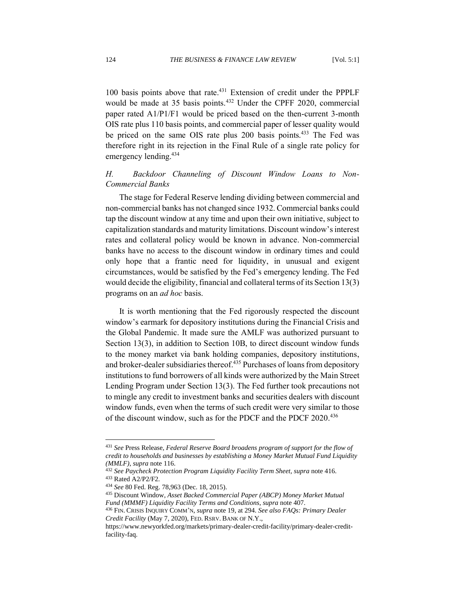100 basis points above that rate.<sup>431</sup> Extension of credit under the PPPLF would be made at 35 basis points.<sup>432</sup> Under the CPFF 2020, commercial paper rated A1/P1/F1 would be priced based on the then-current 3-month OIS rate plus 110 basis points, and commercial paper of lesser quality would be priced on the same OIS rate plus 200 basis points.<sup>433</sup> The Fed was therefore right in its rejection in the Final Rule of a single rate policy for emergency lending.<sup>434</sup>

# *H. Backdoor Channeling of Discount Window Loans to Non-Commercial Banks*

The stage for Federal Reserve lending dividing between commercial and non-commercial banks has not changed since 1932. Commercial banks could tap the discount window at any time and upon their own initiative, subject to capitalization standards and maturity limitations. Discount window's interest rates and collateral policy would be known in advance. Non-commercial banks have no access to the discount window in ordinary times and could only hope that a frantic need for liquidity, in unusual and exigent circumstances, would be satisfied by the Fed's emergency lending. The Fed would decide the eligibility, financial and collateral terms of its Section 13(3) programs on an *ad hoc* basis.

It is worth mentioning that the Fed rigorously respected the discount window's earmark for depository institutions during the Financial Crisis and the Global Pandemic. It made sure the AMLF was authorized pursuant to Section 13(3), in addition to Section 10B, to direct discount window funds to the money market via bank holding companies, depository institutions, and broker-dealer subsidiaries thereof.<sup>435</sup> Purchases of loans from depository institutions to fund borrowers of all kinds were authorized by the Main Street Lending Program under Section 13(3). The Fed further took precautions not to mingle any credit to investment banks and securities dealers with discount window funds, even when the terms of such credit were very similar to those of the discount window, such as for the PDCF and the PDCF 2020.<sup>436</sup>

<sup>431</sup> *See* Press Release, *Federal Reserve Board broadens program of support for the flow of credit to households and businesses by establishing a Money Market Mutual Fund Liquidity (MMLF)*, *supra* note 116.

<sup>432</sup> *See Paycheck Protection Program Liquidity Facility Term Sheet, supra* note 416. <sup>433</sup> Rated A2/P2/F2*.*

<sup>434</sup> *See* 80 Fed. Reg. 78,963 (Dec. 18, 2015).

<sup>435</sup> Discount Window, *Asset Backed Commercial Paper (ABCP) Money Market Mutual Fund (MMMF) Liquidity Facility Terms and Conditions*, *supra* note 407.

<sup>436</sup> FIN. CRISIS INQUIRY COMM'N, *supra* note 19, at 294. *See also FAQs: Primary Dealer Credit Facility* (May 7, 2020), FED. RSRV. BANK OF N.Y.,

https://www.newyorkfed.org/markets/primary-dealer-credit-facility/primary-dealer-creditfacility-faq.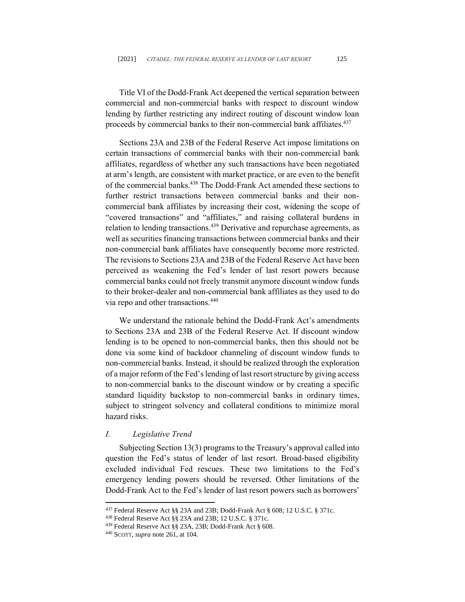Title VI of the Dodd-Frank Act deepened the vertical separation between commercial and non-commercial banks with respect to discount window lending by further restricting any indirect routing of discount window loan proceeds by commercial banks to their non-commercial bank affiliates.<sup>437</sup>

Sections 23A and 23B of the Federal Reserve Act impose limitations on certain transactions of commercial banks with their non-commercial bank affiliates, regardless of whether any such transactions have been negotiated at arm's length, are consistent with market practice, or are even to the benefit of the commercial banks.<sup>438</sup> The Dodd-Frank Act amended these sections to further restrict transactions between commercial banks and their noncommercial bank affiliates by increasing their cost, widening the scope of "covered transactions" and "affiliates," and raising collateral burdens in relation to lending transactions.<sup>439</sup> Derivative and repurchase agreements, as well as securities financing transactions between commercial banks and their non-commercial bank affiliates have consequently become more restricted. The revisions to Sections 23A and 23B of the Federal Reserve Act have been perceived as weakening the Fed's lender of last resort powers because commercial banks could not freely transmit anymore discount window funds to their broker-dealer and non-commercial bank affiliates as they used to do via repo and other transactions. 440

We understand the rationale behind the Dodd-Frank Act's amendments to Sections 23A and 23B of the Federal Reserve Act. If discount window lending is to be opened to non-commercial banks, then this should not be done via some kind of backdoor channeling of discount window funds to non-commercial banks. Instead, it should be realized through the exploration of a major reform of the Fed's lending of last resort structure by giving access to non-commercial banks to the discount window or by creating a specific standard liquidity backstop to non-commercial banks in ordinary times, subject to stringent solvency and collateral conditions to minimize moral hazard risks.

### *I. Legislative Trend*

Subjecting Section 13(3) programs to the Treasury's approval called into question the Fed's status of lender of last resort. Broad-based eligibility excluded individual Fed rescues. These two limitations to the Fed's emergency lending powers should be reversed. Other limitations of the Dodd-Frank Act to the Fed's lender of last resort powers such as borrowers'

<sup>437</sup> Federal Reserve Act §§ 23A and 23B; Dodd-Frank Act § 608; 12 U.S.C. § 371c.

<sup>438</sup> Federal Reserve Act §§ 23A and 23B; 12 U.S.C. § 371c.

<sup>439</sup> Federal Reserve Act §§ 23A, 23B; Dodd-Frank Act § 608.

<sup>440</sup> SCOTT, *supra* note 261, at 104.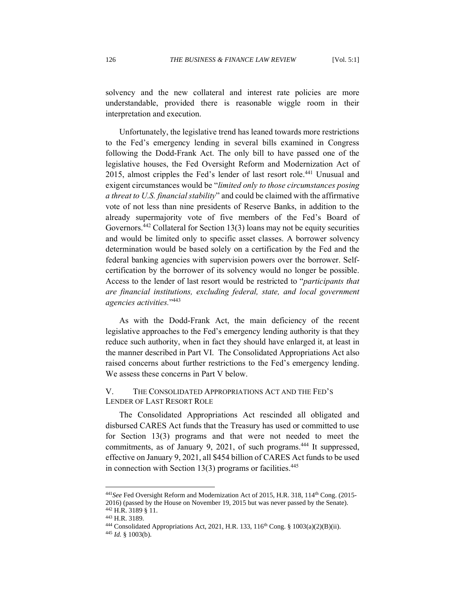solvency and the new collateral and interest rate policies are more understandable, provided there is reasonable wiggle room in their interpretation and execution.

Unfortunately, the legislative trend has leaned towards more restrictions to the Fed's emergency lending in several bills examined in Congress following the Dodd-Frank Act. The only bill to have passed one of the legislative houses, the Fed Oversight Reform and Modernization Act of 2015, almost cripples the Fed's lender of last resort role.<sup>441</sup> Unusual and exigent circumstances would be "*limited only to those circumstances posing a threat to U.S. financial stability*" and could be claimed with the affirmative vote of not less than nine presidents of Reserve Banks, in addition to the already supermajority vote of five members of the Fed's Board of Governors.<sup>442</sup> Collateral for Section 13(3) loans may not be equity securities and would be limited only to specific asset classes. A borrower solvency determination would be based solely on a certification by the Fed and the federal banking agencies with supervision powers over the borrower. Selfcertification by the borrower of its solvency would no longer be possible. Access to the lender of last resort would be restricted to "*participants that are financial institutions, excluding federal, state, and local government agencies activities.*" 443

As with the Dodd-Frank Act, the main deficiency of the recent legislative approaches to the Fed's emergency lending authority is that they reduce such authority, when in fact they should have enlarged it, at least in the manner described in Part VI. The Consolidated Appropriations Act also raised concerns about further restrictions to the Fed's emergency lending. We assess these concerns in Part V below.

## V. THE CONSOLIDATED APPROPRIATIONS ACT AND THE FED'S LENDER OF LAST RESORT ROLE

The Consolidated Appropriations Act rescinded all obligated and disbursed CARES Act funds that the Treasury has used or committed to use for Section 13(3) programs and that were not needed to meet the commitments, as of January 9, 2021, of such programs. <sup>444</sup> It suppressed, effective on January 9, 2021, all \$454 billion of CARES Act funds to be used in connection with Section  $13(3)$  programs or facilities.<sup>445</sup>

<sup>&</sup>lt;sup>441</sup>See Fed Oversight Reform and Modernization Act of 2015, H.R. 318, 114<sup>th</sup> Cong. (2015-2016) (passed by the House on November 19, 2015 but was never passed by the Senate).

<sup>442</sup> H.R. 3189 § 11.

<sup>443</sup> H.R. 3189.

<sup>&</sup>lt;sup>444</sup> Consolidated Appropriations Act, 2021, H.R. 133, 116<sup>th</sup> Cong. § 1003(a)(2)(B)(ii).

<sup>445</sup> *Id.* § 1003(b).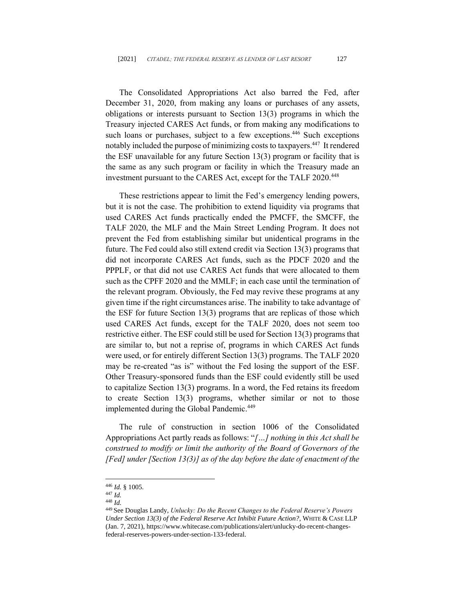The Consolidated Appropriations Act also barred the Fed, after December 31, 2020, from making any loans or purchases of any assets, obligations or interests pursuant to Section 13(3) programs in which the Treasury injected CARES Act funds, or from making any modifications to such loans or purchases, subject to a few exceptions.<sup>446</sup> Such exceptions notably included the purpose of minimizing costs to taxpayers. 447 It rendered the ESF unavailable for any future Section 13(3) program or facility that is the same as any such program or facility in which the Treasury made an investment pursuant to the CARES Act, except for the TALF 2020. 448

These restrictions appear to limit the Fed's emergency lending powers, but it is not the case. The prohibition to extend liquidity via programs that used CARES Act funds practically ended the PMCFF, the SMCFF, the TALF 2020, the MLF and the Main Street Lending Program. It does not prevent the Fed from establishing similar but unidentical programs in the future. The Fed could also still extend credit via Section 13(3) programs that did not incorporate CARES Act funds, such as the PDCF 2020 and the PPPLF, or that did not use CARES Act funds that were allocated to them such as the CPFF 2020 and the MMLF; in each case until the termination of the relevant program. Obviously, the Fed may revive these programs at any given time if the right circumstances arise. The inability to take advantage of the ESF for future Section 13(3) programs that are replicas of those which used CARES Act funds, except for the TALF 2020, does not seem too restrictive either. The ESF could still be used for Section 13(3) programs that are similar to, but not a reprise of, programs in which CARES Act funds were used, or for entirely different Section 13(3) programs. The TALF 2020 may be re-created "as is" without the Fed losing the support of the ESF. Other Treasury-sponsored funds than the ESF could evidently still be used to capitalize Section 13(3) programs. In a word, the Fed retains its freedom to create Section 13(3) programs, whether similar or not to those implemented during the Global Pandemic.<sup>449</sup>

The rule of construction in section 1006 of the Consolidated Appropriations Act partly reads as follows: "*[…] nothing in this Act shall be construed to modify or limit the authority of the Board of Governors of the [Fed] under [Section 13(3)] as of the day before the date of enactment of the* 

<sup>446</sup> *Id.* § 1005.

<sup>447</sup> *Id.*

<sup>448</sup> *Id.* 

<sup>449</sup> See Douglas Landy, *Unlucky: Do the Recent Changes to the Federal Reserve's Powers Under Section 13(3) of the Federal Reserve Act Inhibit Future Action?*, WHITE & CASE LLP (Jan. 7, 2021), https://www.whitecase.com/publications/alert/unlucky-do-recent-changesfederal-reserves-powers-under-section-133-federal.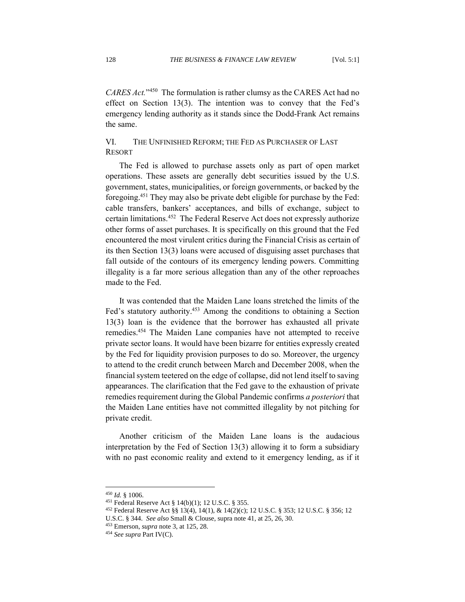CARES Act."<sup>450</sup> The formulation is rather clumsy as the CARES Act had no effect on Section 13(3). The intention was to convey that the Fed's emergency lending authority as it stands since the Dodd-Frank Act remains the same.

# VI. THE UNFINISHED REFORM; THE FED AS PURCHASER OF LAST RESORT

The Fed is allowed to purchase assets only as part of open market operations. These assets are generally debt securities issued by the U.S. government, states, municipalities, or foreign governments, or backed by the foregoing. <sup>451</sup> They may also be private debt eligible for purchase by the Fed: cable transfers, bankers' acceptances, and bills of exchange, subject to certain limitations. <sup>452</sup> The Federal Reserve Act does not expressly authorize other forms of asset purchases. It is specifically on this ground that the Fed encountered the most virulent critics during the Financial Crisis as certain of its then Section 13(3) loans were accused of disguising asset purchases that fall outside of the contours of its emergency lending powers. Committing illegality is a far more serious allegation than any of the other reproaches made to the Fed.

It was contended that the Maiden Lane loans stretched the limits of the Fed's statutory authority.<sup>453</sup> Among the conditions to obtaining a Section 13(3) loan is the evidence that the borrower has exhausted all private remedies. <sup>454</sup> The Maiden Lane companies have not attempted to receive private sector loans. It would have been bizarre for entities expressly created by the Fed for liquidity provision purposes to do so. Moreover, the urgency to attend to the credit crunch between March and December 2008, when the financial system teetered on the edge of collapse, did not lend itself to saving appearances. The clarification that the Fed gave to the exhaustion of private remedies requirement during the Global Pandemic confirms *a posteriori* that the Maiden Lane entities have not committed illegality by not pitching for private credit.

Another criticism of the Maiden Lane loans is the audacious interpretation by the Fed of Section 13(3) allowing it to form a subsidiary with no past economic reality and extend to it emergency lending, as if it

<sup>450</sup> *Id.* § 1006.

<sup>451</sup> Federal Reserve Act § 14(b)(1); 12 U.S.C. § 355.

<sup>452</sup> Federal Reserve Act §§ 13(4), 14(1), & 14(2)(c); 12 U.S.C. § 353; 12 U.S.C. § 356; 12

U.S.C. § 344. *See also* Small & Clouse, supra note 41, at 25, 26, 30.

<sup>453</sup> Emerson, *supra* note 3, at 125, 28.

<sup>454</sup> *See supra* Part IV(C).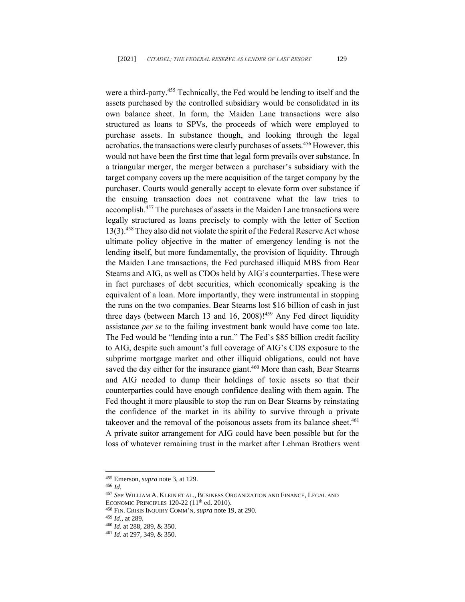were a third-party.<sup>455</sup> Technically, the Fed would be lending to itself and the assets purchased by the controlled subsidiary would be consolidated in its own balance sheet. In form, the Maiden Lane transactions were also structured as loans to SPVs, the proceeds of which were employed to purchase assets. In substance though, and looking through the legal acrobatics, the transactions were clearly purchases of assets.<sup>456</sup> However, this would not have been the first time that legal form prevails over substance. In a triangular merger, the merger between a purchaser's subsidiary with the target company covers up the mere acquisition of the target company by the purchaser. Courts would generally accept to elevate form over substance if the ensuing transaction does not contravene what the law tries to accomplish. <sup>457</sup> The purchases of assets in the Maiden Lane transactions were legally structured as loans precisely to comply with the letter of Section 13(3).<sup>458</sup> They also did not violate the spirit of the Federal Reserve Act whose ultimate policy objective in the matter of emergency lending is not the lending itself, but more fundamentally, the provision of liquidity. Through the Maiden Lane transactions, the Fed purchased illiquid MBS from Bear Stearns and AIG, as well as CDOs held by AIG's counterparties. These were in fact purchases of debt securities, which economically speaking is the equivalent of a loan. More importantly, they were instrumental in stopping the runs on the two companies. Bear Stearns lost \$16 billion of cash in just three days (between March 13 and 16, 2008)!<sup>459</sup> Any Fed direct liquidity assistance *per se* to the failing investment bank would have come too late. The Fed would be "lending into a run." The Fed's \$85 billion credit facility to AIG, despite such amount's full coverage of AIG's CDS exposure to the subprime mortgage market and other illiquid obligations, could not have saved the day either for the insurance giant.<sup>460</sup> More than cash, Bear Stearns and AIG needed to dump their holdings of toxic assets so that their counterparties could have enough confidence dealing with them again. The Fed thought it more plausible to stop the run on Bear Stearns by reinstating the confidence of the market in its ability to survive through a private takeover and the removal of the poisonous assets from its balance sheet.<sup>461</sup> A private suitor arrangement for AIG could have been possible but for the loss of whatever remaining trust in the market after Lehman Brothers went

<sup>455</sup> Emerson, *supra* note 3, at 129.

<sup>456</sup> *Id.*

<sup>457</sup> *See* WILLIAM A. KLEIN ET AL., BUSINESS ORGANIZATION AND FINANCE, LEGAL AND

ECONOMIC PRINCIPLES 120-22 (11<sup>th</sup> ed. 2010).

<sup>458</sup> FIN. CRISIS INQUIRY COMM'N, *supra* note 19, at 290.

<sup>459</sup> *Id*., at 289.

<sup>460</sup> *Id.* at 288, 289, & 350.

<sup>461</sup> *Id.* at 297, 349, & 350.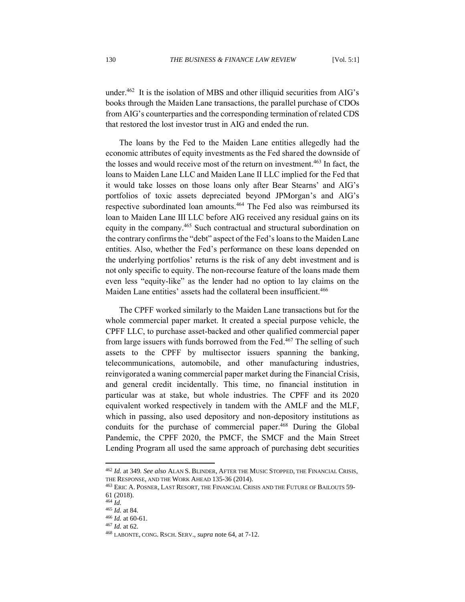under. 462 It is the isolation of MBS and other illiquid securities from AIG's books through the Maiden Lane transactions, the parallel purchase of CDOs from AIG's counterparties and the corresponding termination of related CDS that restored the lost investor trust in AIG and ended the run.

The loans by the Fed to the Maiden Lane entities allegedly had the economic attributes of equity investments as the Fed shared the downside of the losses and would receive most of the return on investment. <sup>463</sup> In fact, the loans to Maiden Lane LLC and Maiden Lane II LLC implied for the Fed that it would take losses on those loans only after Bear Stearns' and AIG's portfolios of toxic assets depreciated beyond JPMorgan's and AIG's respective subordinated loan amounts.<sup>464</sup> The Fed also was reimbursed its loan to Maiden Lane III LLC before AIG received any residual gains on its equity in the company.<sup>465</sup> Such contractual and structural subordination on the contrary confirms the "debt" aspect of the Fed's loans to the Maiden Lane entities. Also, whether the Fed's performance on these loans depended on the underlying portfolios' returns is the risk of any debt investment and is not only specific to equity. The non-recourse feature of the loans made them even less "equity-like" as the lender had no option to lay claims on the Maiden Lane entities' assets had the collateral been insufficient.<sup>466</sup>

The CPFF worked similarly to the Maiden Lane transactions but for the whole commercial paper market. It created a special purpose vehicle, the CPFF LLC, to purchase asset-backed and other qualified commercial paper from large issuers with funds borrowed from the Fed.<sup>467</sup> The selling of such assets to the CPFF by multisector issuers spanning the banking, telecommunications, automobile, and other manufacturing industries, reinvigorated a waning commercial paper market during the Financial Crisis, and general credit incidentally. This time, no financial institution in particular was at stake, but whole industries. The CPFF and its 2020 equivalent worked respectively in tandem with the AMLF and the MLF, which in passing, also used depository and non-depository institutions as conduits for the purchase of commercial paper.<sup>468</sup> During the Global Pandemic, the CPFF 2020, the PMCF, the SMCF and the Main Street Lending Program all used the same approach of purchasing debt securities

<sup>462</sup> *Id.* at 349*. See also* ALAN S. BLINDER, AFTER THE MUSIC STOPPED, THE FINANCIAL CRISIS, THE RESPONSE, AND THE WORK AHEAD 135-36 (2014).

<sup>463</sup> ERIC A. POSNER, LAST RESORT, THE FINANCIAL CRISIS AND THE FUTURE OF BAILOUTS 59- 61 (2018).

<sup>464</sup> *Id.*

<sup>465</sup> *Id.* at 84.

<sup>466</sup> *Id.* at 60-61.

<sup>467</sup> *Id.* at 62.

<sup>468</sup> LABONTE, CONG. RSCH. SERV., *supra* note 64, at 7-12.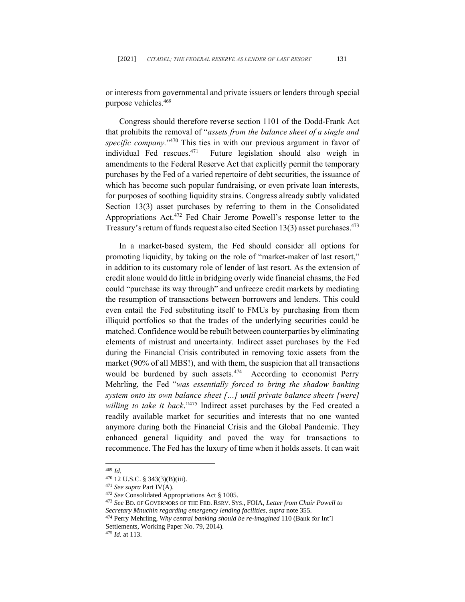or interests from governmental and private issuers or lenders through special purpose vehicles. 469

Congress should therefore reverse section 1101 of the Dodd-Frank Act that prohibits the removal of "*assets from the balance sheet of a single and*  specific company."<sup>470</sup> This ties in with our previous argument in favor of individual Fed rescues. 471 Future legislation should also weigh in amendments to the Federal Reserve Act that explicitly permit the temporary purchases by the Fed of a varied repertoire of debt securities, the issuance of which has become such popular fundraising, or even private loan interests, for purposes of soothing liquidity strains. Congress already subtly validated Section 13(3) asset purchases by referring to them in the Consolidated Appropriations Act.<sup>472</sup> Fed Chair Jerome Powell's response letter to the Treasury's return of funds request also cited Section 13(3) asset purchases.<sup>473</sup>

In a market-based system, the Fed should consider all options for promoting liquidity, by taking on the role of "market-maker of last resort," in addition to its customary role of lender of last resort. As the extension of credit alone would do little in bridging overly wide financial chasms, the Fed could "purchase its way through" and unfreeze credit markets by mediating the resumption of transactions between borrowers and lenders. This could even entail the Fed substituting itself to FMUs by purchasing from them illiquid portfolios so that the trades of the underlying securities could be matched. Confidence would be rebuilt between counterparties by eliminating elements of mistrust and uncertainty. Indirect asset purchases by the Fed during the Financial Crisis contributed in removing toxic assets from the market (90% of all MBS!), and with them, the suspicion that all transactions would be burdened by such assets.<sup>474</sup> According to economist Perry Mehrling, the Fed "*was essentially forced to bring the shadow banking system onto its own balance sheet […] until private balance sheets [were] willing to take it back*."<sup>475</sup> Indirect asset purchases by the Fed created a readily available market for securities and interests that no one wanted anymore during both the Financial Crisis and the Global Pandemic. They enhanced general liquidity and paved the way for transactions to recommence. The Fed has the luxury of time when it holds assets. It can wait

<sup>469</sup> *Id.*

<sup>470</sup> 12 U.S.C. § 343(3)(B)(iii).

<sup>471</sup> *See supra* Part IV(A).

<sup>472</sup> *See* Consolidated Appropriations Act § 1005.

<sup>473</sup> *See* BD. OF GOVERNORS OF THE FED. RSRV. SYS., FOIA, *Letter from Chair Powell to Secretary Mnuchin regarding emergency lending facilities*, *supra* note 355.

<sup>474</sup> Perry Mehrling, *Why central banking should be re-imagined* 110 (Bank for Int'l Settlements, Working Paper No. 79, 2014).

<sup>475</sup> *Id.* at 113.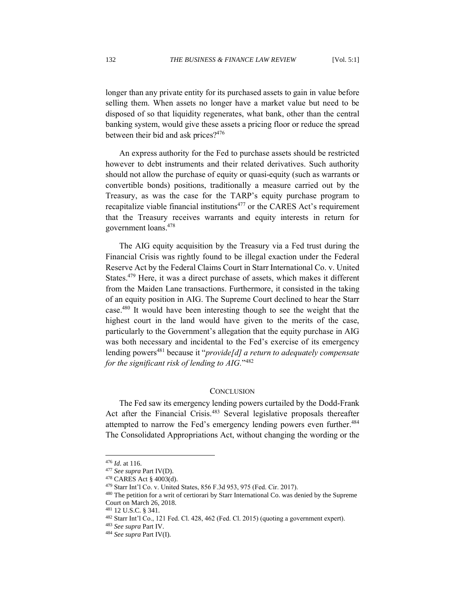longer than any private entity for its purchased assets to gain in value before selling them. When assets no longer have a market value but need to be disposed of so that liquidity regenerates, what bank, other than the central banking system, would give these assets a pricing floor or reduce the spread between their bid and ask prices? 476

An express authority for the Fed to purchase assets should be restricted however to debt instruments and their related derivatives. Such authority should not allow the purchase of equity or quasi-equity (such as warrants or convertible bonds) positions, traditionally a measure carried out by the Treasury, as was the case for the TARP's equity purchase program to recapitalize viable financial institutions<sup>477</sup> or the CARES Act's requirement that the Treasury receives warrants and equity interests in return for government loans. 478

The AIG equity acquisition by the Treasury via a Fed trust during the Financial Crisis was rightly found to be illegal exaction under the Federal Reserve Act by the Federal Claims Court in Starr International Co. v. United States. <sup>479</sup> Here, it was a direct purchase of assets, which makes it different from the Maiden Lane transactions. Furthermore, it consisted in the taking of an equity position in AIG. The Supreme Court declined to hear the Starr case.<sup>480</sup> It would have been interesting though to see the weight that the highest court in the land would have given to the merits of the case, particularly to the Government's allegation that the equity purchase in AIG was both necessary and incidental to the Fed's exercise of its emergency lending powers<sup>481</sup> because it "*provide[d] a return to adequately compensate for the significant risk of lending to AIG.*" 482

## **CONCLUSION**

The Fed saw its emergency lending powers curtailed by the Dodd-Frank Act after the Financial Crisis.<sup>483</sup> Several legislative proposals thereafter attempted to narrow the Fed's emergency lending powers even further.<sup>484</sup> The Consolidated Appropriations Act, without changing the wording or the

<sup>476</sup> *Id*. at 116.

<sup>477</sup> *See supra* Part IV(D).

<sup>478</sup> CARES Act § 4003(d).

<sup>479</sup> Starr Int'l Co. v. United States, 856 F.3d 953, 975 (Fed. Cir. 2017).

<sup>&</sup>lt;sup>480</sup> The petition for a writ of certiorari by Starr International Co. was denied by the Supreme Court on March 26, 2018.

<sup>481</sup> 12 U.S.C. § 341.

<sup>482</sup> Starr Int'l Co., 121 Fed. Cl. 428, 462 (Fed. Cl. 2015) (quoting a government expert).

<sup>483</sup> *See supra* Part IV.

<sup>484</sup> *See supra* Part IV(I).